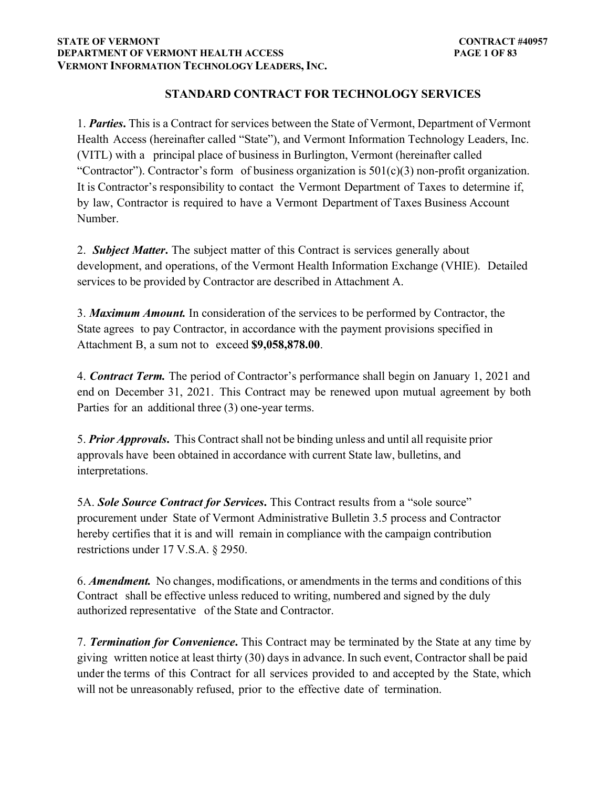### **STATE OF VERMONT DEPARTMENT OF VERMONT HEALTH ACCESS VERMONT INFORMATION TECHNOLOGY LEADERS, INC.**

# **STANDARD CONTRACT FOR TECHNOLOGY SERVICES**

1. *Parties***.** This is a Contract for services between the State of Vermont, Department of Vermont Health Access (hereinafter called "State"), and Vermont Information Technology Leaders, Inc. (VITL) with a principal place of business in Burlington, Vermont (hereinafter called "Contractor"). Contractor's form of business organization is  $501(c)(3)$  non-profit organization. It is Contractor's responsibility to contact the Vermont Department of Taxes to determine if, by law, Contractor is required to have a Vermont Department of Taxes Business Account Number.

2. *Subject Matter***.** The subject matter of this Contract is services generally about development, and operations, of the Vermont Health Information Exchange (VHIE). Detailed services to be provided by Contractor are described in Attachment A.

3. *Maximum Amount.* In consideration of the services to be performed by Contractor, the State agrees to pay Contractor, in accordance with the payment provisions specified in Attachment B, a sum not to exceed **\$9,058,878.00**.

4. *Contract Term.* The period of Contractor's performance shall begin on January 1, 2021 and end on December 31, 2021. This Contract may be renewed upon mutual agreement by both Parties for an additional three (3) one-year terms.

5. *Prior Approvals***.** This Contract shall not be binding unless and until all requisite prior approvals have been obtained in accordance with current State law, bulletins, and interpretations.

5A. *Sole Source Contract for Services***.** This Contract results from a "sole source" procurement under State of Vermont Administrative Bulletin 3.5 process and Contractor hereby certifies that it is and will remain in compliance with the campaign contribution restrictions under 17 V.S.A. § 2950.

6. *Amendment.* No changes, modifications, or amendments in the terms and conditions of this Contract shall be effective unless reduced to writing, numbered and signed by the duly authorized representative of the State and Contractor.

7. *Termination for Convenience***.** This Contract may be terminated by the State at any time by giving written notice at least thirty (30) days in advance. In such event, Contractor shall be paid under the terms of this Contract for all services provided to and accepted by the State, which will not be unreasonably refused, prior to the effective date of termination.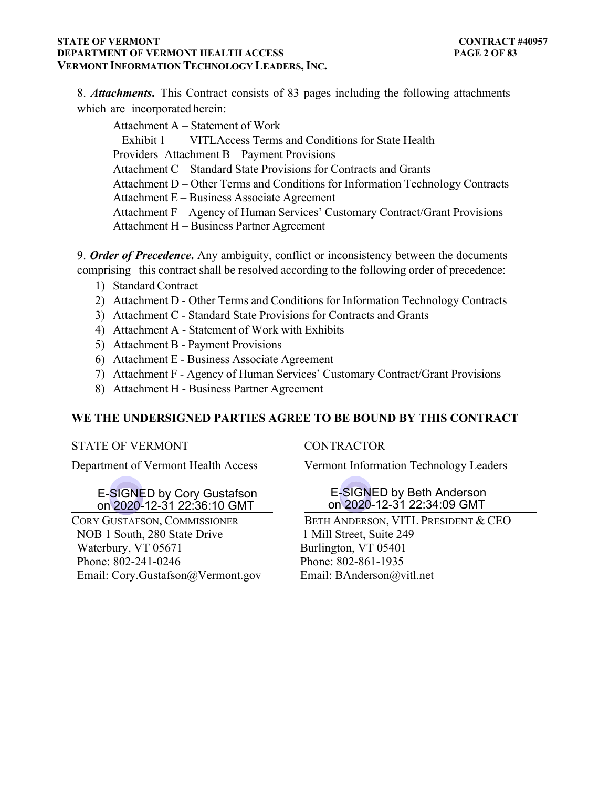### **STATE OF VERMONT DEPARTMENT OF VERMONT HEALTH ACCESS VERMONT INFORMATION TECHNOLOGY LEADERS, INC.**

8. *Attachments***.** This Contract consists of 83 pages including the following attachments which are incorporated herein:

Attachment A – Statement of Work Exhibit 1 – VITLAccess Terms and Conditions for State Health Providers Attachment B – Payment Provisions Attachment C – Standard State Provisions for Contracts and Grants Attachment D – Other Terms and Conditions for Information Technology Contracts Attachment E – Business Associate Agreement Attachment F – Agency of Human Services' Customary Contract/Grant Provisions Attachment H – Business Partner Agreement

9. *Order of Precedence***.** Any ambiguity, conflict or inconsistency between the documents comprising this contract shall be resolved according to the following order of precedence:

- 1) Standard Contract
- 2) Attachment D Other Terms and Conditions for Information Technology Contracts
- 3) Attachment C Standard State Provisions for Contracts and Grants
- 4) Attachment A Statement of Work with Exhibits
- 5) Attachment B Payment Provisions
- 6) Attachment E Business Associate Agreement
- 7) Attachment F Agency of Human Services' Customary Contract/Grant Provisions
- 8) Attachment H Business Partner Agreement

## **WE THE UNDERSIGNED PARTIES AGREE TO BE BOUND BY THIS CONTRACT**

## STATE OF VERMONT CONTRACTOR

## E-SIGNED by Cory Gustafson on 2020-12-31 22:36:10 GMT

NOB 1 South, 280 State Drive Waterbury, VT 05671 Phone: 802-241-0246 Email: Cory.Gustafson@Vermont.gov

Department of Vermont Health Access Vermont Information Technology Leaders

## E-SIGNED by Beth Anderson on 2020-12-31 22:34:09 GMT

CORY GUSTAFSON, COMMISSIONER BETH ANDERSON, VITL PRESIDENT & CEO 1 Mill Street, Suite 249 Burlington, VT 05401 Phone: 802-861-1935 Email: BAnderson@vitl.net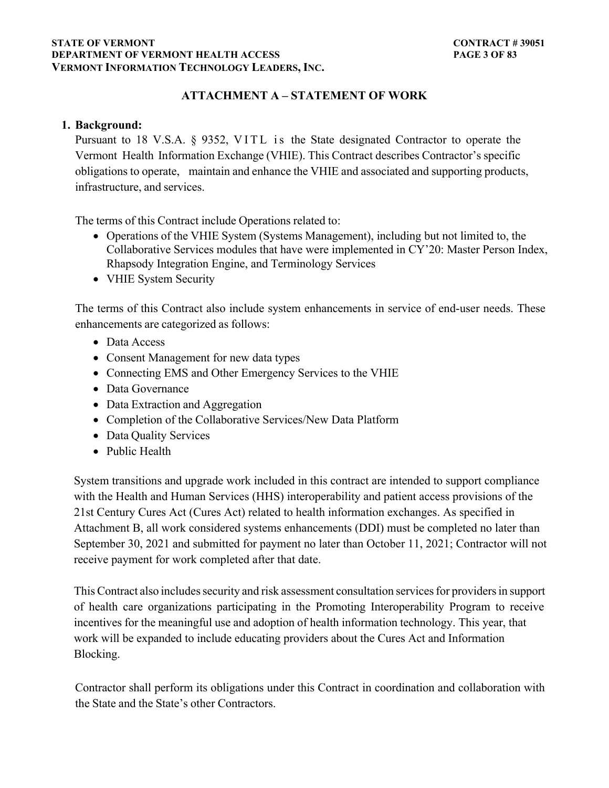#### **STATE OF VERMONT** CONTRACT # 39051 **DEPARTMENT OF VERMONT HEALTH ACCESS PAGE 3 OF 83 VERMONT INFORMATION TECHNOLOGY LEADERS, INC.**

# **ATTACHMENT A – STATEMENT OF WORK**

## **1. Background:**

Pursuant to 18 V.S.A. § 9352, VITL is the State designated Contractor to operate the Vermont Health Information Exchange (VHIE). This Contract describes Contractor's specific obligations to operate, maintain and enhance the VHIE and associated and supporting products, infrastructure, and services.

The terms of this Contract include Operations related to:

- Operations of the VHIE System (Systems Management), including but not limited to, the Collaborative Services modules that have were implemented in CY'20: Master Person Index, Rhapsody Integration Engine, and Terminology Services
- VHIE System Security

The terms of this Contract also include system enhancements in service of end-user needs. These enhancements are categorized as follows:

- Data Access
- Consent Management for new data types
- Connecting EMS and Other Emergency Services to the VHIE
- Data Governance
- Data Extraction and Aggregation
- Completion of the Collaborative Services/New Data Platform
- Data Quality Services
- Public Health

System transitions and upgrade work included in this contract are intended to support compliance with the Health and Human Services (HHS) interoperability and patient access provisions of the 21st Century Cures Act (Cures Act) related to health information exchanges. As specified in Attachment B, all work considered systems enhancements (DDI) must be completed no later than September 30, 2021 and submitted for payment no later than October 11, 2021; Contractor will not receive payment for work completed after that date.

This Contract also includes security and risk assessment consultation services for providers in support of health care organizations participating in the Promoting Interoperability Program to receive incentives for the meaningful use and adoption of health information technology. This year, that work will be expanded to include educating providers about the Cures Act and Information Blocking.

Contractor shall perform its obligations under this Contract in coordination and collaboration with the State and the State's other Contractors.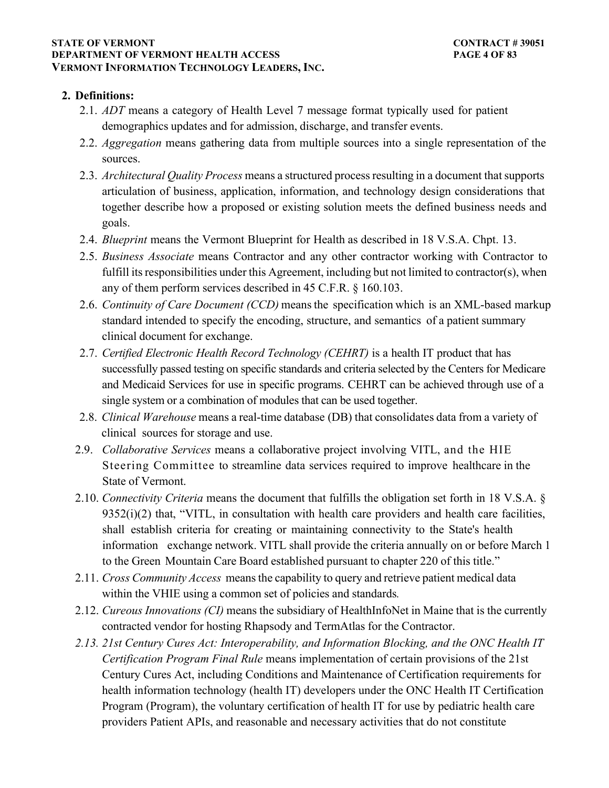#### **STATE OF VERMONT** CONTRACT # 39051 **DEPARTMENT OF VERMONT HEALTH ACCESS PAGE 4 OF 83 VERMONT INFORMATION TECHNOLOGY LEADERS, INC.**

## **2. Definitions:**

- 2.1. *ADT* means a category of Health Level 7 message format typically used for patient demographics updates and for admission, discharge, and transfer events.
- 2.2. *Aggregation* means gathering data from multiple sources into a single representation of the sources.
- 2.3. *Architectural Quality Process* means a structured process resulting in a document that supports articulation of business, application, information, and technology design considerations that together describe how a proposed or existing solution meets the defined business needs and goals.
- 2.4. *Blueprint* means the Vermont Blueprint for Health as described in 18 V.S.A. Chpt. 13.
- 2.5. *Business Associate* means Contractor and any other contractor working with Contractor to fulfill its responsibilities under this Agreement, including but not limited to contractor(s), when any of them perform services described in 45 C.F.R. § 160.103.
- 2.6. *Continuity of Care Document (CCD)* means the specification which is an XML-based markup standard intended to specify the encoding, structure, and semantics of a patient summary clinical document for exchange.
- 2.7. *Certified Electronic Health Record Technology (CEHRT)* is a health IT product that has successfully passed testing on specific standards and criteria selected by the Centers for Medicare and Medicaid Services for use in specific programs. CEHRT can be achieved through use of a single system or a combination of modules that can be used together.
- 2.8. *Clinical Warehouse* means a real-time database (DB) that consolidates data from a variety of clinical sources for storage and use.
- 2.9. *Collaborative Services* means a collaborative project involving VITL, and the HIE Steering Committee to streamline data services required to improve healthcare in the State of Vermont.
- 2.10. *Connectivity Criteria* means the document that fulfills the obligation set forth in 18 V.S.A. §  $9352(i)(2)$  that, "VITL, in consultation with health care providers and health care facilities, shall establish criteria for creating or maintaining connectivity to the State's health information exchange network. VITL shall provide the criteria annually on or before March 1 to the Green Mountain Care Board established pursuant to chapter 220 of this title."
- 2.11. *Cross Community Access* means the capability to query and retrieve patient medical data within the VHIE using a common set of policies and standards*.*
- 2.12. *Cureous Innovations (CI)* means the subsidiary of HealthInfoNet in Maine that is the currently contracted vendor for hosting Rhapsody and TermAtlas for the Contractor.
- *2.13. 21st Century Cures Act: Interoperability, and Information Blocking, and the ONC Health IT Certification Program Final Rule* means implementation of certain provisions of the 21st Century Cures Act, including Conditions and Maintenance of Certification requirements for health information technology (health IT) developers under the ONC Health IT Certification Program (Program), the voluntary certification of health IT for use by pediatric health care providers Patient APIs, and reasonable and necessary activities that do not constitute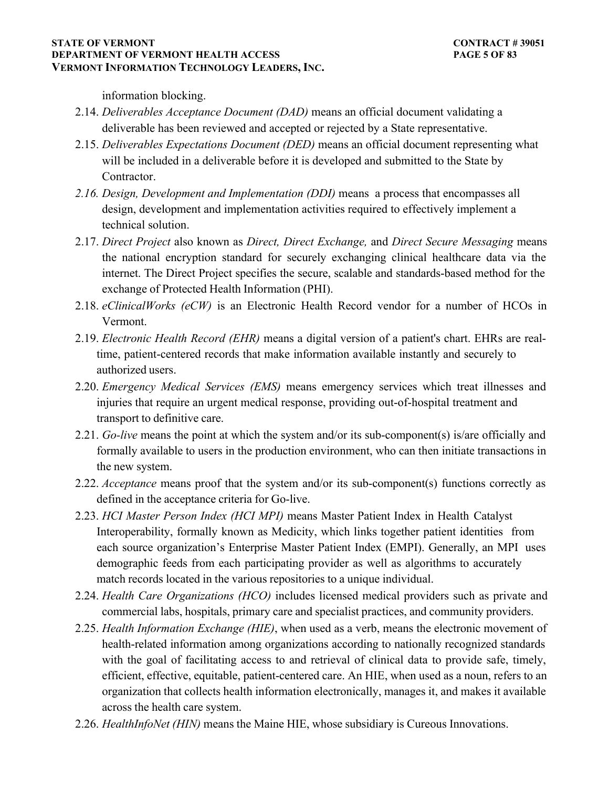information blocking.

- 2.14. *Deliverables Acceptance Document (DAD)* means an official document validating a deliverable has been reviewed and accepted or rejected by a State representative.
- 2.15. *Deliverables Expectations Document (DED)* means an official document representing what will be included in a deliverable before it is developed and submitted to the State by Contractor.
- *2.16. Design, Development and Implementation (DDI)* means a process that encompasses all design, development and implementation activities required to effectively implement a technical solution.
- 2.17. *Direct Project* also known as *Direct, Direct Exchange,* and *Direct Secure Messaging* means the national encryption standard for securely exchanging clinical healthcare data via the internet. The Direct Project specifies the secure, scalable and standards-based method for the exchange of Protected Health Information (PHI).
- 2.18. *eClinicalWorks (eCW)* is an Electronic Health Record vendor for a number of HCOs in Vermont.
- 2.19. *Electronic Health Record (EHR)* means a digital version of a patient's chart. EHRs are realtime, patient-centered records that make information available instantly and securely to authorized users.
- 2.20. *Emergency Medical Services (EMS)* means emergency services which treat illnesses and injuries that require an urgent medical response, providing out-of-hospital treatment and transport to definitive care.
- 2.21. *Go-live* means the point at which the system and/or its sub-component(s) is/are officially and formally available to users in the production environment, who can then initiate transactions in the new system.
- 2.22. *Acceptance* means proof that the system and/or its sub-component(s) functions correctly as defined in the acceptance criteria for Go-live.
- 2.23. *HCI Master Person Index (HCI MPI)* means Master Patient Index in Health Catalyst Interoperability, formally known as Medicity, which links together patient identities from each source organization's Enterprise Master Patient Index (EMPI). Generally, an MPI uses demographic feeds from each participating provider as well as algorithms to accurately match records located in the various repositories to a unique individual.
- 2.24. *Health Care Organizations (HCO)* includes licensed medical providers such as private and commercial labs, hospitals, primary care and specialist practices, and community providers.
- 2.25. *Health Information Exchange (HIE)*, when used as a verb, means the electronic movement of health-related information among organizations according to nationally recognized standards with the goal of facilitating access to and retrieval of clinical data to provide safe, timely, efficient, effective, equitable, patient-centered care. An HIE, when used as a noun, refers to an organization that collects health information electronically, manages it, and makes it available across the health care system.
- 2.26. *HealthInfoNet (HIN)* means the Maine HIE, whose subsidiary is Cureous Innovations.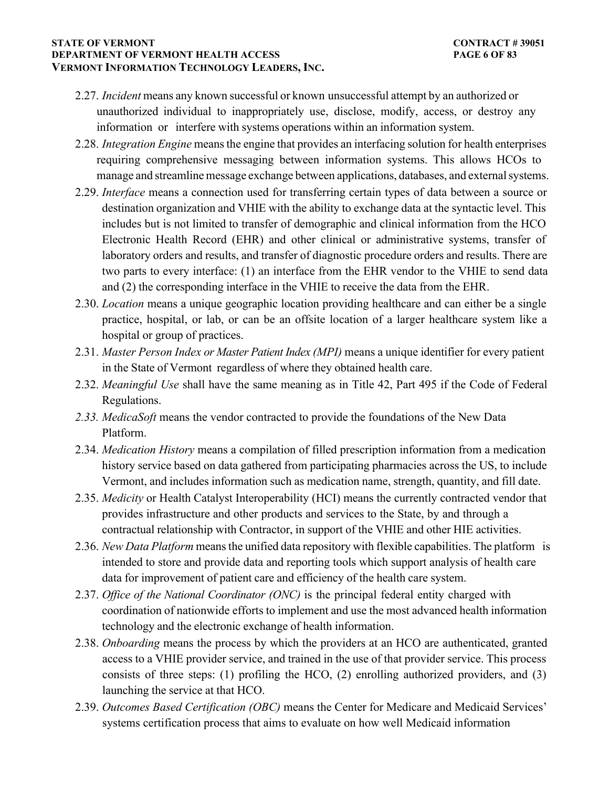#### **STATE OF VERMONT** CONTRACT # 39051 **DEPARTMENT OF VERMONT HEALTH ACCESS PAGE 6 OF 83 VERMONT INFORMATION TECHNOLOGY LEADERS, INC.**

- 2.27. *Incident* means any known successful or known unsuccessful attempt by an authorized or unauthorized individual to inappropriately use, disclose, modify, access, or destroy any information or interfere with systems operations within an information system.
- 2.28. *Integration Engine* means the engine that provides an interfacing solution for health enterprises requiring comprehensive messaging between information systems. This allows HCOs to manage and streamline message exchange between applications, databases, and external systems.
- 2.29. *Interface* means a connection used for transferring certain types of data between a source or destination organization and VHIE with the ability to exchange data at the syntactic level. This includes but is not limited to transfer of demographic and clinical information from the HCO Electronic Health Record (EHR) and other clinical or administrative systems, transfer of laboratory orders and results, and transfer of diagnostic procedure orders and results. There are two parts to every interface: (1) an interface from the EHR vendor to the VHIE to send data and (2) the corresponding interface in the VHIE to receive the data from the EHR.
- 2.30. *Location* means a unique geographic location providing healthcare and can either be a single practice, hospital, or lab, or can be an offsite location of a larger healthcare system like a hospital or group of practices.
- 2.31. *Master Person Index or Master Patient Index (MPI)* means a unique identifier for every patient in the State of Vermont regardless of where they obtained health care.
- 2.32. *Meaningful Use* shall have the same meaning as in Title 42, Part 495 if the Code of Federal Regulations.
- *2.33. MedicaSoft* means the vendor contracted to provide the foundations of the New Data Platform.
- 2.34. *Medication History* means a compilation of filled prescription information from a medication history service based on data gathered from participating pharmacies across the US, to include Vermont, and includes information such as medication name, strength, quantity, and fill date.
- 2.35. *Medicity* or Health Catalyst Interoperability (HCI) means the currently contracted vendor that provides infrastructure and other products and services to the State, by and through a contractual relationship with Contractor, in support of the VHIE and other HIE activities.
- 2.36. *New Data Platform* means the unified data repository with flexible capabilities. The platform is intended to store and provide data and reporting tools which support analysis of health care data for improvement of patient care and efficiency of the health care system.
- 2.37. *Office of the National Coordinator (ONC)* is the principal federal entity charged with coordination of nationwide efforts to implement and use the most advanced health information technology and the electronic exchange of health information.
- 2.38. *Onboarding* means the process by which the providers at an HCO are authenticated, granted access to a VHIE provider service, and trained in the use of that provider service. This process consists of three steps: (1) profiling the HCO, (2) enrolling authorized providers, and (3) launching the service at that HCO.
- 2.39. *Outcomes Based Certification (OBC)* means the Center for Medicare and Medicaid Services' systems certification process that aims to evaluate on how well Medicaid information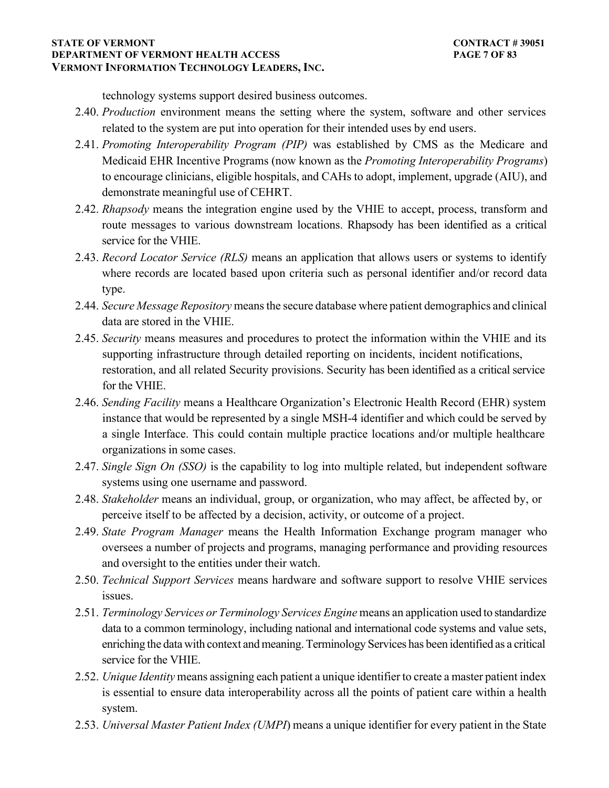#### **STATE OF VERMONT** CONTRACT # 39051 **DEPARTMENT OF VERMONT HEALTH ACCESS PAGE 7 OF 83 VERMONT INFORMATION TECHNOLOGY LEADERS, INC.**

technology systems support desired business outcomes.

- 2.40. *Production* environment means the setting where the system, software and other services related to the system are put into operation for their intended uses by end users.
- 2.41. *Promoting Interoperability Program (PIP)* was established by CMS as the Medicare and Medicaid EHR Incentive Programs (now known as the *Promoting Interoperability Programs*) to encourage clinicians, eligible hospitals, and CAHs to adopt, implement, upgrade (AIU), and demonstrate meaningful use of CEHRT.
- 2.42. *Rhapsody* means the integration engine used by the VHIE to accept, process, transform and route messages to various downstream locations. Rhapsody has been identified as a critical service for the VHIE.
- 2.43. *Record Locator Service (RLS)* means an application that allows users or systems to identify where records are located based upon criteria such as personal identifier and/or record data type.
- 2.44. *Secure Message Repository* means the secure database where patient demographics and clinical data are stored in the VHIE.
- 2.45. *Security* means measures and procedures to protect the information within the VHIE and its supporting infrastructure through detailed reporting on incidents, incident notifications, restoration, and all related Security provisions. Security has been identified as a critical service for the VHIE.
- 2.46. *Sending Facility* means a Healthcare Organization's Electronic Health Record (EHR) system instance that would be represented by a single MSH-4 identifier and which could be served by a single Interface. This could contain multiple practice locations and/or multiple healthcare organizations in some cases.
- 2.47. *Single Sign On (SSO)* is the capability to log into multiple related, but independent software systems using one username and password.
- 2.48. *Stakeholder* means an individual, group, or organization, who may affect, be affected by, or perceive itself to be affected by a decision, activity, or outcome of a project.
- 2.49. *State Program Manager* means the Health Information Exchange program manager who oversees a number of projects and programs, managing performance and providing resources and oversight to the entities under their watch.
- 2.50. *Technical Support Services* means hardware and software support to resolve VHIE services issues.
- 2.51. *Terminology Services or Terminology Services Engine* means an application used to standardize data to a common terminology, including national and international code systems and value sets, enriching the data with context and meaning. Terminology Services has been identified as a critical service for the VHIE.
- 2.52. *Unique Identity* means assigning each patient a unique identifier to create a master patient index is essential to ensure data interoperability across all the points of patient care within a health system.
- 2.53. *Universal Master Patient Index (UMPI*) means a unique identifier for every patient in the State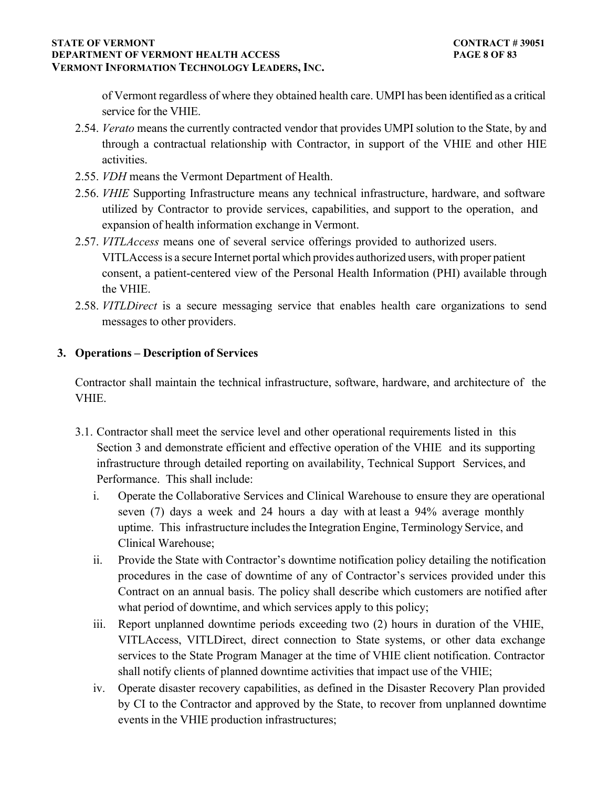### **STATE OF VERMONT** CONTRACT # 39051 **DEPARTMENT OF VERMONT HEALTH ACCESS PAGE 8 OF 83 VERMONT INFORMATION TECHNOLOGY LEADERS, INC.**

of Vermont regardless of where they obtained health care. UMPI has been identified as a critical service for the VHIE.

- 2.54. *Verato* means the currently contracted vendor that provides UMPI solution to the State, by and through a contractual relationship with Contractor, in support of the VHIE and other HIE activities.
- 2.55. *VDH* means the Vermont Department of Health.
- 2.56. *VHIE* Supporting Infrastructure means any technical infrastructure, hardware, and software utilized by Contractor to provide services, capabilities, and support to the operation, and expansion of health information exchange in Vermont.
- 2.57. *VITLAccess* means one of several service offerings provided to authorized users. VITLAccess is a secure Internet portal which provides authorized users, with proper patient consent, a patient-centered view of the Personal Health Information (PHI) available through the VHIE.
- 2.58. *VITLDirect* is a secure messaging service that enables health care organizations to send messages to other providers.

## **3. Operations – Description of Services**

Contractor shall maintain the technical infrastructure, software, hardware, and architecture of the VHIE.

- 3.1. Contractor shall meet the service level and other operational requirements listed in this Section 3 and demonstrate efficient and effective operation of the VHIE and its supporting infrastructure through detailed reporting on availability, Technical Support Services, and Performance. This shall include:
	- i. Operate the Collaborative Services and Clinical Warehouse to ensure they are operational seven (7) days a week and 24 hours a day with at least a 94% average monthly uptime. This infrastructure includes the Integration Engine, Terminology Service, and Clinical Warehouse;
	- ii. Provide the State with Contractor's downtime notification policy detailing the notification procedures in the case of downtime of any of Contractor's services provided under this Contract on an annual basis. The policy shall describe which customers are notified after what period of downtime, and which services apply to this policy;
	- iii. Report unplanned downtime periods exceeding two (2) hours in duration of the VHIE, VITLAccess, VITLDirect, direct connection to State systems, or other data exchange services to the State Program Manager at the time of VHIE client notification. Contractor shall notify clients of planned downtime activities that impact use of the VHIE;
	- iv. Operate disaster recovery capabilities, as defined in the Disaster Recovery Plan provided by CI to the Contractor and approved by the State, to recover from unplanned downtime events in the VHIE production infrastructures;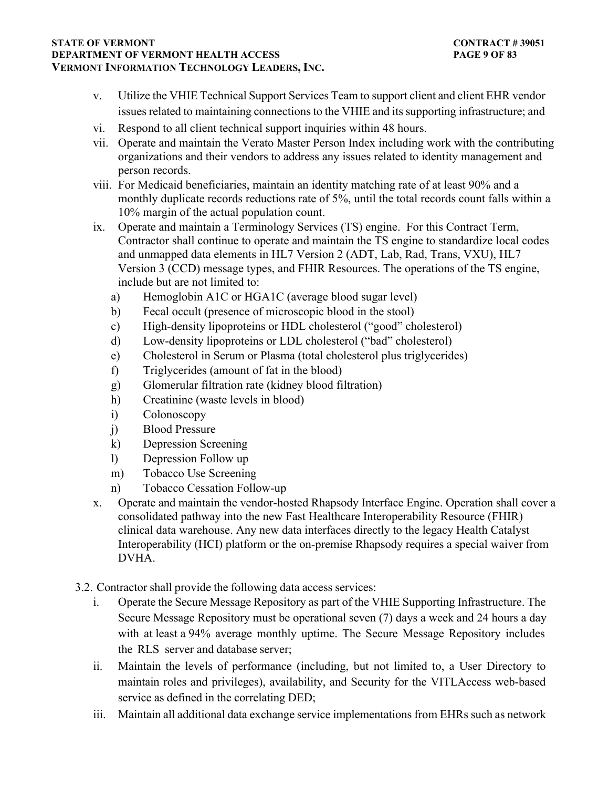#### **STATE OF VERMONT** CONTRACT # 39051 **DEPARTMENT OF VERMONT HEALTH ACCESS PAGE 9 OF 83 VERMONT INFORMATION TECHNOLOGY LEADERS, INC.**

- v. Utilize the VHIE Technical Support Services Team to support client and client EHR vendor issues related to maintaining connections to the VHIE and its supporting infrastructure; and
- vi. Respond to all client technical support inquiries within 48 hours.
- vii. Operate and maintain the Verato Master Person Index including work with the contributing organizations and their vendors to address any issues related to identity management and person records.
- viii. For Medicaid beneficiaries, maintain an identity matching rate of at least 90% and a monthly duplicate records reductions rate of 5%, until the total records count falls within a 10% margin of the actual population count.
- ix. Operate and maintain a Terminology Services (TS) engine. For this Contract Term, Contractor shall continue to operate and maintain the TS engine to standardize local codes and unmapped data elements in HL7 Version 2 (ADT, Lab, Rad, Trans, VXU), HL7 Version 3 (CCD) message types, and FHIR Resources. The operations of the TS engine, include but are not limited to:
	- a) Hemoglobin A1C or HGA1C (average blood sugar level)
	- b) Fecal occult (presence of microscopic blood in the stool)
	- c) High-density lipoproteins or HDL cholesterol ("good" cholesterol)
	- d) Low-density lipoproteins or LDL cholesterol ("bad" cholesterol)
	- e) Cholesterol in Serum or Plasma (total cholesterol plus triglycerides)
	- f) Triglycerides (amount of fat in the blood)
	- g) Glomerular filtration rate (kidney blood filtration)
	- h) Creatinine (waste levels in blood)
	- i) Colonoscopy
	- j) Blood Pressure
	- k) Depression Screening
	- l) Depression Follow up
	- m) Tobacco Use Screening
	- n) Tobacco Cessation Follow-up
- x. Operate and maintain the vendor-hosted Rhapsody Interface Engine. Operation shall cover a consolidated pathway into the new Fast Healthcare Interoperability Resource (FHIR) clinical data warehouse. Any new data interfaces directly to the legacy Health Catalyst Interoperability (HCI) platform or the on-premise Rhapsody requires a special waiver from DVHA.
- 3.2. Contractor shall provide the following data access services:
	- i. Operate the Secure Message Repository as part of the VHIE Supporting Infrastructure. The Secure Message Repository must be operational seven (7) days a week and 24 hours a day with at least a 94% average monthly uptime. The Secure Message Repository includes the RLS server and database server;
	- ii. Maintain the levels of performance (including, but not limited to, a User Directory to maintain roles and privileges), availability, and Security for the VITLAccess web-based service as defined in the correlating DED;
	- iii. Maintain all additional data exchange service implementations from EHRs such as network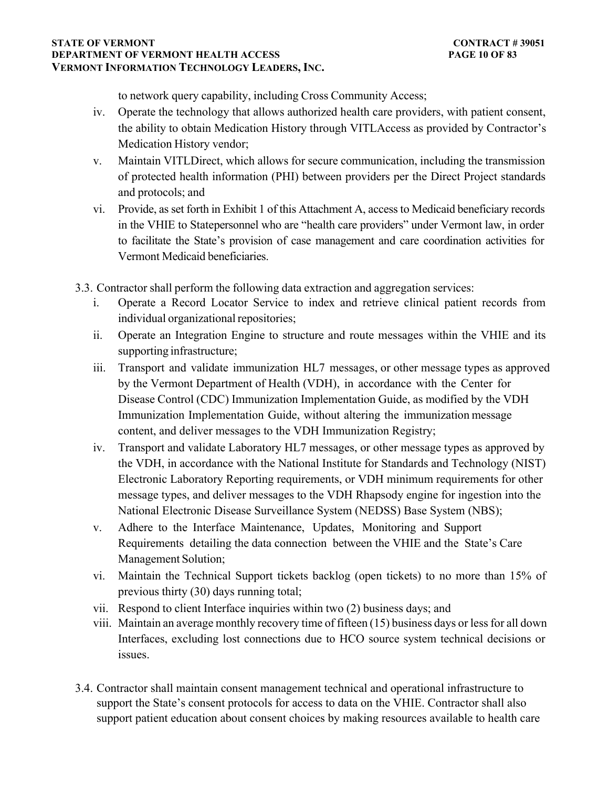#### **STATE OF VERMONT** CONTRACT # 39051 **DEPARTMENT OF VERMONT HEALTH ACCESS PAGE 10 OF 83 VERMONT INFORMATION TECHNOLOGY LEADERS, INC.**

to network query capability, including Cross Community Access;

- iv. Operate the technology that allows authorized health care providers, with patient consent, the ability to obtain Medication History through VITLAccess as provided by Contractor's Medication History vendor;
- v. Maintain VITLDirect, which allows for secure communication, including the transmission of protected health information (PHI) between providers per the Direct Project standards and protocols; and
- vi. Provide, as set forth in Exhibit 1 of this Attachment A, access to Medicaid beneficiary records in the VHIE to Statepersonnel who are "health care providers" under Vermont law, in order to facilitate the State's provision of case management and care coordination activities for Vermont Medicaid beneficiaries.
- 3.3. Contractor shall perform the following data extraction and aggregation services:
	- i. Operate a Record Locator Service to index and retrieve clinical patient records from individual organizational repositories;
	- ii. Operate an Integration Engine to structure and route messages within the VHIE and its supporting infrastructure;
	- iii. Transport and validate immunization HL7 messages, or other message types as approved by the Vermont Department of Health (VDH), in accordance with the Center for Disease Control (CDC) Immunization Implementation Guide, as modified by the VDH Immunization Implementation Guide, without altering the immunization message content, and deliver messages to the VDH Immunization Registry;
	- iv. Transport and validate Laboratory HL7 messages, or other message types as approved by the VDH, in accordance with the National Institute for Standards and Technology (NIST) Electronic Laboratory Reporting requirements, or VDH minimum requirements for other message types, and deliver messages to the VDH Rhapsody engine for ingestion into the National Electronic Disease Surveillance System (NEDSS) Base System (NBS);
	- v. Adhere to the Interface Maintenance, Updates, Monitoring and Support Requirements detailing the data connection between the VHIE and the State's Care Management Solution;
	- vi. Maintain the Technical Support tickets backlog (open tickets) to no more than 15% of previous thirty (30) days running total;
	- vii. Respond to client Interface inquiries within two (2) business days; and
	- viii. Maintain an average monthly recovery time of fifteen (15) business days or less for all down Interfaces, excluding lost connections due to HCO source system technical decisions or issues.
- 3.4. Contractor shall maintain consent management technical and operational infrastructure to support the State's consent protocols for access to data on the VHIE. Contractor shall also support patient education about consent choices by making resources available to health care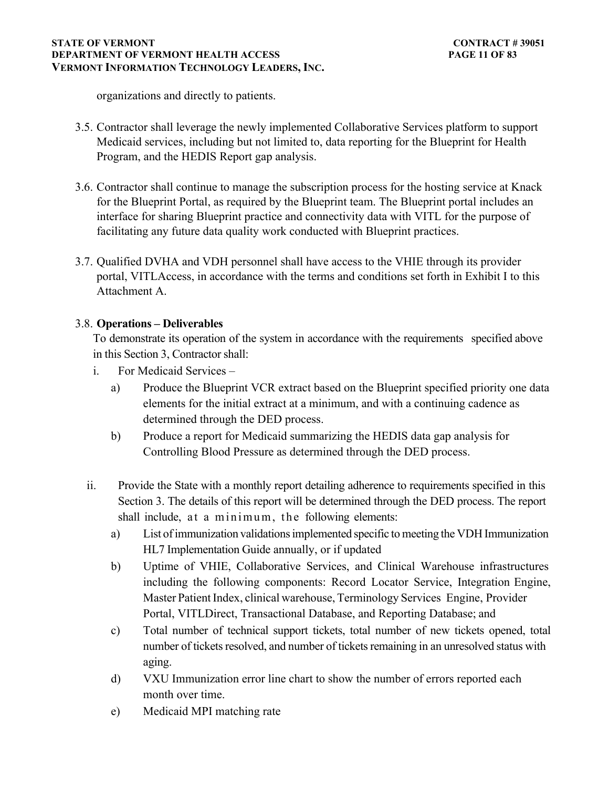#### **STATE OF VERMONT** CONTRACT # 39051 **DEPARTMENT OF VERMONT HEALTH ACCESS PAGE 11 OF 83 VERMONT INFORMATION TECHNOLOGY LEADERS, INC.**

organizations and directly to patients.

- 3.5. Contractor shall leverage the newly implemented Collaborative Services platform to support Medicaid services, including but not limited to, data reporting for the Blueprint for Health Program, and the HEDIS Report gap analysis.
- 3.6. Contractor shall continue to manage the subscription process for the hosting service at Knack for the Blueprint Portal, as required by the Blueprint team. The Blueprint portal includes an interface for sharing Blueprint practice and connectivity data with VITL for the purpose of facilitating any future data quality work conducted with Blueprint practices.
- 3.7. Qualified DVHA and VDH personnel shall have access to the VHIE through its provider portal, VITLAccess, in accordance with the terms and conditions set forth in Exhibit I to this Attachment A.

# 3.8. **Operations – Deliverables**

To demonstrate its operation of the system in accordance with the requirements specified above in this Section 3, Contractor shall:

- i. For Medicaid Services
	- a) Produce the Blueprint VCR extract based on the Blueprint specified priority one data elements for the initial extract at a minimum, and with a continuing cadence as determined through the DED process.
	- b) Produce a report for Medicaid summarizing the HEDIS data gap analysis for Controlling Blood Pressure as determined through the DED process.
- ii. Provide the State with a monthly report detailing adherence to requirements specified in this Section 3. The details of this report will be determined through the DED process. The report shall include, at a minimum, the following elements:
	- a) List of immunization validations implemented specific to meeting the VDH Immunization HL7 Implementation Guide annually, or if updated
	- b) Uptime of VHIE, Collaborative Services, and Clinical Warehouse infrastructures including the following components: Record Locator Service, Integration Engine, Master Patient Index, clinical warehouse, Terminology Services Engine, Provider Portal, VITLDirect, Transactional Database, and Reporting Database; and
	- c) Total number of technical support tickets, total number of new tickets opened, total number of tickets resolved, and number of tickets remaining in an unresolved status with aging.
	- d) VXU Immunization error line chart to show the number of errors reported each month over time.
	- e) Medicaid MPI matching rate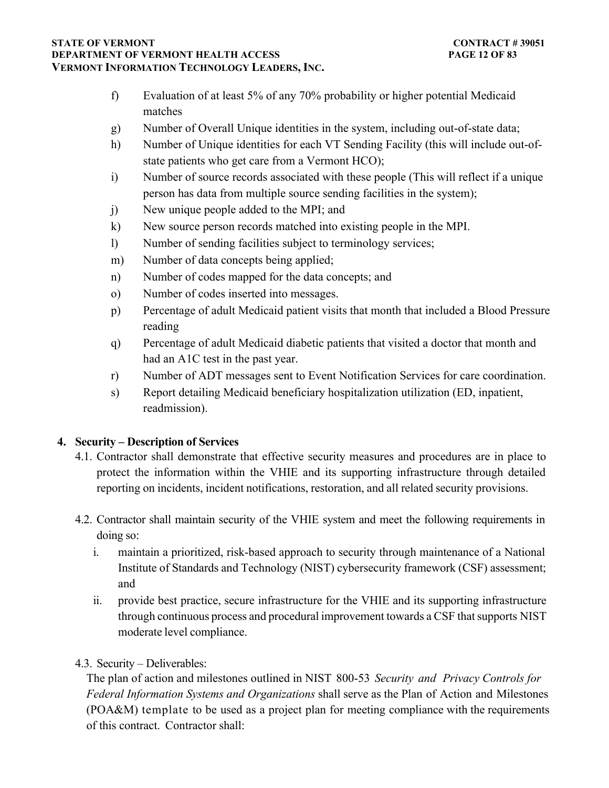#### **STATE OF VERMONT** CONTRACT # 39051 **DEPARTMENT OF VERMONT HEALTH ACCESS PAGE 12 OF 83 VERMONT INFORMATION TECHNOLOGY LEADERS, INC.**

- f) Evaluation of at least 5% of any 70% probability or higher potential Medicaid matches
- g) Number of Overall Unique identities in the system, including out-of-state data;
- h) Number of Unique identities for each VT Sending Facility (this will include out-ofstate patients who get care from a Vermont HCO);
- i) Number of source records associated with these people (This will reflect if a unique person has data from multiple source sending facilities in the system);
- j) New unique people added to the MPI; and
- k) New source person records matched into existing people in the MPI.
- l) Number of sending facilities subject to terminology services;
- m) Number of data concepts being applied;
- n) Number of codes mapped for the data concepts; and
- o) Number of codes inserted into messages.
- p) Percentage of adult Medicaid patient visits that month that included a Blood Pressure reading
- q) Percentage of adult Medicaid diabetic patients that visited a doctor that month and had an A1C test in the past year.
- r) Number of ADT messages sent to Event Notification Services for care coordination.
- s) Report detailing Medicaid beneficiary hospitalization utilization (ED, inpatient, readmission).

# **4. Security – Description of Services**

- 4.1. Contractor shall demonstrate that effective security measures and procedures are in place to protect the information within the VHIE and its supporting infrastructure through detailed reporting on incidents, incident notifications, restoration, and all related security provisions.
- 4.2. Contractor shall maintain security of the VHIE system and meet the following requirements in doing so:
	- i. maintain a prioritized, risk-based approach to security through maintenance of a National Institute of Standards and Technology (NIST) cybersecurity framework (CSF) assessment; and
	- ii. provide best practice, secure infrastructure for the VHIE and its supporting infrastructure through continuous process and procedural improvement towards a CSF that supports NIST moderate level compliance.
- 4.3. Security Deliverables:

The plan of action and milestones outlined in NIST 800-53 *Security and Privacy Controls for Federal Information Systems and Organizations* shall serve as the Plan of Action and Milestones (POA&M) template to be used as a project plan for meeting compliance with the requirements of this contract. Contractor shall: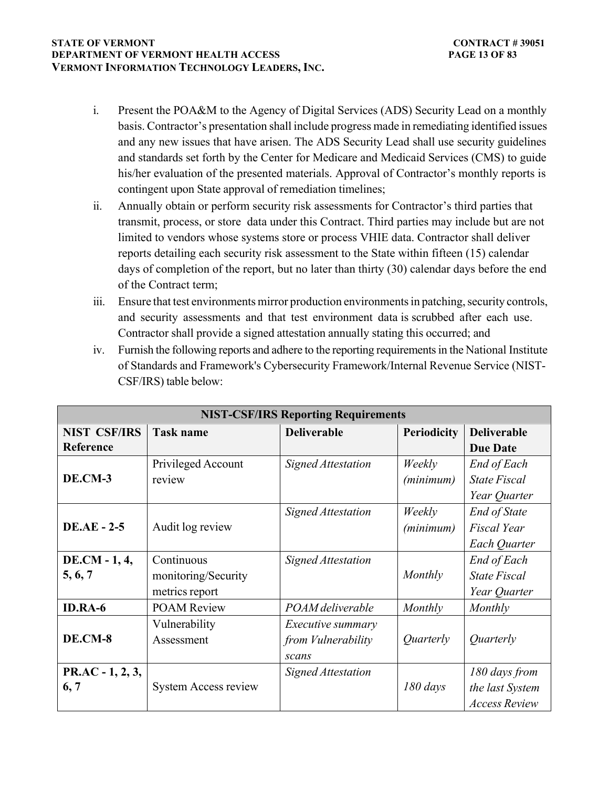#### **STATE OF VERMONT** CONTRACT # 39051 **DEPARTMENT OF VERMONT HEALTH ACCESS PAGE 13 OF 83 VERMONT INFORMATION TECHNOLOGY LEADERS, INC.**

- i. Present the POA&M to the Agency of Digital Services (ADS) Security Lead on a monthly basis. Contractor's presentation shall include progress made in remediating identified issues and any new issues that have arisen. The ADS Security Lead shall use security guidelines and standards set forth by the Center for Medicare and Medicaid Services (CMS) to guide his/her evaluation of the presented materials. Approval of Contractor's monthly reports is contingent upon State approval of remediation timelines;
- ii. Annually obtain or perform security risk assessments for Contractor's third parties that transmit, process, or store data under this Contract. Third parties may include but are not limited to vendors whose systems store or process VHIE data. Contractor shall deliver reports detailing each security risk assessment to the State within fifteen (15) calendar days of completion of the report, but no later than thirty (30) calendar days before the end of the Contract term;
- iii. Ensure that test environments mirror production environments in patching, security controls, and security assessments and that test environment data is scrubbed after each use. Contractor shall provide a signed attestation annually stating this occurred; and
- iv. Furnish the following reports and adhere to the reporting requirements in the National Institute of Standards and Framework's Cybersecurity Framework/Internal Revenue Service (NIST-CSF/IRS) table below:

| <b>NIST-CSF/IRS Reporting Requirements</b> |                                                     |                                                                |                         |                                                           |  |  |
|--------------------------------------------|-----------------------------------------------------|----------------------------------------------------------------|-------------------------|-----------------------------------------------------------|--|--|
| <b>NIST CSF/IRS</b><br>Reference           | <b>Task name</b>                                    | <b>Deliverable</b>                                             | <b>Periodicity</b>      | <b>Deliverable</b><br><b>Due Date</b>                     |  |  |
| DE.CM-3                                    | Privileged Account<br>review                        | <b>Signed Attestation</b>                                      | Weekly<br>(minimum)     | End of Each<br><b>State Fiscal</b><br>Year Quarter        |  |  |
| <b>DE.AE - 2-5</b>                         | Audit log review                                    | <b>Signed Attestation</b>                                      | Weekly<br>(minimum)     | <b>End of State</b><br><b>Fiscal Year</b><br>Each Quarter |  |  |
| DE.CM - 1, 4,<br>5, 6, 7                   | Continuous<br>monitoring/Security<br>metrics report | <b>Signed Attestation</b>                                      | Monthly                 | End of Each<br><b>State Fiscal</b><br>Year Quarter        |  |  |
| <b>ID.RA-6</b>                             | <b>POAM Review</b>                                  | POAM deliverable                                               | Monthly                 | Monthly                                                   |  |  |
| DE.CM-8                                    | Vulnerability<br>Assessment                         | <i>Executive summary</i><br>from <i>Vulnerability</i><br>scans | <i><u>Ouarterly</u></i> | <i><u>Ouarterly</u></i>                                   |  |  |
| $PR. AC - 1, 2, 3,$<br>6, 7                | <b>System Access review</b>                         | Signed Attestation                                             | $180 \, days$           | 180 days from<br>the last System<br><b>Access Review</b>  |  |  |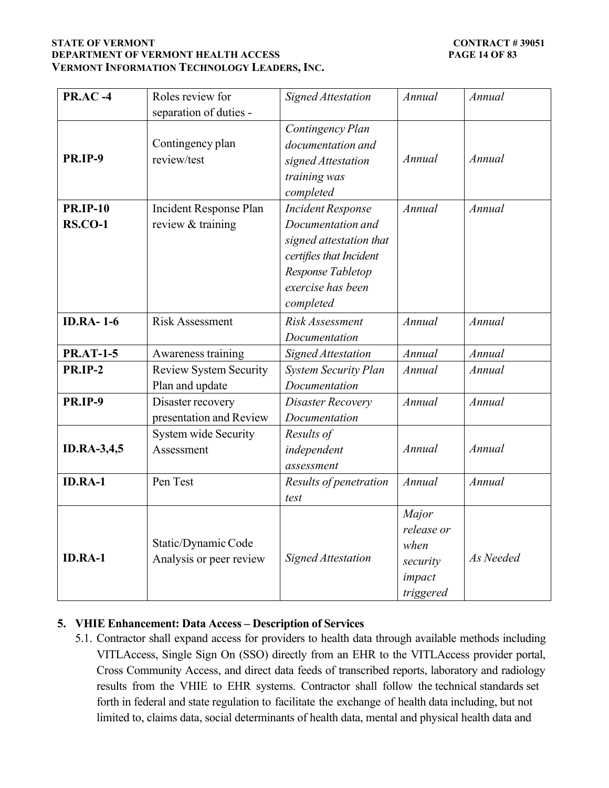### **STATE OF VERMONT CONTRACT # 39051 DEPARTMENT OF VERMONT HEALTH ACCESS PAGE 14 OF 83 VERMONT INFORMATION TECHNOLOGY LEADERS, INC.**

| <b>PR.AC-4</b>                    | Roles review for<br>separation of duties -       | <b>Signed Attestation</b>                                                                                                                                  | Annual                                                         | Annual    |  |
|-----------------------------------|--------------------------------------------------|------------------------------------------------------------------------------------------------------------------------------------------------------------|----------------------------------------------------------------|-----------|--|
| <b>PR.IP-9</b>                    | Contingency plan<br>review/test                  | Contingency Plan<br>documentation and<br>signed Attestation<br>training was<br>completed                                                                   | Annual                                                         | Annual    |  |
| <b>PR.IP-10</b><br><b>RS.CO-1</b> | Incident Response Plan<br>review & training      | <b>Incident Response</b><br>Documentation and<br>signed attestation that<br>certifies that Incident<br>Response Tabletop<br>exercise has been<br>completed | Annual                                                         | Annual    |  |
| <b>ID.RA-1-6</b>                  | <b>Risk Assessment</b>                           | Risk Assessment<br>Documentation                                                                                                                           | Annual                                                         | Annual    |  |
| <b>PR.AT-1-5</b>                  | Awareness training                               | <b>Signed Attestation</b>                                                                                                                                  | Annual                                                         | Annual    |  |
| <b>PR.IP-2</b>                    | <b>Review System Security</b><br>Plan and update | <b>System Security Plan</b><br>Documentation                                                                                                               | Annual                                                         | Annual    |  |
| <b>PR.IP-9</b>                    | Disaster recovery<br>presentation and Review     | Disaster Recovery<br>Documentation                                                                                                                         | Annual                                                         | Annual    |  |
| <b>ID.RA-3,4,5</b>                | <b>System wide Security</b><br>Assessment        | Results of<br>independent<br>assessment                                                                                                                    | Annual                                                         | Annual    |  |
| <b>ID.RA-1</b>                    | Pen Test                                         | Results of penetration<br>test                                                                                                                             | Annual                                                         | Annual    |  |
| <b>ID.RA-1</b>                    | Static/Dynamic Code<br>Analysis or peer review   | <b>Signed Attestation</b>                                                                                                                                  | Major<br>release or<br>when<br>security<br>impact<br>triggered | As Needed |  |

## **5. VHIE Enhancement: Data Access – Description of Services**

5.1. Contractor shall expand access for providers to health data through available methods including VITLAccess, Single Sign On (SSO) directly from an EHR to the VITLAccess provider portal, Cross Community Access, and direct data feeds of transcribed reports, laboratory and radiology results from the VHIE to EHR systems. Contractor shall follow the technical standards set forth in federal and state regulation to facilitate the exchange of health data including, but not limited to, claims data, social determinants of health data, mental and physical health data and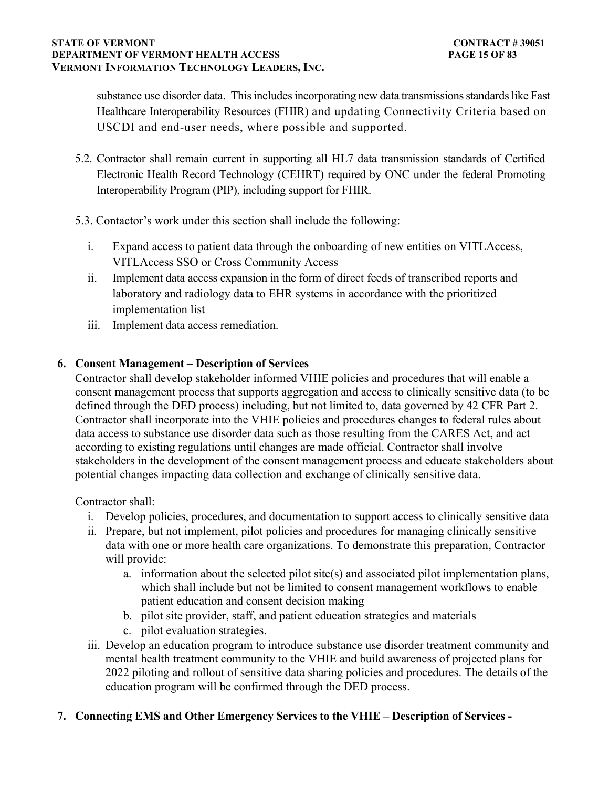substance use disorder data. This includes incorporating new data transmissions standards like Fast Healthcare Interoperability Resources (FHIR) and updating Connectivity Criteria based on USCDI and end-user needs, where possible and supported.

- 5.2. Contractor shall remain current in supporting all HL7 data transmission standards of Certified Electronic Health Record Technology (CEHRT) required by ONC under the federal Promoting Interoperability Program (PIP), including support for FHIR.
- 5.3. Contactor's work under this section shall include the following:
	- i. Expand access to patient data through the onboarding of new entities on VITLAccess, VITLAccess SSO or Cross Community Access
	- ii. Implement data access expansion in the form of direct feeds of transcribed reports and laboratory and radiology data to EHR systems in accordance with the prioritized implementation list
	- iii. Implement data access remediation.

# **6. Consent Management – Description of Services**

Contractor shall develop stakeholder informed VHIE policies and procedures that will enable a consent management process that supports aggregation and access to clinically sensitive data (to be defined through the DED process) including, but not limited to, data governed by 42 CFR Part 2. Contractor shall incorporate into the VHIE policies and procedures changes to federal rules about data access to substance use disorder data such as those resulting from the CARES Act, and act according to existing regulations until changes are made official. Contractor shall involve stakeholders in the development of the consent management process and educate stakeholders about potential changes impacting data collection and exchange of clinically sensitive data.

Contractor shall:

- i. Develop policies, procedures, and documentation to support access to clinically sensitive data
- ii. Prepare, but not implement, pilot policies and procedures for managing clinically sensitive data with one or more health care organizations. To demonstrate this preparation, Contractor will provide:
	- a. information about the selected pilot site(s) and associated pilot implementation plans, which shall include but not be limited to consent management workflows to enable patient education and consent decision making
	- b. pilot site provider, staff, and patient education strategies and materials
	- c. pilot evaluation strategies.
- iii. Develop an education program to introduce substance use disorder treatment community and mental health treatment community to the VHIE and build awareness of projected plans for 2022 piloting and rollout of sensitive data sharing policies and procedures. The details of the education program will be confirmed through the DED process.

## **7. Connecting EMS and Other Emergency Services to the VHIE – Description of Services -**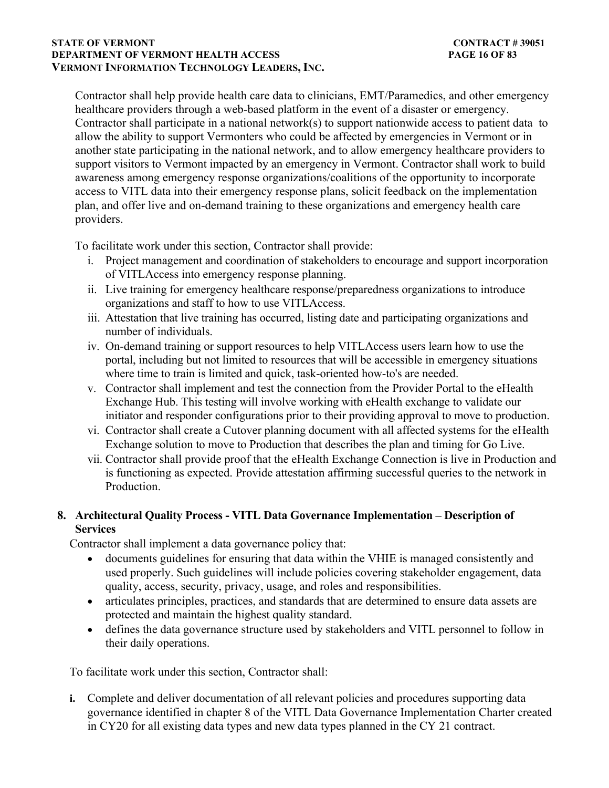#### **STATE OF VERMONT** CONTRACT # 39051 **DEPARTMENT OF VERMONT HEALTH ACCESS PAGE 16 OF 83 VERMONT INFORMATION TECHNOLOGY LEADERS, INC.**

Contractor shall help provide health care data to clinicians, EMT/Paramedics, and other emergency healthcare providers through a web-based platform in the event of a disaster or emergency. Contractor shall participate in a national network(s) to support nationwide access to patient data to allow the ability to support Vermonters who could be affected by emergencies in Vermont or in another state participating in the national network, and to allow emergency healthcare providers to support visitors to Vermont impacted by an emergency in Vermont. Contractor shall work to build awareness among emergency response organizations/coalitions of the opportunity to incorporate access to VITL data into their emergency response plans, solicit feedback on the implementation plan, and offer live and on-demand training to these organizations and emergency health care providers.

To facilitate work under this section, Contractor shall provide:

- i. Project management and coordination of stakeholders to encourage and support incorporation of VITLAccess into emergency response planning.
- ii. Live training for emergency healthcare response/preparedness organizations to introduce organizations and staff to how to use VITLAccess.
- iii. Attestation that live training has occurred, listing date and participating organizations and number of individuals.
- iv. On-demand training or support resources to help VITLAccess users learn how to use the portal, including but not limited to resources that will be accessible in emergency situations where time to train is limited and quick, task-oriented how-to's are needed.
- v. Contractor shall implement and test the connection from the Provider Portal to the eHealth Exchange Hub. This testing will involve working with eHealth exchange to validate our initiator and responder configurations prior to their providing approval to move to production.
- vi. Contractor shall create a Cutover planning document with all affected systems for the eHealth Exchange solution to move to Production that describes the plan and timing for Go Live.
- vii. Contractor shall provide proof that the eHealth Exchange Connection is live in Production and is functioning as expected. Provide attestation affirming successful queries to the network in Production.

## **8. Architectural Quality Process - VITL Data Governance Implementation – Description of Services**

Contractor shall implement a data governance policy that:

- documents guidelines for ensuring that data within the VHIE is managed consistently and used properly. Such guidelines will include policies covering stakeholder engagement, data quality, access, security, privacy, usage, and roles and responsibilities.
- articulates principles, practices, and standards that are determined to ensure data assets are protected and maintain the highest quality standard.
- defines the data governance structure used by stakeholders and VITL personnel to follow in their daily operations.

To facilitate work under this section, Contractor shall:

**i.** Complete and deliver documentation of all relevant policies and procedures supporting data governance identified in chapter 8 of the VITL Data Governance Implementation Charter created in CY20 for all existing data types and new data types planned in the CY 21 contract.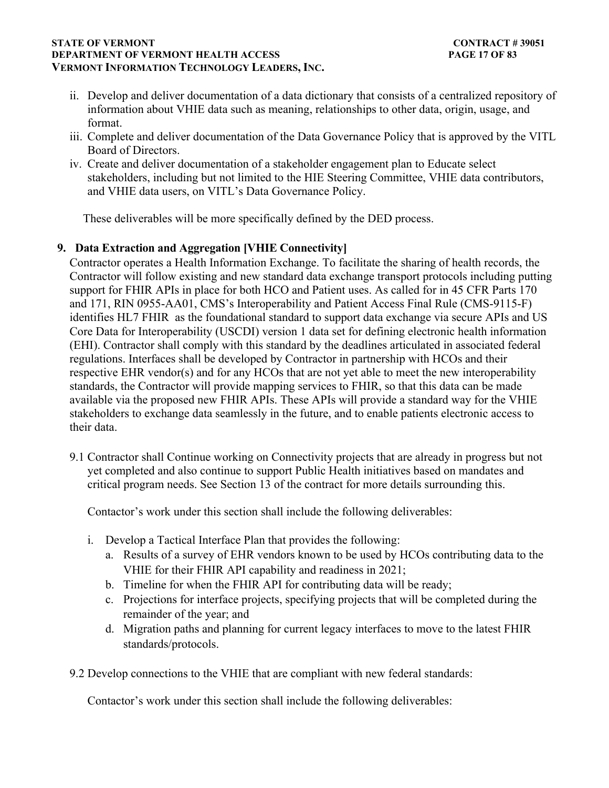### **STATE OF VERMONT** CONTRACT # 39051 **DEPARTMENT OF VERMONT HEALTH ACCESS PAGE 17 OF 83 VERMONT INFORMATION TECHNOLOGY LEADERS, INC.**

- ii. Develop and deliver documentation of a data dictionary that consists of a centralized repository of information about VHIE data such as meaning, relationships to other data, origin, usage, and format.
- iii. Complete and deliver documentation of the Data Governance Policy that is approved by the VITL Board of Directors.
- iv. Create and deliver documentation of a stakeholder engagement plan to Educate select stakeholders, including but not limited to the HIE Steering Committee, VHIE data contributors, and VHIE data users, on VITL's Data Governance Policy.

These deliverables will be more specifically defined by the DED process.

## **9. Data Extraction and Aggregation [VHIE Connectivity]**

Contractor operates a Health Information Exchange. To facilitate the sharing of health records, the Contractor will follow existing and new standard data exchange transport protocols including putting support for FHIR APIs in place for both HCO and Patient uses. As called for in 45 CFR Parts 170 and 171, RIN 0955-AA01, CMS's Interoperability and Patient Access Final Rule (CMS-9115-F) identifies HL7 FHIR as the foundational standard to support data exchange via secure APIs and US Core Data for Interoperability (USCDI) version 1 data set for defining electronic health information (EHI). Contractor shall comply with this standard by the deadlines articulated in associated federal regulations. Interfaces shall be developed by Contractor in partnership with HCOs and their respective EHR vendor(s) and for any HCOs that are not yet able to meet the new interoperability standards, the Contractor will provide mapping services to FHIR, so that this data can be made available via the proposed new FHIR APIs. These APIs will provide a standard way for the VHIE stakeholders to exchange data seamlessly in the future, and to enable patients electronic access to their data.

9.1 Contractor shall Continue working on Connectivity projects that are already in progress but not yet completed and also continue to support Public Health initiatives based on mandates and critical program needs. See Section 13 of the contract for more details surrounding this.

Contactor's work under this section shall include the following deliverables:

- i. Develop a Tactical Interface Plan that provides the following:
	- a. Results of a survey of EHR vendors known to be used by HCOs contributing data to the VHIE for their FHIR API capability and readiness in 2021;
	- b. Timeline for when the FHIR API for contributing data will be ready;
	- c. Projections for interface projects, specifying projects that will be completed during the remainder of the year; and
	- d. Migration paths and planning for current legacy interfaces to move to the latest FHIR standards/protocols.
- 9.2 Develop connections to the VHIE that are compliant with new federal standards:

Contactor's work under this section shall include the following deliverables: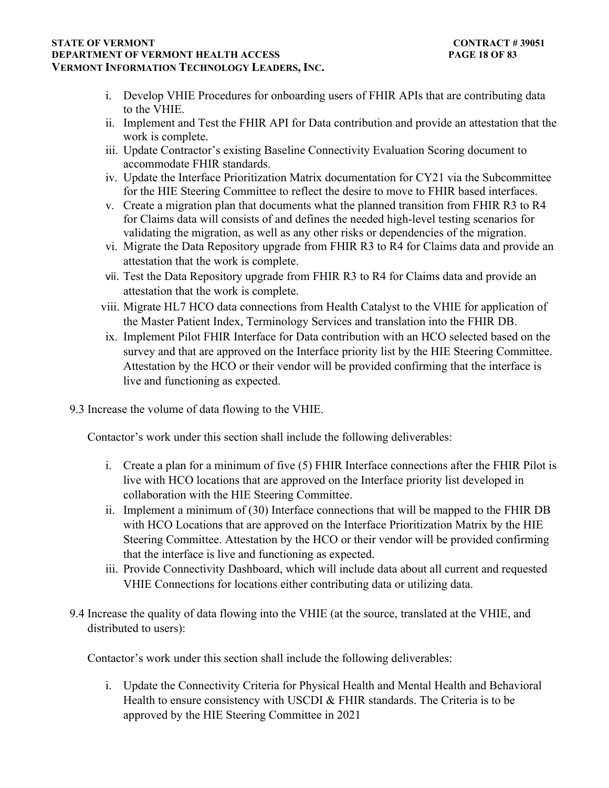### **STATE OF VERMONT** CONTRACT # 39051 **DEPARTMENT OF VERMONT HEALTH ACCESS PAGE 18 OF 83 VERMONT INFORMATION TECHNOLOGY LEADERS, INC.**

- i. Develop VHIE Procedures for onboarding users of FHIR APIs that are contributing data to the VHIE.
- ii. Implement and Test the FHIR API for Data contribution and provide an attestation that the work is complete.
- iii. Update Contractor's existing Baseline Connectivity Evaluation Scoring document to accommodate FHIR standards.
- iv. Update the Interface Prioritization Matrix documentation for CY21 via the Subcommittee for the HIE Steering Committee to reflect the desire to move to FHIR based interfaces.
- v. Create a migration plan that documents what the planned transition from FHIR R3 to R4 for Claims data will consists of and defines the needed high-level testing scenarios for validating the migration, as well as any other risks or dependencies of the migration.
- vi. Migrate the Data Repository upgrade from FHIR R3 to R4 for Claims data and provide an attestation that the work is complete.
- vii. Test the Data Repository upgrade from FHIR R3 to R4 for Claims data and provide an attestation that the work is complete.
- viii. Migrate HL7 HCO data connections from Health Catalyst to the VHIE for application of the Master Patient Index, Terminology Services and translation into the FHIR DB.
- ix. Implement Pilot FHIR Interface for Data contribution with an HCO selected based on the survey and that are approved on the Interface priority list by the HIE Steering Committee. Attestation by the HCO or their vendor will be provided confirming that the interface is live and functioning as expected.
- 9.3 Increase the volume of data flowing to the VHIE.

Contactor's work under this section shall include the following deliverables:

- i. Create a plan for a minimum of five (5) FHIR Interface connections after the FHIR Pilot is live with HCO locations that are approved on the Interface priority list developed in collaboration with the HIE Steering Committee.
- ii. Implement a minimum of (30) Interface connections that will be mapped to the FHIR DB with HCO Locations that are approved on the Interface Prioritization Matrix by the HIE Steering Committee. Attestation by the HCO or their vendor will be provided confirming that the interface is live and functioning as expected.
- iii. Provide Connectivity Dashboard, which will include data about all current and requested VHIE Connections for locations either contributing data or utilizing data.
- 9.4 Increase the quality of data flowing into the VHIE (at the source, translated at the VHIE, and distributed to users):

Contactor's work under this section shall include the following deliverables:

i. Update the Connectivity Criteria for Physical Health and Mental Health and Behavioral Health to ensure consistency with USCDI & FHIR standards. The Criteria is to be approved by the HIE Steering Committee in 2021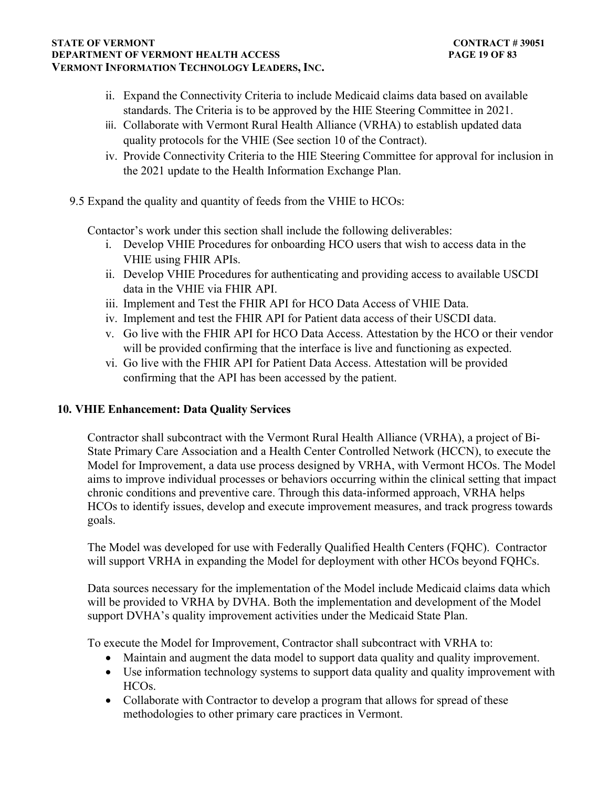#### **STATE OF VERMONT** CONTRACT # 39051 **DEPARTMENT OF VERMONT HEALTH ACCESS PAGE 19 OF 83 VERMONT INFORMATION TECHNOLOGY LEADERS, INC.**

- ii. Expand the Connectivity Criteria to include Medicaid claims data based on available standards. The Criteria is to be approved by the HIE Steering Committee in 2021.
- iii. Collaborate with Vermont Rural Health Alliance (VRHA) to establish updated data quality protocols for the VHIE (See section 10 of the Contract).
- iv. Provide Connectivity Criteria to the HIE Steering Committee for approval for inclusion in the 2021 update to the Health Information Exchange Plan.
- 9.5 Expand the quality and quantity of feeds from the VHIE to HCOs:

Contactor's work under this section shall include the following deliverables:

- i. Develop VHIE Procedures for onboarding HCO users that wish to access data in the VHIE using FHIR APIs.
- ii. Develop VHIE Procedures for authenticating and providing access to available USCDI data in the VHIE via FHIR API.
- iii. Implement and Test the FHIR API for HCO Data Access of VHIE Data.
- iv. Implement and test the FHIR API for Patient data access of their USCDI data.
- v. Go live with the FHIR API for HCO Data Access. Attestation by the HCO or their vendor will be provided confirming that the interface is live and functioning as expected.
- vi. Go live with the FHIR API for Patient Data Access. Attestation will be provided confirming that the API has been accessed by the patient.

## **10. VHIE Enhancement: Data Quality Services**

Contractor shall subcontract with the Vermont Rural Health Alliance (VRHA), a project of Bi-State Primary Care Association and a Health Center Controlled Network (HCCN), to execute the Model for Improvement, a data use process designed by VRHA, with Vermont HCOs. The Model aims to improve individual processes or behaviors occurring within the clinical setting that impact chronic conditions and preventive care. Through this data-informed approach, VRHA helps HCOs to identify issues, develop and execute improvement measures, and track progress towards goals.

The Model was developed for use with Federally Qualified Health Centers (FQHC). Contractor will support VRHA in expanding the Model for deployment with other HCOs beyond FQHCs.

Data sources necessary for the implementation of the Model include Medicaid claims data which will be provided to VRHA by DVHA. Both the implementation and development of the Model support DVHA's quality improvement activities under the Medicaid State Plan.

To execute the Model for Improvement, Contractor shall subcontract with VRHA to:

- Maintain and augment the data model to support data quality and quality improvement.
- Use information technology systems to support data quality and quality improvement with HCOs.
- Collaborate with Contractor to develop a program that allows for spread of these methodologies to other primary care practices in Vermont.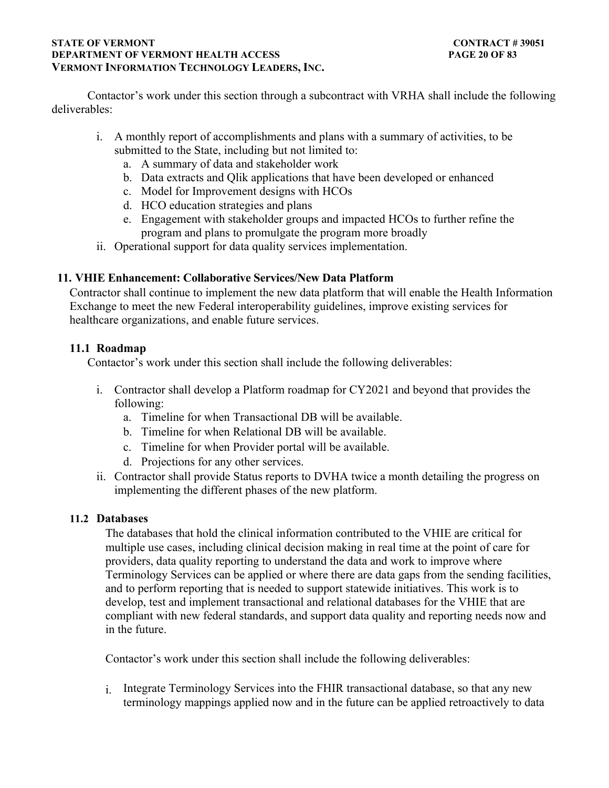### **STATE OF VERMONT** CONTRACT # 39051 **DEPARTMENT OF VERMONT HEALTH ACCESS PAGE 20 OF 83 VERMONT INFORMATION TECHNOLOGY LEADERS, INC.**

Contactor's work under this section through a subcontract with VRHA shall include the following deliverables:

- i. A monthly report of accomplishments and plans with a summary of activities, to be submitted to the State, including but not limited to:
	- a. A summary of data and stakeholder work
	- b. Data extracts and Qlik applications that have been developed or enhanced
	- c. Model for Improvement designs with HCOs
	- d. HCO education strategies and plans
	- e. Engagement with stakeholder groups and impacted HCOs to further refine the program and plans to promulgate the program more broadly
- ii. Operational support for data quality services implementation.

## **11. VHIE Enhancement: Collaborative Services/New Data Platform**

Contractor shall continue to implement the new data platform that will enable the Health Information Exchange to meet the new Federal interoperability guidelines, improve existing services for healthcare organizations, and enable future services.

## **11.1 Roadmap**

Contactor's work under this section shall include the following deliverables:

- i. Contractor shall develop a Platform roadmap for CY2021 and beyond that provides the following:
	- a. Timeline for when Transactional DB will be available.
	- b. Timeline for when Relational DB will be available.
	- c. Timeline for when Provider portal will be available.
	- d. Projections for any other services.
- ii. Contractor shall provide Status reports to DVHA twice a month detailing the progress on implementing the different phases of the new platform.

## **11.2 Databases**

The databases that hold the clinical information contributed to the VHIE are critical for multiple use cases, including clinical decision making in real time at the point of care for providers, data quality reporting to understand the data and work to improve where Terminology Services can be applied or where there are data gaps from the sending facilities, and to perform reporting that is needed to support statewide initiatives. This work is to develop, test and implement transactional and relational databases for the VHIE that are compliant with new federal standards, and support data quality and reporting needs now and in the future.

Contactor's work under this section shall include the following deliverables:

i. Integrate Terminology Services into the FHIR transactional database, so that any new terminology mappings applied now and in the future can be applied retroactively to data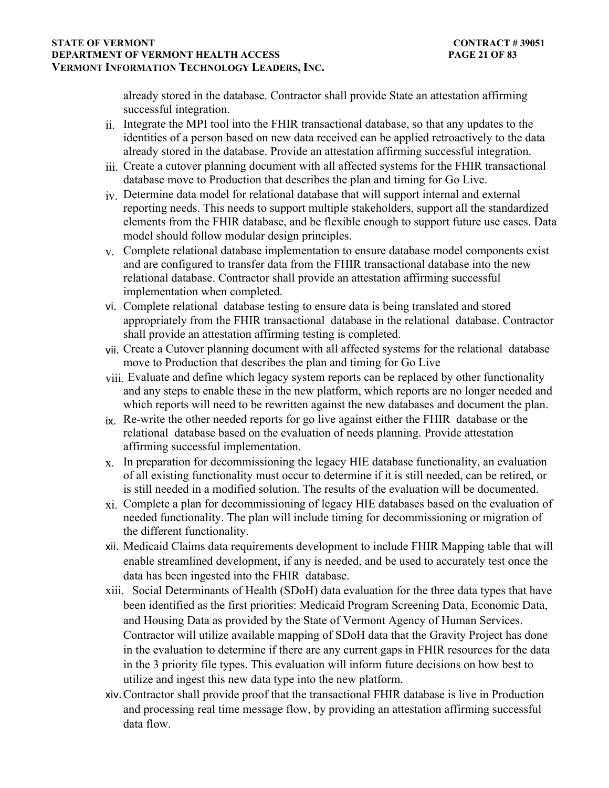### **STATE OF VERMONT** CONTRACT # 39051 **DEPARTMENT OF VERMONT HEALTH ACCESS PAGE 21 OF 83 VERMONT INFORMATION TECHNOLOGY LEADERS, INC.**

already stored in the database. Contractor shall provide State an attestation affirming successful integration.

- ii. Integrate the MPI tool into the FHIR transactional database, so that any updates to the identities of a person based on new data received can be applied retroactively to the data already stored in the database. Provide an attestation affirming successful integration.
- iii. Create a cutover planning document with all affected systems for the FHIR transactional database move to Production that describes the plan and timing for Go Live.
- iv. Determine data model for relational database that will support internal and external reporting needs. This needs to support multiple stakeholders, support all the standardized elements from the FHIR database, and be flexible enough to support future use cases. Data model should follow modular design principles.
- v. Complete relational database implementation to ensure database model components exist and are configured to transfer data from the FHIR transactional database into the new relational database. Contractor shall provide an attestation affirming successful implementation when completed.
- vi. Complete relational database testing to ensure data is being translated and stored appropriately from the FHIR transactional database in the relational database. Contractor shall provide an attestation affirming testing is completed.
- vii. Create a Cutover planning document with all affected systems for the relational database move to Production that describes the plan and timing for Go Live
- viii. Evaluate and define which legacy system reports can be replaced by other functionality and any steps to enable these in the new platform, which reports are no longer needed and which reports will need to be rewritten against the new databases and document the plan.
- $i_{\mathbf{X}}$ . Re-write the other needed reports for go live against either the FHIR database or the relational database based on the evaluation of needs planning. Provide attestation affirming successful implementation.
- $x<sub>x</sub>$ . In preparation for decommissioning the legacy HIE database functionality, an evaluation of all existing functionality must occur to determine if it is still needed, can be retired, or is still needed in a modified solution. The results of the evaluation will be documented.
- xi. Complete a plan for decommissioning of legacy HIE databases based on the evaluation of needed functionality. The plan will include timing for decommissioning or migration of the different functionality.
- xii. Medicaid Claims data requirements development to include FHIR Mapping table that will enable streamlined development, if any is needed, and be used to accurately test once the data has been ingested into the FHIR database.
- xiii. Social Determinants of Health (SDoH) data evaluation for the three data types that have been identified as the first priorities: Medicaid Program Screening Data, Economic Data, and Housing Data as provided by the State of Vermont Agency of Human Services. Contractor will utilize available mapping of SDoH data that the Gravity Project has done in the evaluation to determine if there are any current gaps in FHIR resources for the data in the 3 priority file types. This evaluation will inform future decisions on how best to utilize and ingest this new data type into the new platform.
- xiv.Contractor shall provide proof that the transactional FHIR database is live in Production and processing real time message flow, by providing an attestation affirming successful data flow.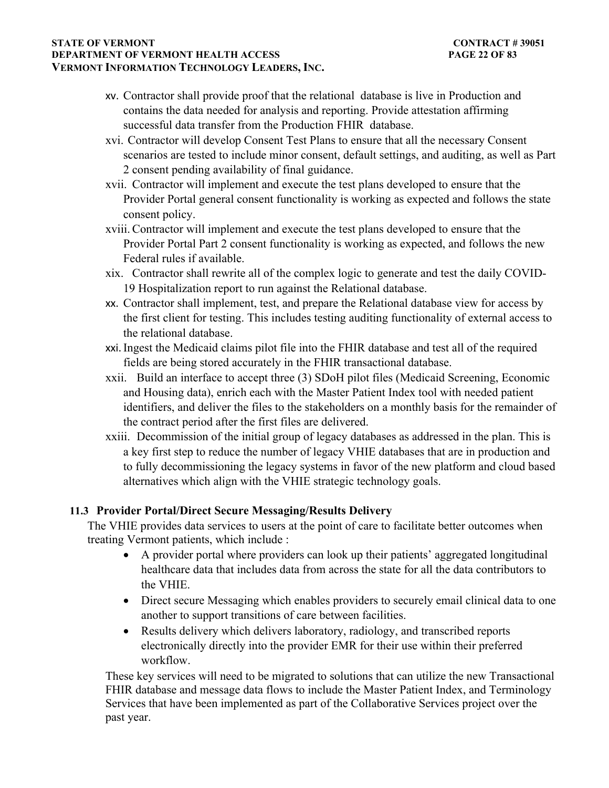#### **STATE OF VERMONT** CONTRACT # 39051 **DEPARTMENT OF VERMONT HEALTH ACCESS PAGE 22 OF 83 VERMONT INFORMATION TECHNOLOGY LEADERS, INC.**

- xv. Contractor shall provide proof that the relational database is live in Production and contains the data needed for analysis and reporting. Provide attestation affirming successful data transfer from the Production FHIR database.
- xvi. Contractor will develop Consent Test Plans to ensure that all the necessary Consent scenarios are tested to include minor consent, default settings, and auditing, as well as Part 2 consent pending availability of final guidance.
- xvii. Contractor will implement and execute the test plans developed to ensure that the Provider Portal general consent functionality is working as expected and follows the state consent policy.
- xviii. Contractor will implement and execute the test plans developed to ensure that the Provider Portal Part 2 consent functionality is working as expected, and follows the new Federal rules if available.
- xix. Contractor shall rewrite all of the complex logic to generate and test the daily COVID-19 Hospitalization report to run against the Relational database.
- xx. Contractor shall implement, test, and prepare the Relational database view for access by the first client for testing. This includes testing auditing functionality of external access to the relational database.
- xxi.Ingest the Medicaid claims pilot file into the FHIR database and test all of the required fields are being stored accurately in the FHIR transactional database.
- xxii. Build an interface to accept three (3) SDoH pilot files (Medicaid Screening, Economic and Housing data), enrich each with the Master Patient Index tool with needed patient identifiers, and deliver the files to the stakeholders on a monthly basis for the remainder of the contract period after the first files are delivered.
- xxiii. Decommission of the initial group of legacy databases as addressed in the plan. This is a key first step to reduce the number of legacy VHIE databases that are in production and to fully decommissioning the legacy systems in favor of the new platform and cloud based alternatives which align with the VHIE strategic technology goals.

## **11.3 Provider Portal/Direct Secure Messaging/Results Delivery**

The VHIE provides data services to users at the point of care to facilitate better outcomes when treating Vermont patients, which include :

- A provider portal where providers can look up their patients' aggregated longitudinal healthcare data that includes data from across the state for all the data contributors to the VHIE.
- Direct secure Messaging which enables providers to securely email clinical data to one another to support transitions of care between facilities.
- Results delivery which delivers laboratory, radiology, and transcribed reports electronically directly into the provider EMR for their use within their preferred workflow.

These key services will need to be migrated to solutions that can utilize the new Transactional FHIR database and message data flows to include the Master Patient Index, and Terminology Services that have been implemented as part of the Collaborative Services project over the past year.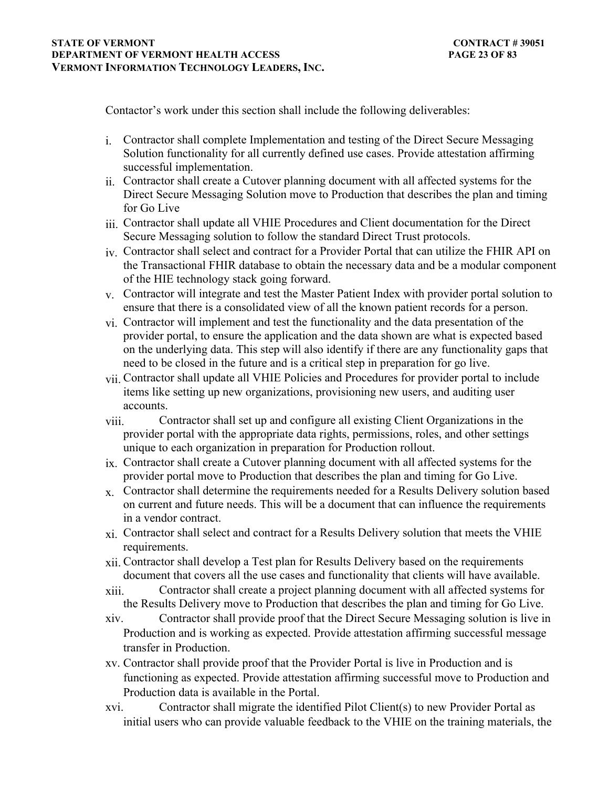Contactor's work under this section shall include the following deliverables:

- i. Contractor shall complete Implementation and testing of the Direct Secure Messaging Solution functionality for all currently defined use cases. Provide attestation affirming successful implementation.
- ii. Contractor shall create a Cutover planning document with all affected systems for the Direct Secure Messaging Solution move to Production that describes the plan and timing for Go Live
- iii. Contractor shall update all VHIE Procedures and Client documentation for the Direct Secure Messaging solution to follow the standard Direct Trust protocols.
- iv. Contractor shall select and contract for a Provider Portal that can utilize the FHIR API on the Transactional FHIR database to obtain the necessary data and be a modular component of the HIE technology stack going forward.
- $v<sub>x</sub>$ . Contractor will integrate and test the Master Patient Index with provider portal solution to ensure that there is a consolidated view of all the known patient records for a person.
- vi. Contractor will implement and test the functionality and the data presentation of the provider portal, to ensure the application and the data shown are what is expected based on the underlying data. This step will also identify if there are any functionality gaps that need to be closed in the future and is a critical step in preparation for go live.
- vii. Contractor shall update all VHIE Policies and Procedures for provider portal to include items like setting up new organizations, provisioning new users, and auditing user accounts.
- viii. Contractor shall set up and configure all existing Client Organizations in the provider portal with the appropriate data rights, permissions, roles, and other settings unique to each organization in preparation for Production rollout.
- ix. Contractor shall create a Cutover planning document with all affected systems for the provider portal move to Production that describes the plan and timing for Go Live.
- $x<sub>x</sub>$ . Contractor shall determine the requirements needed for a Results Delivery solution based on current and future needs. This will be a document that can influence the requirements in a vendor contract.
- xi. Contractor shall select and contract for a Results Delivery solution that meets the VHIE requirements.
- xii. Contractor shall develop a Test plan for Results Delivery based on the requirements document that covers all the use cases and functionality that clients will have available.
- xiii. Contractor shall create a project planning document with all affected systems for the Results Delivery move to Production that describes the plan and timing for Go Live.
- xiv. Contractor shall provide proof that the Direct Secure Messaging solution is live in Production and is working as expected. Provide attestation affirming successful message transfer in Production.
- xv. Contractor shall provide proof that the Provider Portal is live in Production and is functioning as expected. Provide attestation affirming successful move to Production and Production data is available in the Portal.
- xvi. Contractor shall migrate the identified Pilot Client(s) to new Provider Portal as initial users who can provide valuable feedback to the VHIE on the training materials, the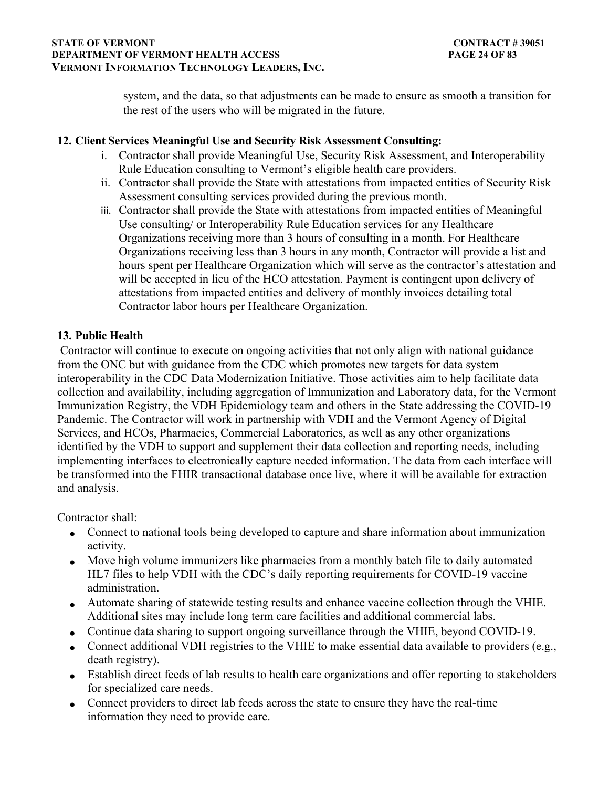### **STATE OF VERMONT** CONTRACT # 39051 **DEPARTMENT OF VERMONT HEALTH ACCESS PAGE 24 OF 83 VERMONT INFORMATION TECHNOLOGY LEADERS, INC.**

system, and the data, so that adjustments can be made to ensure as smooth a transition for the rest of the users who will be migrated in the future.

## **12. Client Services Meaningful Use and Security Risk Assessment Consulting:**

- i. Contractor shall provide Meaningful Use, Security Risk Assessment, and Interoperability Rule Education consulting to Vermont's eligible health care providers.
- ii. Contractor shall provide the State with attestations from impacted entities of Security Risk Assessment consulting services provided during the previous month.
- iii. Contractor shall provide the State with attestations from impacted entities of Meaningful Use consulting/ or Interoperability Rule Education services for any Healthcare Organizations receiving more than 3 hours of consulting in a month. For Healthcare Organizations receiving less than 3 hours in any month, Contractor will provide a list and hours spent per Healthcare Organization which will serve as the contractor's attestation and will be accepted in lieu of the HCO attestation. Payment is contingent upon delivery of attestations from impacted entities and delivery of monthly invoices detailing total Contractor labor hours per Healthcare Organization.

# **13. Public Health**

 Contractor will continue to execute on ongoing activities that not only align with national guidance from the ONC but with guidance from the CDC which promotes new targets for data system interoperability in the CDC Data Modernization Initiative. Those activities aim to help facilitate data collection and availability, including aggregation of Immunization and Laboratory data, for the Vermont Immunization Registry, the VDH Epidemiology team and others in the State addressing the COVID-19 Pandemic. The Contractor will work in partnership with VDH and the Vermont Agency of Digital Services, and HCOs, Pharmacies, Commercial Laboratories, as well as any other organizations identified by the VDH to support and supplement their data collection and reporting needs, including implementing interfaces to electronically capture needed information. The data from each interface will be transformed into the FHIR transactional database once live, where it will be available for extraction and analysis.

Contractor shall:

- Connect to national tools being developed to capture and share information about immunization activity.
- Move high volume immunizers like pharmacies from a monthly batch file to daily automated HL7 files to help VDH with the CDC's daily reporting requirements for COVID-19 vaccine administration.
- Automate sharing of statewide testing results and enhance vaccine collection through the VHIE. Additional sites may include long term care facilities and additional commercial labs.
- Continue data sharing to support ongoing surveillance through the VHIE, beyond COVID-19.
- Connect additional VDH registries to the VHIE to make essential data available to providers (e.g., death registry).
- Establish direct feeds of lab results to health care organizations and offer reporting to stakeholders for specialized care needs.
- Connect providers to direct lab feeds across the state to ensure they have the real-time information they need to provide care.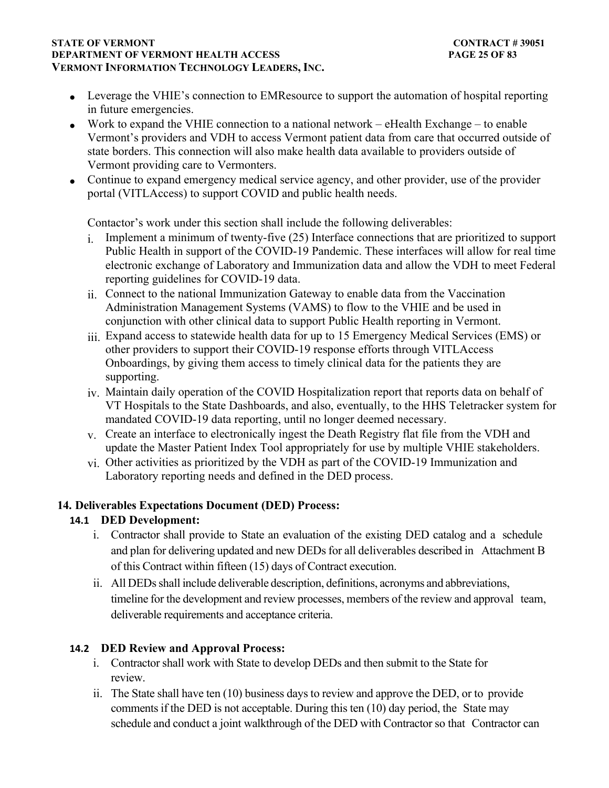#### **STATE OF VERMONT** CONTRACT # 39051 **DEPARTMENT OF VERMONT HEALTH ACCESS PAGE 25 OF 83 VERMONT INFORMATION TECHNOLOGY LEADERS, INC.**

- Leverage the VHIE's connection to EMResource to support the automation of hospital reporting in future emergencies.
- Work to expand the VHIE connection to a national network eHealth Exchange to enable Vermont's providers and VDH to access Vermont patient data from care that occurred outside of state borders. This connection will also make health data available to providers outside of Vermont providing care to Vermonters.
- Continue to expand emergency medical service agency, and other provider, use of the provider portal (VITLAccess) to support COVID and public health needs.

Contactor's work under this section shall include the following deliverables:

- i. Implement a minimum of twenty-five (25) Interface connections that are prioritized to support Public Health in support of the COVID-19 Pandemic. These interfaces will allow for real time electronic exchange of Laboratory and Immunization data and allow the VDH to meet Federal reporting guidelines for COVID-19 data.
- ii. Connect to the national Immunization Gateway to enable data from the Vaccination Administration Management Systems (VAMS) to flow to the VHIE and be used in conjunction with other clinical data to support Public Health reporting in Vermont.
- iii. Expand access to statewide health data for up to 15 Emergency Medical Services (EMS) or other providers to support their COVID-19 response efforts through VITLAccess Onboardings, by giving them access to timely clinical data for the patients they are supporting.
- iv. Maintain daily operation of the COVID Hospitalization report that reports data on behalf of VT Hospitals to the State Dashboards, and also, eventually, to the HHS Teletracker system for mandated COVID-19 data reporting, until no longer deemed necessary.
- $v<sub>x</sub>$ . Create an interface to electronically ingest the Death Registry flat file from the VDH and update the Master Patient Index Tool appropriately for use by multiple VHIE stakeholders.
- vi. Other activities as prioritized by the VDH as part of the COVID-19 Immunization and Laboratory reporting needs and defined in the DED process.

# **14. Deliverables Expectations Document (DED) Process:**

# **14.1 DED Development:**

- i. Contractor shall provide to State an evaluation of the existing DED catalog and a schedule and plan for delivering updated and new DEDs for all deliverables described in Attachment B of this Contract within fifteen (15) days of Contract execution.
- ii. All DEDs shall include deliverable description, definitions, acronyms and abbreviations, timeline for the development and review processes, members of the review and approval team, deliverable requirements and acceptance criteria.

# **14.2 DED Review and Approval Process:**

- i. Contractor shall work with State to develop DEDs and then submit to the State for review.
- ii. The State shall have ten (10) business days to review and approve the DED, or to provide comments if the DED is not acceptable. During this ten (10) day period, the State may schedule and conduct a joint walkthrough of the DED with Contractor so that Contractor can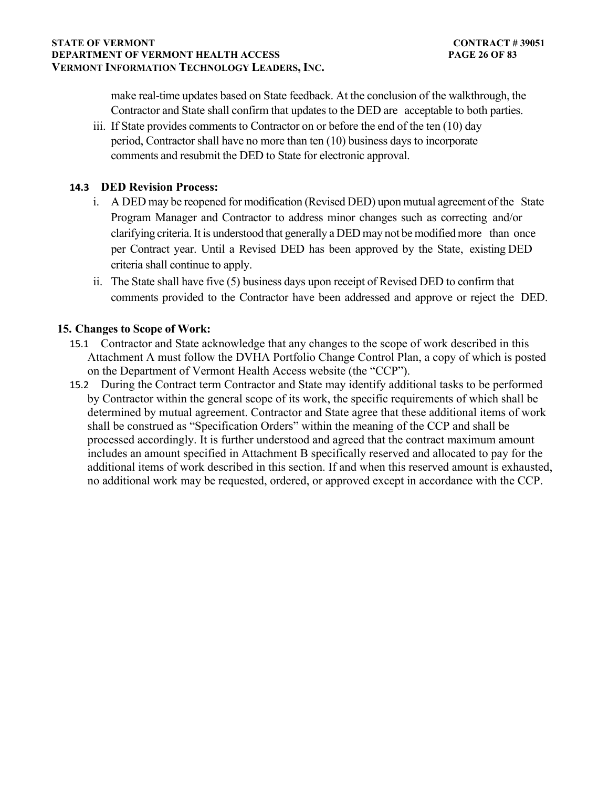#### **STATE OF VERMONT** CONTRACT # 39051 **DEPARTMENT OF VERMONT HEALTH ACCESS PAGE 26 OF 83 VERMONT INFORMATION TECHNOLOGY LEADERS, INC.**

make real-time updates based on State feedback. At the conclusion of the walkthrough, the Contractor and State shall confirm that updates to the DED are acceptable to both parties.

iii. If State provides comments to Contractor on or before the end of the ten (10) day period, Contractor shall have no more than ten (10) business days to incorporate comments and resubmit the DED to State for electronic approval.

## **14.3 DED Revision Process:**

- i. A DED may be reopened for modification (Revised DED) upon mutual agreement of the State Program Manager and Contractor to address minor changes such as correcting and/or clarifying criteria. It is understood that generally a DED may not be modified more than once per Contract year. Until a Revised DED has been approved by the State, existing DED criteria shall continue to apply.
- ii. The State shall have five (5) business days upon receipt of Revised DED to confirm that comments provided to the Contractor have been addressed and approve or reject the DED.

## **15. Changes to Scope of Work:**

- 15.1 Contractor and State acknowledge that any changes to the scope of work described in this Attachment A must follow the DVHA Portfolio Change Control Plan, a copy of which is posted on the Department of Vermont Health Access website (the "CCP").
- 15.2 During the Contract term Contractor and State may identify additional tasks to be performed by Contractor within the general scope of its work, the specific requirements of which shall be determined by mutual agreement. Contractor and State agree that these additional items of work shall be construed as "Specification Orders" within the meaning of the CCP and shall be processed accordingly. It is further understood and agreed that the contract maximum amount includes an amount specified in Attachment B specifically reserved and allocated to pay for the additional items of work described in this section. If and when this reserved amount is exhausted, no additional work may be requested, ordered, or approved except in accordance with the CCP.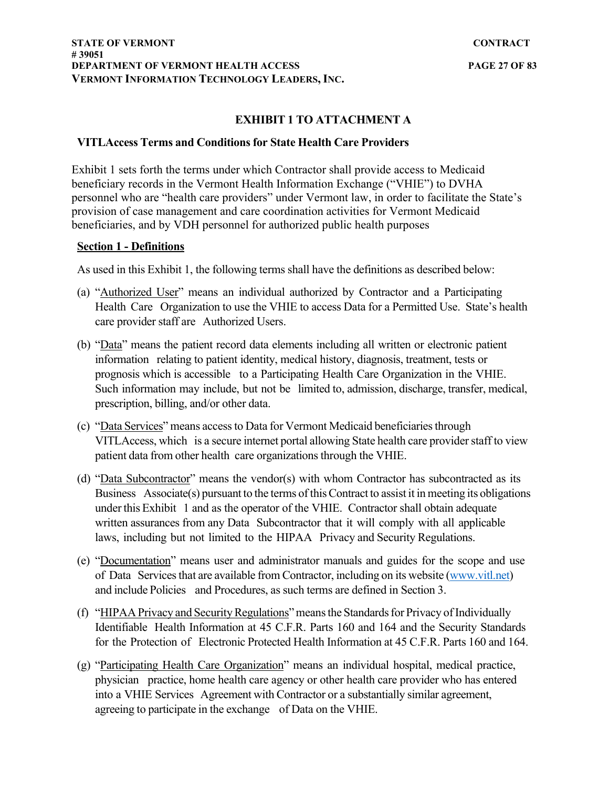## **EXHIBIT 1 TO ATTACHMENT A**

## **VITLAccess Terms and Conditions for State Health Care Providers**

Exhibit 1 sets forth the terms under which Contractor shall provide access to Medicaid beneficiary records in the Vermont Health Information Exchange ("VHIE") to DVHA personnel who are "health care providers" under Vermont law, in order to facilitate the State's provision of case management and care coordination activities for Vermont Medicaid beneficiaries, and by VDH personnel for authorized public health purposes

### **Section 1 - Definitions**

As used in this Exhibit 1, the following terms shall have the definitions as described below:

- (a) "Authorized User" means an individual authorized by Contractor and a Participating Health Care Organization to use the VHIE to access Data for a Permitted Use. State's health care provider staff are Authorized Users.
- (b) "Data" means the patient record data elements including all written or electronic patient information relating to patient identity, medical history, diagnosis, treatment, tests or prognosis which is accessible to a Participating Health Care Organization in the VHIE. Such information may include, but not be limited to, admission, discharge, transfer, medical, prescription, billing, and/or other data.
- (c) "Data Services" means access to Data for Vermont Medicaid beneficiaries through VITLAccess, which is a secure internet portal allowing State health care provider staff to view patient data from other health care organizations through the VHIE.
- (d) "Data Subcontractor" means the vendor(s) with whom Contractor has subcontracted as its Business Associate(s) pursuant to the terms of this Contract to assist it in meeting its obligations under this Exhibit 1 and as the operator of the VHIE. Contractor shall obtain adequate written assurances from any Data Subcontractor that it will comply with all applicable laws, including but not limited to the HIPAA Privacy and Security Regulations.
- (e) "Documentation" means user and administrator manuals and guides for the scope and use of Data Services that are available from Contractor, including on its website [\(www.vitl.net](http://www.vitl.net/)) and include Policies and Procedures, as such terms are defined in Section 3.
- (f) "HIPAA Privacy and Security Regulations" means the Standards for Privacy of Individually Identifiable Health Information at 45 C.F.R. Parts 160 and 164 and the Security Standards for the Protection of Electronic Protected Health Information at 45 C.F.R. Parts 160 and 164.
- (g) "Participating Health Care Organization" means an individual hospital, medical practice, physician practice, home health care agency or other health care provider who has entered into a VHIE Services Agreement with Contractor or a substantially similar agreement, agreeing to participate in the exchange of Data on the VHIE.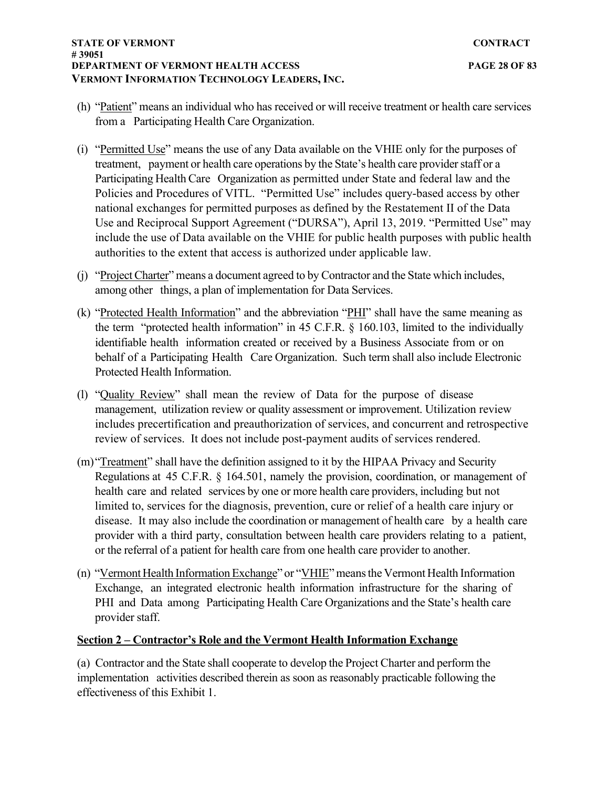- (h) "Patient" means an individual who has received or will receive treatment or health care services from a Participating Health Care Organization.
- (i) "Permitted Use" means the use of any Data available on the VHIE only for the purposes of treatment, payment or health care operations by the State's health care provider staff or a Participating Health Care Organization as permitted under State and federal law and the Policies and Procedures of VITL. "Permitted Use" includes query-based access by other national exchanges for permitted purposes as defined by the Restatement II of the Data Use and Reciprocal Support Agreement ("DURSA"), April 13, 2019. "Permitted Use" may include the use of Data available on the VHIE for public health purposes with public health authorities to the extent that access is authorized under applicable law.
- (j) "Project Charter" means a document agreed to by Contractor and the State which includes, among other things, a plan of implementation for Data Services.
- (k) "Protected Health Information" and the abbreviation "PHI" shall have the same meaning as the term "protected health information" in 45 C.F.R. § 160.103, limited to the individually identifiable health information created or received by a Business Associate from or on behalf of a Participating Health Care Organization. Such term shall also include Electronic Protected Health Information.
- (l) "Quality Review" shall mean the review of Data for the purpose of disease management, utilization review or quality assessment or improvement. Utilization review includes precertification and preauthorization of services, and concurrent and retrospective review of services. It does not include post-payment audits of services rendered.
- (m)"Treatment" shall have the definition assigned to it by the HIPAA Privacy and Security Regulations at 45 C.F.R. § 164.501, namely the provision, coordination, or management of health care and related services by one or more health care providers, including but not limited to, services for the diagnosis, prevention, cure or relief of a health care injury or disease. It may also include the coordination or management of health care by a health care provider with a third party, consultation between health care providers relating to a patient, or the referral of a patient for health care from one health care provider to another.
- (n) "Vermont Health Information Exchange" or "VHIE" means the Vermont Health Information Exchange, an integrated electronic health information infrastructure for the sharing of PHI and Data among Participating Health Care Organizations and the State's health care provider staff.

## **Section 2 – Contractor's Role and the Vermont Health Information Exchange**

(a) Contractor and the State shall cooperate to develop the Project Charter and perform the implementation activities described therein as soon as reasonably practicable following the effectiveness of this Exhibit 1.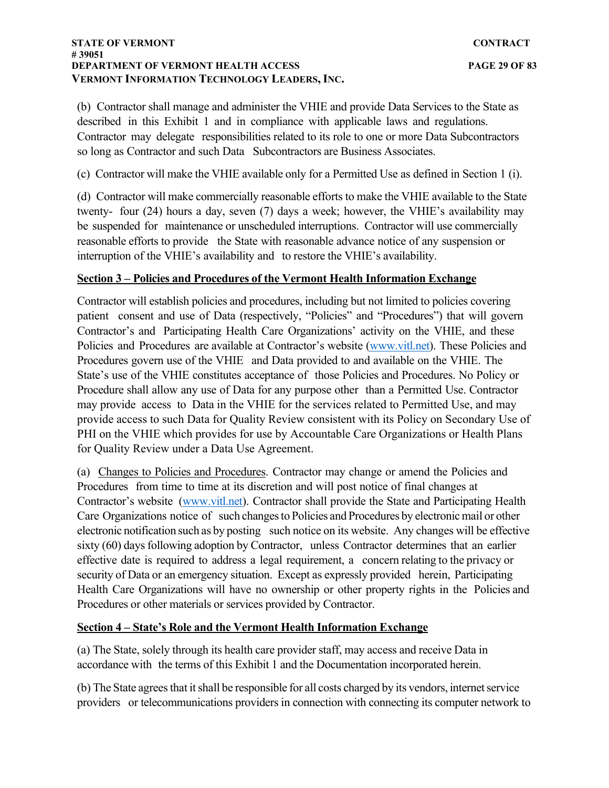#### **STATE OF VERMONT CONTRACT # 39051 DEPARTMENT OF VERMONT HEALTH ACCESS PAGE 29 OF 83 VERMONT INFORMATION TECHNOLOGY LEADERS, INC.**

(b) Contractor shall manage and administer the VHIE and provide Data Services to the State as described in this Exhibit 1 and in compliance with applicable laws and regulations. Contractor may delegate responsibilities related to its role to one or more Data Subcontractors so long as Contractor and such Data Subcontractors are Business Associates.

(c) Contractor will make the VHIE available only for a Permitted Use as defined in Section 1 (i).

(d) Contractor will make commercially reasonable efforts to make the VHIE available to the State twenty- four (24) hours a day, seven (7) days a week; however, the VHIE's availability may be suspended for maintenance or unscheduled interruptions. Contractor will use commercially reasonable efforts to provide the State with reasonable advance notice of any suspension or interruption of the VHIE's availability and to restore the VHIE's availability.

## **Section 3 – Policies and Procedures of the Vermont Health Information Exchange**

Contractor will establish policies and procedures, including but not limited to policies covering patient consent and use of Data (respectively, "Policies" and "Procedures") that will govern Contractor's and Participating Health Care Organizations' activity on the VHIE, and these Policies and Procedures are available at Contractor's website [\(www.vitl.net\)](http://www.vitl.net/). These Policies and Procedures govern use of the VHIE and Data provided to and available on the VHIE. The State's use of the VHIE constitutes acceptance of those Policies and Procedures. No Policy or Procedure shall allow any use of Data for any purpose other than a Permitted Use. Contractor may provide access to Data in the VHIE for the services related to Permitted Use, and may provide access to such Data for Quality Review consistent with its Policy on Secondary Use of PHI on the VHIE which provides for use by Accountable Care Organizations or Health Plans for Quality Review under a Data Use Agreement.

(a) Changes to Policies and Procedures. Contractor may change or amend the Policies and Procedures from time to time at its discretion and will post notice of final changes at Contractor's website ([www.vitl.net\)](http://www.vitl.net/). Contractor shall provide the State and Participating Health Care Organizations notice of such changes to Policies and Procedures by electronic mail or other electronic notification such as by posting such notice on its website. Any changes will be effective sixty (60) days following adoption by Contractor, unless Contractor determines that an earlier effective date is required to address a legal requirement, a concern relating to the privacy or security of Data or an emergency situation. Except as expressly provided herein, Participating Health Care Organizations will have no ownership or other property rights in the Policies and Procedures or other materials or services provided by Contractor.

## **Section 4 – State's Role and the Vermont Health Information Exchange**

(a) The State, solely through its health care provider staff, may access and receive Data in accordance with the terms of this Exhibit 1 and the Documentation incorporated herein.

(b) The State agrees that it shall be responsible for all costs charged by its vendors, internet service providers or telecommunications providers in connection with connecting its computer network to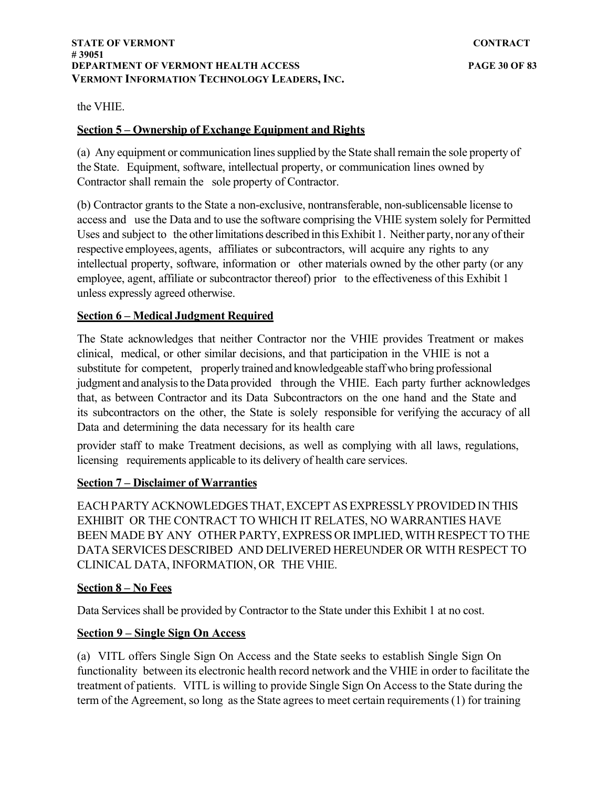the VHIE.

## **Section 5 – Ownership of Exchange Equipment and Rights**

(a) Any equipment or communication lines supplied by the State shall remain the sole property of the State. Equipment, software, intellectual property, or communication lines owned by Contractor shall remain the sole property of Contractor.

(b) Contractor grants to the State a non-exclusive, nontransferable, non-sublicensable license to access and use the Data and to use the software comprising the VHIE system solely for Permitted Uses and subject to the other limitations described in this Exhibit 1. Neither party, nor any of their respective employees, agents, affiliates or subcontractors, will acquire any rights to any intellectual property, software, information or other materials owned by the other party (or any employee, agent, affiliate or subcontractor thereof) prior to the effectiveness of this Exhibit 1 unless expressly agreed otherwise.

## **Section 6 – Medical Judgment Required**

The State acknowledges that neither Contractor nor the VHIE provides Treatment or makes clinical, medical, or other similar decisions, and that participation in the VHIE is not a substitute for competent, properly trained and knowledgeable staff who bring professional judgment and analysis to the Data provided through the VHIE. Each party further acknowledges that, as between Contractor and its Data Subcontractors on the one hand and the State and its subcontractors on the other, the State is solely responsible for verifying the accuracy of all Data and determining the data necessary for its health care

provider staff to make Treatment decisions, as well as complying with all laws, regulations, licensing requirements applicable to its delivery of health care services.

## **Section 7 – Disclaimer of Warranties**

EACH PARTY ACKNOWLEDGES THAT, EXCEPT AS EXPRESSLY PROVIDED IN THIS EXHIBIT OR THE CONTRACT TO WHICH IT RELATES, NO WARRANTIES HAVE BEEN MADE BY ANY OTHER PARTY, EXPRESS OR IMPLIED, WITH RESPECT TO THE DATA SERVICES DESCRIBED AND DELIVERED HEREUNDER OR WITH RESPECT TO CLINICAL DATA, INFORMATION, OR THE VHIE.

## **Section 8 – No Fees**

Data Services shall be provided by Contractor to the State under this Exhibit 1 at no cost.

## **Section 9 – Single Sign On Access**

(a) VITL offers Single Sign On Access and the State seeks to establish Single Sign On functionality between its electronic health record network and the VHIE in order to facilitate the treatment of patients. VITL is willing to provide Single Sign On Access to the State during the term of the Agreement, so long as the State agrees to meet certain requirements (1) for training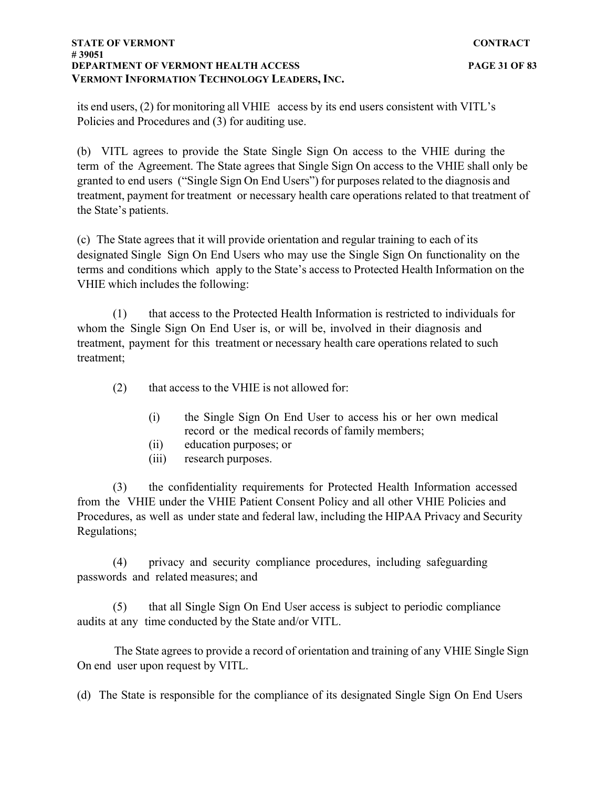#### **STATE OF VERMONT** CONTRACT **# 39051 DEPARTMENT OF VERMONT HEALTH ACCESS PAGE 31 OF 83 VERMONT INFORMATION TECHNOLOGY LEADERS, INC.**

its end users, (2) for monitoring all VHIE access by its end users consistent with VITL's Policies and Procedures and (3) for auditing use.

(b) VITL agrees to provide the State Single Sign On access to the VHIE during the term of the Agreement. The State agrees that Single Sign On access to the VHIE shall only be granted to end users ("Single Sign On End Users") for purposes related to the diagnosis and treatment, payment for treatment or necessary health care operations related to that treatment of the State's patients.

(c) The State agrees that it will provide orientation and regular training to each of its designated Single Sign On End Users who may use the Single Sign On functionality on the terms and conditions which apply to the State's access to Protected Health Information on the VHIE which includes the following:

(1) that access to the Protected Health Information is restricted to individuals for whom the Single Sign On End User is, or will be, involved in their diagnosis and treatment, payment for this treatment or necessary health care operations related to such treatment;

(2) that access to the VHIE is not allowed for:

- (i) the Single Sign On End User to access his or her own medical record or the medical records of family members;
- (ii) education purposes; or
- (iii) research purposes.

(3) the confidentiality requirements for Protected Health Information accessed from the VHIE under the VHIE Patient Consent Policy and all other VHIE Policies and Procedures, as well as under state and federal law, including the HIPAA Privacy and Security Regulations;

(4) privacy and security compliance procedures, including safeguarding passwords and related measures; and

(5) that all Single Sign On End User access is subject to periodic compliance audits at any time conducted by the State and/or VITL.

The State agrees to provide a record of orientation and training of any VHIE Single Sign On end user upon request by VITL.

(d) The State is responsible for the compliance of its designated Single Sign On End Users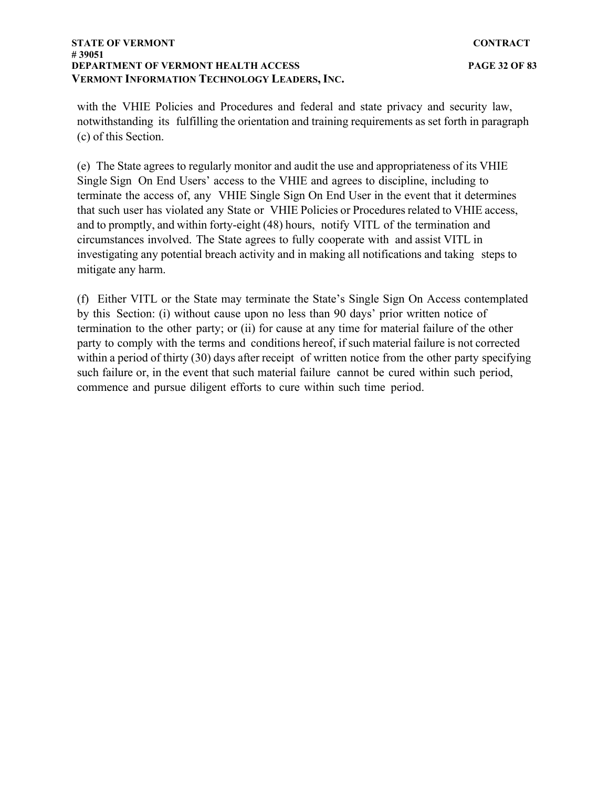#### **STATE OF VERMONT** CONTRACT **# 39051 DEPARTMENT OF VERMONT HEALTH ACCESS PAGE 32 OF 83 VERMONT INFORMATION TECHNOLOGY LEADERS, INC.**

with the VHIE Policies and Procedures and federal and state privacy and security law, notwithstanding its fulfilling the orientation and training requirements as set forth in paragraph (c) of this Section.

(e) The State agrees to regularly monitor and audit the use and appropriateness of its VHIE Single Sign On End Users' access to the VHIE and agrees to discipline, including to terminate the access of, any VHIE Single Sign On End User in the event that it determines that such user has violated any State or VHIE Policies or Procedures related to VHIE access, and to promptly, and within forty-eight (48) hours, notify VITL of the termination and circumstances involved. The State agrees to fully cooperate with and assist VITL in investigating any potential breach activity and in making all notifications and taking steps to mitigate any harm.

(f) Either VITL or the State may terminate the State's Single Sign On Access contemplated by this Section: (i) without cause upon no less than 90 days' prior written notice of termination to the other party; or (ii) for cause at any time for material failure of the other party to comply with the terms and conditions hereof, if such material failure is not corrected within a period of thirty (30) days after receipt of written notice from the other party specifying such failure or, in the event that such material failure cannot be cured within such period, commence and pursue diligent efforts to cure within such time period.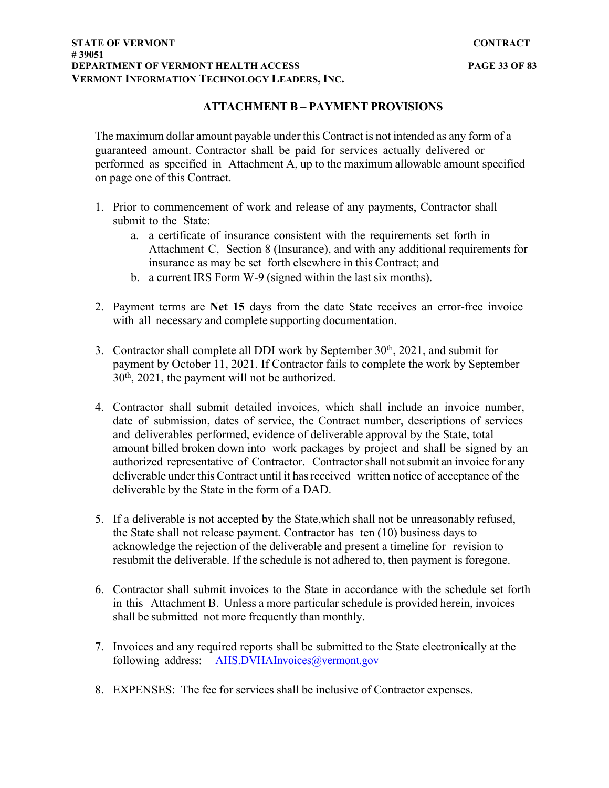#### **STATE OF VERMONT CONTRACT # 39051 DEPARTMENT OF VERMONT HEALTH ACCESS PAGE 33 OF 83 VERMONT INFORMATION TECHNOLOGY LEADERS, INC.**

# **ATTACHMENT B – PAYMENT PROVISIONS**

The maximum dollar amount payable under this Contract is not intended as any form of a guaranteed amount. Contractor shall be paid for services actually delivered or performed as specified in Attachment A, up to the maximum allowable amount specified on page one of this Contract.

- 1. Prior to commencement of work and release of any payments, Contractor shall submit to the State:
	- a. a certificate of insurance consistent with the requirements set forth in Attachment C, Section 8 (Insurance), and with any additional requirements for insurance as may be set forth elsewhere in this Contract; and
	- b. a current IRS Form W-9 (signed within the last six months).
- 2. Payment terms are **Net 15** days from the date State receives an error-free invoice with all necessary and complete supporting documentation.
- 3. Contractor shall complete all DDI work by September  $30<sup>th</sup>$ ,  $2021$ , and submit for payment by October 11, 2021. If Contractor fails to complete the work by September 30th, 2021, the payment will not be authorized.
- 4. Contractor shall submit detailed invoices, which shall include an invoice number, date of submission, dates of service, the Contract number, descriptions of services and deliverables performed, evidence of deliverable approval by the State, total amount billed broken down into work packages by project and shall be signed by an authorized representative of Contractor. Contractor shall not submit an invoice for any deliverable under this Contract until it has received written notice of acceptance of the deliverable by the State in the form of a DAD.
- 5. If a deliverable is not accepted by the State,which shall not be unreasonably refused, the State shall not release payment. Contractor has ten (10) business days to acknowledge the rejection of the deliverable and present a timeline for revision to resubmit the deliverable. If the schedule is not adhered to, then payment is foregone.
- 6. Contractor shall submit invoices to the State in accordance with the schedule set forth in this Attachment B. Unless a more particular schedule is provided herein, invoices shall be submitted not more frequently than monthly.
- 7. Invoices and any required reports shall be submitted to the State electronically at the following address: [AHS.DVHAInvoices@vermont.gov](mailto:AHS.DVHAInvoices@vermont.gov)
- 8. EXPENSES: The fee for services shall be inclusive of Contractor expenses.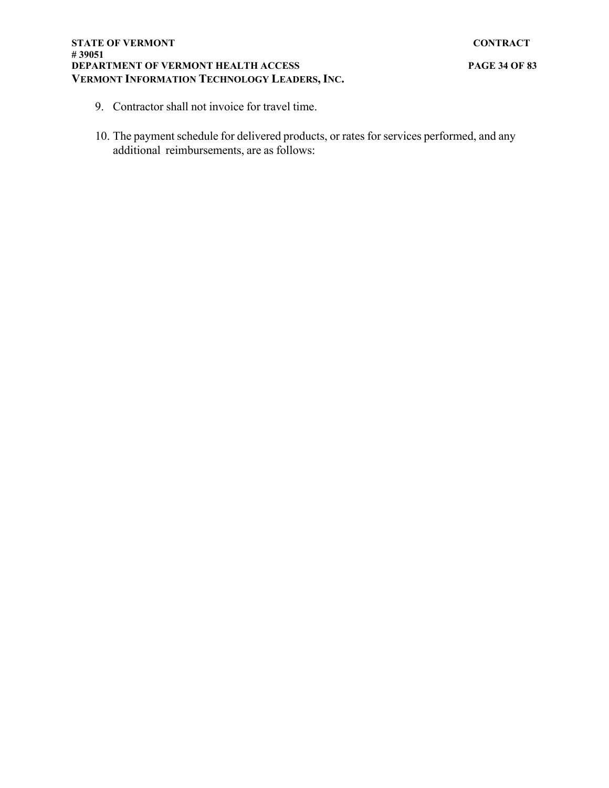- 9. Contractor shall not invoice for travel time.
- 10. The payment schedule for delivered products, or rates for services performed, and any additional reimbursements, are as follows: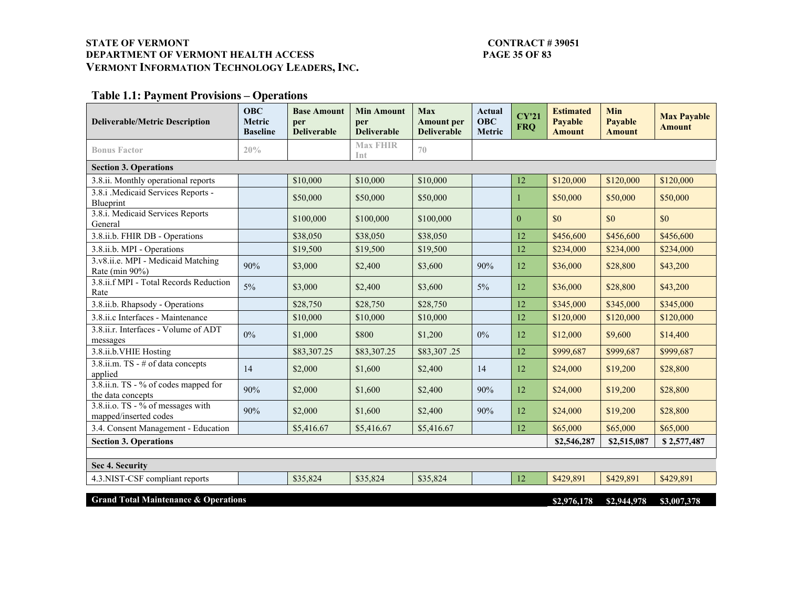### STATE OF VERMONT<br>DEPARTMENT OF VERMONT HEALTH ACCESS PAGE 35 OF 83 **DEPARTMENT OF VERMONT HEALTH ACCESS VERMONT INFORMATION TECHNOLOGY LEADERS, INC.**

# **Table 1.1: Payment Provisions – Operations**

| <b>Deliverable/Metric Description</b>                      | <b>OBC</b><br><b>Metric</b><br><b>Baseline</b> | <b>Base Amount</b><br>per<br><b>Deliverable</b> | <b>Min Amount</b><br>per<br><b>Deliverable</b> | <b>Max</b><br><b>Amount</b> per<br><b>Deliverable</b> | Actual<br><b>OBC</b><br>Metric | CY'21<br><b>FRQ</b> | <b>Estimated</b><br><b>Payable</b><br><b>Amount</b> | Min<br>Payable<br><b>Amount</b> | <b>Max Payable</b><br><b>Amount</b> |
|------------------------------------------------------------|------------------------------------------------|-------------------------------------------------|------------------------------------------------|-------------------------------------------------------|--------------------------------|---------------------|-----------------------------------------------------|---------------------------------|-------------------------------------|
| <b>Bonus Factor</b>                                        | 20%                                            |                                                 | <b>Max FHIR</b><br>Int                         | 70                                                    |                                |                     |                                                     |                                 |                                     |
| <b>Section 3. Operations</b>                               |                                                |                                                 |                                                |                                                       |                                |                     |                                                     |                                 |                                     |
| 3.8.ii. Monthly operational reports                        |                                                | \$10,000                                        | \$10,000                                       | \$10,000                                              |                                | 12                  | \$120,000                                           | \$120,000                       | \$120,000                           |
| 3.8.i .Medicaid Services Reports -<br>Blueprint            |                                                | \$50,000                                        | \$50,000                                       | \$50,000                                              |                                |                     | \$50,000                                            | \$50,000                        | \$50,000                            |
| 3.8.i. Medicaid Services Reports<br>General                |                                                | \$100,000                                       | \$100,000                                      | \$100,000                                             |                                | $\Omega$            | \$0                                                 | \$0                             | \$0                                 |
| 3.8.ii.b. FHIR DB - Operations                             |                                                | \$38,050                                        | \$38,050                                       | \$38,050                                              |                                | 12                  | \$456,600                                           | \$456,600                       | \$456,600                           |
| 3.8.ii.b. MPI - Operations                                 |                                                | \$19,500                                        | \$19,500                                       | \$19,500                                              |                                | 12                  | \$234,000                                           | \$234,000                       | \$234,000                           |
| 3.v8.ii.e. MPI - Medicaid Matching<br>Rate (min 90%)       | 90%                                            | \$3,000                                         | \$2,400                                        | \$3,600                                               | 90%                            | 12                  | \$36,000                                            | \$28,800                        | \$43,200                            |
| 3.8.ii.f MPI - Total Records Reduction<br>Rate             | $5\%$                                          | \$3,000                                         | \$2,400                                        | \$3,600                                               | $5\%$                          | 12                  | \$36,000                                            | \$28,800                        | \$43,200                            |
| 3.8.ii.b. Rhapsody - Operations                            |                                                | \$28,750                                        | \$28,750                                       | \$28,750                                              |                                | 12                  | \$345,000                                           | \$345,000                       | \$345,000                           |
| 3.8.ii.c Interfaces - Maintenance                          |                                                | \$10,000                                        | \$10,000                                       | \$10,000                                              |                                | 12                  | \$120,000                                           | \$120,000                       | \$120,000                           |
| 3.8.ii.r. Interfaces - Volume of ADT<br>messages           | $0\%$                                          | \$1,000                                         | \$800                                          | \$1,200                                               | $0\%$                          | 12                  | \$12,000                                            | \$9,600                         | \$14,400                            |
| 3.8.ii.b.VHIE Hosting                                      |                                                | \$83,307.25                                     | \$83,307.25                                    | \$83,307.25                                           |                                | 12                  | \$999,687                                           | \$999,687                       | \$999,687                           |
| 3.8.ii.m. TS - # of data concepts<br>applied               | 14                                             | \$2,000                                         | \$1,600                                        | \$2,400                                               | 14                             | 12                  | \$24,000                                            | \$19,200                        | \$28,800                            |
| 3.8.ii.n. TS - % of codes mapped for<br>the data concepts  | 90%                                            | \$2,000                                         | \$1,600                                        | \$2,400                                               | 90%                            | 12                  | \$24,000                                            | \$19,200                        | \$28,800                            |
| 3.8.ii.o. TS - % of messages with<br>mapped/inserted codes | 90%                                            | \$2,000                                         | \$1,600                                        | \$2,400                                               | 90%                            | 12                  | \$24,000                                            | \$19,200                        | \$28,800                            |
| 3.4. Consent Management - Education                        |                                                | \$5,416.67                                      | \$5,416.67                                     | \$5,416.67                                            |                                | 12                  | \$65,000                                            | \$65,000                        | \$65,000                            |
| <b>Section 3. Operations</b>                               |                                                |                                                 |                                                |                                                       |                                |                     | \$2,546,287                                         | \$2,515,087                     | \$2,577,487                         |
|                                                            |                                                |                                                 |                                                |                                                       |                                |                     |                                                     |                                 |                                     |
| Sec 4. Security                                            |                                                |                                                 |                                                |                                                       |                                |                     |                                                     |                                 |                                     |
| 4.3.NIST-CSF compliant reports                             |                                                | \$35,824                                        | \$35,824                                       | \$35,824                                              |                                | 12                  | \$429,891                                           | \$429,891                       | \$429,891                           |
| <b>Grand Total Maintenance &amp; Operations</b>            |                                                |                                                 |                                                |                                                       |                                |                     | \$2,976,178                                         | \$2,944,978                     | \$3,007,378                         |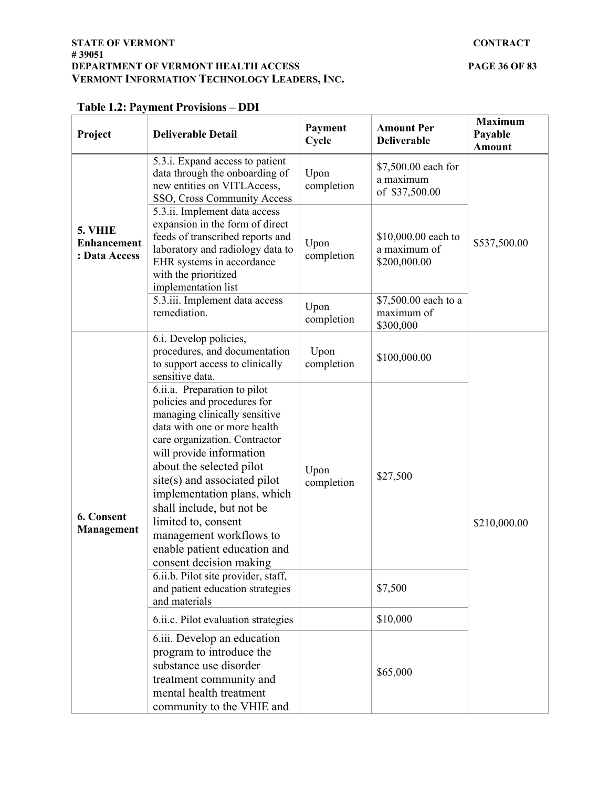| Project                                        | <b>Deliverable Detail</b>                                                                                                                                                                                                                                                                                                                                                                                                      | Payment<br>Cycle                                                         | <b>Amount Per</b><br><b>Deliverable</b>             | <b>Maximum</b><br>Payable<br><b>Amount</b> |  |  |
|------------------------------------------------|--------------------------------------------------------------------------------------------------------------------------------------------------------------------------------------------------------------------------------------------------------------------------------------------------------------------------------------------------------------------------------------------------------------------------------|--------------------------------------------------------------------------|-----------------------------------------------------|--------------------------------------------|--|--|
| 5. VHIE<br><b>Enhancement</b><br>: Data Access | 5.3.1. Expand access to patient<br>data through the onboarding of<br>new entities on VITLAccess,<br>SSO, Cross Community Access                                                                                                                                                                                                                                                                                                | \$7,500.00 each for<br>Upon<br>a maximum<br>completion<br>of \$37,500.00 |                                                     |                                            |  |  |
|                                                | 5.3.ii. Implement data access<br>expansion in the form of direct<br>feeds of transcribed reports and<br>laboratory and radiology data to<br>EHR systems in accordance<br>with the prioritized<br>implementation list                                                                                                                                                                                                           | Upon<br>completion                                                       | \$10,000.00 each to<br>a maximum of<br>\$200,000.00 | \$537,500.00                               |  |  |
|                                                | 5.3.iii. Implement data access<br>remediation.                                                                                                                                                                                                                                                                                                                                                                                 | Upon<br>completion                                                       | \$7,500.00 each to a<br>maximum of<br>\$300,000     |                                            |  |  |
| 6. Consent<br><b>Management</b>                | 6.i. Develop policies,<br>procedures, and documentation<br>to support access to clinically<br>sensitive data.                                                                                                                                                                                                                                                                                                                  | Upon<br>completion                                                       | \$100,000.00                                        |                                            |  |  |
|                                                | 6.ii.a. Preparation to pilot<br>policies and procedures for<br>managing clinically sensitive<br>data with one or more health<br>care organization. Contractor<br>will provide information<br>about the selected pilot<br>site(s) and associated pilot<br>implementation plans, which<br>shall include, but not be<br>limited to, consent<br>management workflows to<br>enable patient education and<br>consent decision making | Upon<br>\$27,500<br>completion                                           |                                                     | \$210,000.00                               |  |  |
|                                                | 6.ii.b. Pilot site provider, staff,<br>and patient education strategies<br>and materials                                                                                                                                                                                                                                                                                                                                       |                                                                          | \$7,500                                             |                                            |  |  |
|                                                | 6.ii.c. Pilot evaluation strategies                                                                                                                                                                                                                                                                                                                                                                                            |                                                                          | \$10,000                                            |                                            |  |  |
|                                                | 6.iii. Develop an education<br>program to introduce the<br>substance use disorder<br>treatment community and<br>mental health treatment<br>community to the VHIE and                                                                                                                                                                                                                                                           |                                                                          | \$65,000                                            |                                            |  |  |

# **Table 1.2: Payment Provisions – DDI**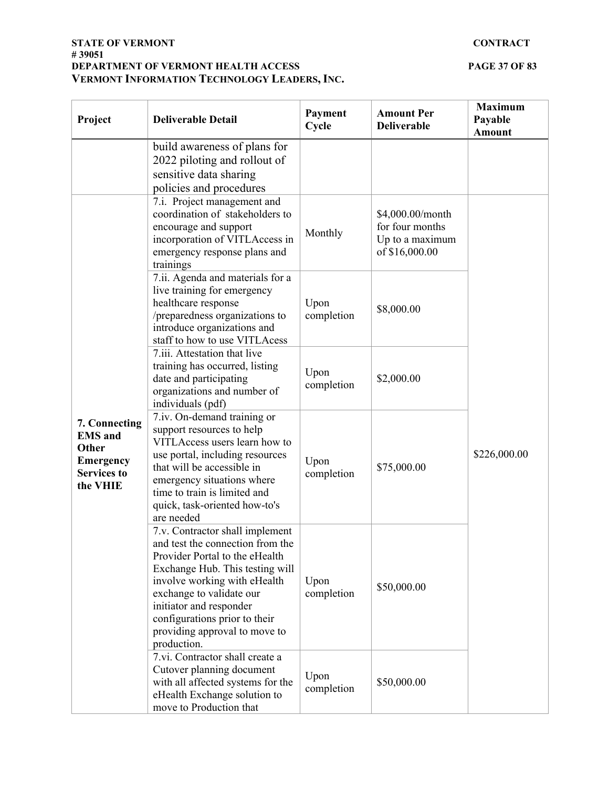#### **STATE OF VERMONT CONTRACT # 39051 DEPARTMENT OF VERMONT HEALTH ACCESS PAGE 37 OF 83 VERMONT INFORMATION TECHNOLOGY LEADERS, INC.**

| Project                                                                                        | <b>Deliverable Detail</b>                                                                                                                                                                                                                                                                                        | Payment<br>Cycle   | <b>Amount Per</b><br><b>Deliverable</b>                                  | <b>Maximum</b><br>Payable<br><b>Amount</b> |
|------------------------------------------------------------------------------------------------|------------------------------------------------------------------------------------------------------------------------------------------------------------------------------------------------------------------------------------------------------------------------------------------------------------------|--------------------|--------------------------------------------------------------------------|--------------------------------------------|
|                                                                                                | build awareness of plans for<br>2022 piloting and rollout of<br>sensitive data sharing<br>policies and procedures                                                                                                                                                                                                |                    |                                                                          |                                            |
| 7. Connecting<br><b>EMS</b> and<br>Other<br><b>Emergency</b><br><b>Services to</b><br>the VHIE | 7.i. Project management and<br>coordination of stakeholders to<br>encourage and support<br>incorporation of VITLAccess in<br>emergency response plans and<br>trainings                                                                                                                                           | Monthly            | \$4,000.00/month<br>for four months<br>Up to a maximum<br>of \$16,000.00 | \$226,000.00                               |
|                                                                                                | 7.ii. Agenda and materials for a<br>live training for emergency<br>healthcare response<br>/preparedness organizations to<br>introduce organizations and<br>staff to how to use VITLAcess                                                                                                                         | Upon<br>completion | \$8,000.00                                                               |                                            |
|                                                                                                | 7.iii. Attestation that live<br>training has occurred, listing<br>date and participating<br>organizations and number of<br>individuals (pdf)                                                                                                                                                                     | Upon<br>completion | \$2,000.00                                                               |                                            |
|                                                                                                | 7.iv. On-demand training or<br>support resources to help<br>VITLAccess users learn how to<br>use portal, including resources<br>that will be accessible in<br>emergency situations where<br>time to train is limited and<br>quick, task-oriented how-to's<br>are needed                                          | Upon<br>completion | \$75,000.00                                                              |                                            |
|                                                                                                | 7.v. Contractor shall implement<br>and test the connection from the<br>Provider Portal to the eHealth<br>Exchange Hub. This testing will<br>involve working with eHealth<br>exchange to validate our<br>initiator and responder<br>configurations prior to their<br>providing approval to move to<br>production. | Upon<br>completion | \$50,000.00                                                              |                                            |
|                                                                                                | 7.vi. Contractor shall create a<br>Cutover planning document<br>with all affected systems for the<br>eHealth Exchange solution to<br>move to Production that                                                                                                                                                     | Upon<br>completion | \$50,000.00                                                              |                                            |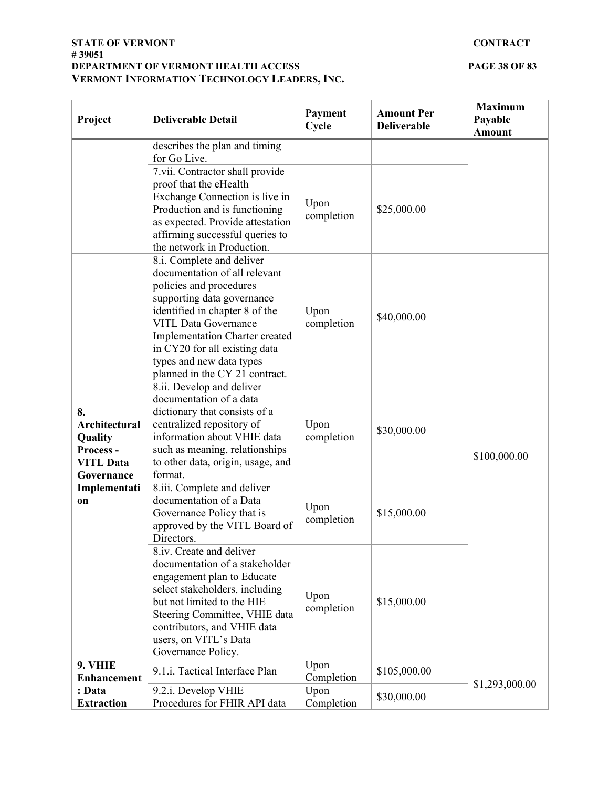#### **STATE OF VERMONT CONTRACT # 39051 DEPARTMENT OF VERMONT HEALTH ACCESS PAGE 38 OF 83 VERMONT INFORMATION TECHNOLOGY LEADERS, INC.**

| Project                                                                             | <b>Deliverable Detail</b>                                                                                                                                                                                                                                                                                             | Payment<br>Cycle   | <b>Amount Per</b><br><b>Deliverable</b> | <b>Maximum</b><br>Payable<br><b>Amount</b> |
|-------------------------------------------------------------------------------------|-----------------------------------------------------------------------------------------------------------------------------------------------------------------------------------------------------------------------------------------------------------------------------------------------------------------------|--------------------|-----------------------------------------|--------------------------------------------|
|                                                                                     | describes the plan and timing<br>for Go Live.                                                                                                                                                                                                                                                                         |                    |                                         |                                            |
|                                                                                     | 7.vii. Contractor shall provide<br>proof that the eHealth<br>Exchange Connection is live in<br>Production and is functioning<br>as expected. Provide attestation<br>affirming successful queries to<br>the network in Production.                                                                                     | Upon<br>completion | \$25,000.00                             |                                            |
|                                                                                     | 8.i. Complete and deliver<br>documentation of all relevant<br>policies and procedures<br>supporting data governance<br>identified in chapter 8 of the<br><b>VITL Data Governance</b><br>Implementation Charter created<br>in CY20 for all existing data<br>types and new data types<br>planned in the CY 21 contract. | Upon<br>completion | \$40,000.00                             |                                            |
| 8.<br><b>Architectural</b><br>Quality<br>Process-<br><b>VITL Data</b><br>Governance | 8.ii. Develop and deliver<br>documentation of a data<br>dictionary that consists of a<br>centralized repository of<br>information about VHIE data<br>such as meaning, relationships<br>to other data, origin, usage, and<br>format.                                                                                   | Upon<br>completion | \$30,000.00                             | \$100,000.00                               |
| Implementati<br>on                                                                  | 8.iii. Complete and deliver<br>documentation of a Data<br>Governance Policy that is<br>approved by the VITL Board of<br>Directors.                                                                                                                                                                                    | Upon<br>completion | \$15,000.00                             |                                            |
|                                                                                     | 8.iv. Create and deliver<br>documentation of a stakeholder<br>engagement plan to Educate<br>select stakeholders, including<br>but not limited to the HIE<br>Steering Committee, VHIE data<br>contributors, and VHIE data<br>users, on VITL's Data<br>Governance Policy.                                               | Upon<br>completion | \$15,000.00                             |                                            |
| 9. VHIE<br><b>Enhancement</b>                                                       | 9.1.i. Tactical Interface Plan                                                                                                                                                                                                                                                                                        | Upon<br>Completion | \$105,000.00                            | \$1,293,000.00                             |
| : Data<br><b>Extraction</b>                                                         | 9.2.i. Develop VHIE<br>Procedures for FHIR API data                                                                                                                                                                                                                                                                   | Upon<br>Completion | \$30,000.00                             |                                            |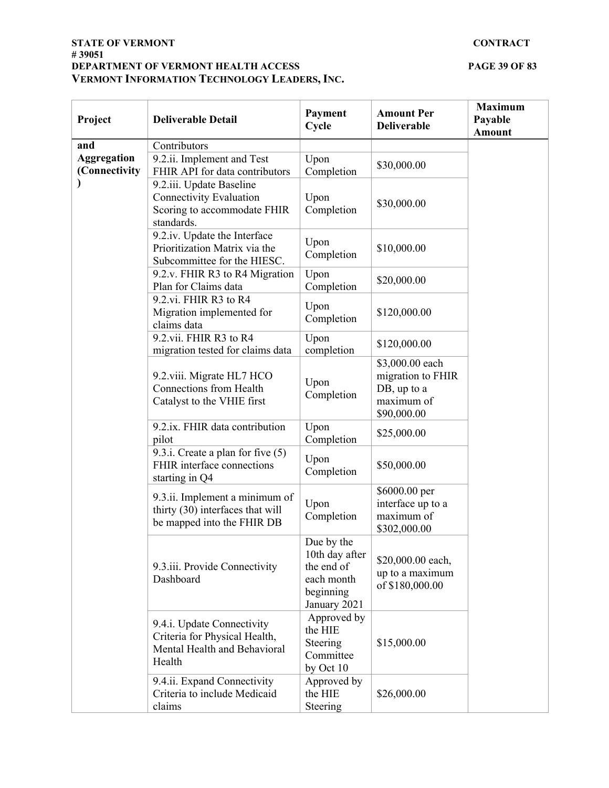#### **STATE OF VERMONT CONTRACT # 39051 DEPARTMENT OF VERMONT HEALTH ACCESS PAGE 39 OF 83 VERMONT INFORMATION TECHNOLOGY LEADERS, INC.**

| Project                             | <b>Deliverable Detail</b>                                                                               | Payment<br>Cycle                                                                      | <b>Amount Per</b><br><b>Deliverable</b>                                          | <b>Maximum</b><br>Payable<br><b>Amount</b> |
|-------------------------------------|---------------------------------------------------------------------------------------------------------|---------------------------------------------------------------------------------------|----------------------------------------------------------------------------------|--------------------------------------------|
| and                                 | Contributors                                                                                            |                                                                                       |                                                                                  |                                            |
| <b>Aggregation</b><br>(Connectivity | 9.2.ii. Implement and Test<br>FHIR API for data contributors                                            | Upon<br>Completion                                                                    | \$30,000.00                                                                      |                                            |
| ⟩                                   | 9.2.iii. Update Baseline<br><b>Connectivity Evaluation</b><br>Scoring to accommodate FHIR<br>standards. | Upon<br>Completion                                                                    | \$30,000.00                                                                      |                                            |
|                                     | 9.2.iv. Update the Interface<br>Prioritization Matrix via the<br>Subcommittee for the HIESC.            | Upon<br>Completion                                                                    | \$10,000.00                                                                      |                                            |
|                                     | 9.2.v. FHIR R3 to R4 Migration<br>Plan for Claims data                                                  | Upon<br>Completion                                                                    | \$20,000.00                                                                      |                                            |
|                                     | 9.2.vi. FHIR R3 to R4<br>Migration implemented for<br>claims data                                       | Upon<br>Completion                                                                    | \$120,000.00                                                                     |                                            |
|                                     | 9.2.vii. FHIR R3 to R4<br>migration tested for claims data                                              | Upon<br>completion                                                                    | \$120,000.00                                                                     |                                            |
|                                     | 9.2.viii. Migrate HL7 HCO<br><b>Connections from Health</b><br>Catalyst to the VHIE first               | Upon<br>Completion                                                                    | \$3,000.00 each<br>migration to FHIR<br>DB, up to a<br>maximum of<br>\$90,000.00 |                                            |
|                                     | 9.2.ix. FHIR data contribution<br>pilot                                                                 | Upon<br>Completion                                                                    | \$25,000.00                                                                      |                                            |
|                                     | 9.3.i. Create a plan for five $(5)$<br>FHIR interface connections<br>starting in Q4                     | Upon<br>Completion                                                                    | \$50,000.00                                                                      |                                            |
|                                     | 9.3.ii. Implement a minimum of<br>thirty (30) interfaces that will<br>be mapped into the FHIR DB        | Upon<br>Completion                                                                    | \$6000.00 per<br>interface up to a<br>maximum of<br>\$302,000.00                 |                                            |
|                                     | 9.3.iii. Provide Connectivity<br>Dashboard                                                              | Due by the<br>10th day after<br>the end of<br>each month<br>beginning<br>January 2021 | \$20,000.00 each,<br>up to a maximum<br>of \$180,000.00                          |                                            |
|                                     | 9.4.i. Update Connectivity<br>Criteria for Physical Health,<br>Mental Health and Behavioral<br>Health   | Approved by<br>the HIE<br>Steering<br>Committee<br>by Oct $10$                        | \$15,000.00                                                                      |                                            |
|                                     | 9.4.ii. Expand Connectivity<br>Criteria to include Medicaid<br>claims                                   | Approved by<br>the HIE<br>Steering                                                    | \$26,000.00                                                                      |                                            |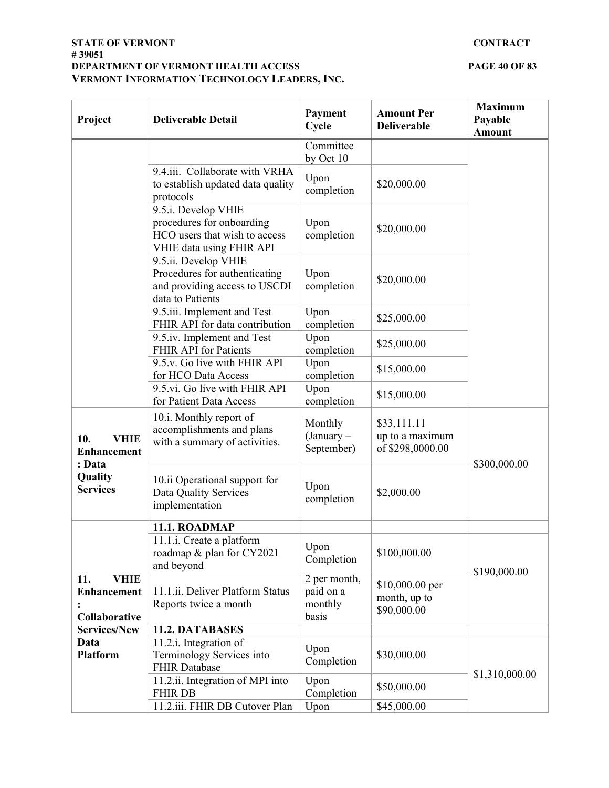#### **STATE OF VERMONT CONTRACT # 39051 DEPARTMENT OF VERMONT HEALTH ACCESS PAGE 40 OF 83 VERMONT INFORMATION TECHNOLOGY LEADERS, INC.**

| Project                                                   | <b>Deliverable Detail</b>                                                                                     | Payment<br>Cycle                              | <b>Amount Per</b><br><b>Deliverable</b>            | <b>Maximum</b><br>Payable<br><b>Amount</b> |
|-----------------------------------------------------------|---------------------------------------------------------------------------------------------------------------|-----------------------------------------------|----------------------------------------------------|--------------------------------------------|
|                                                           |                                                                                                               | Committee<br>by Oct 10                        |                                                    |                                            |
|                                                           | 9.4.iii. Collaborate with VRHA<br>to establish updated data quality<br>protocols                              | Upon<br>completion                            | \$20,000.00                                        |                                            |
|                                                           | 9.5.i. Develop VHIE<br>procedures for onboarding<br>HCO users that wish to access<br>VHIE data using FHIR API | Upon<br>completion                            | \$20,000.00                                        |                                            |
|                                                           | 9.5.ii. Develop VHIE<br>Procedures for authenticating<br>and providing access to USCDI<br>data to Patients    | Upon<br>completion                            | \$20,000.00                                        |                                            |
|                                                           | 9.5.iii. Implement and Test<br>FHIR API for data contribution                                                 | Upon<br>completion                            | \$25,000.00                                        |                                            |
|                                                           | 9.5.iv. Implement and Test<br>FHIR API for Patients                                                           | Upon<br>completion                            | \$25,000.00                                        |                                            |
|                                                           | 9.5.v. Go live with FHIR API<br>for HCO Data Access                                                           | Upon<br>completion                            | \$15,000.00                                        |                                            |
|                                                           | 9.5.vi. Go live with FHIR API<br>for Patient Data Access                                                      | Upon<br>completion                            | \$15,000.00                                        |                                            |
| 10.<br><b>VHIE</b><br><b>Enhancement</b>                  | 10.i. Monthly report of<br>accomplishments and plans<br>with a summary of activities.                         | Monthly<br>$(January -$<br>September)         | \$33,111.11<br>up to a maximum<br>of \$298,0000.00 |                                            |
| : Data<br>Quality<br><b>Services</b>                      | 10.ii Operational support for<br>Data Quality Services<br>implementation                                      | Upon<br>completion                            | \$2,000.00                                         | \$300,000.00                               |
|                                                           | 11.1. ROADMAP                                                                                                 |                                               |                                                    |                                            |
|                                                           | 11.1.i. Create a platform<br>roadmap & plan for CY2021<br>and beyond                                          | Upon<br>Completion                            | \$100,000.00                                       | \$190,000.00                               |
| <b>VHIE</b><br>11.<br><b>Enhancement</b><br>Collaborative | 11.1.ii. Deliver Platform Status<br>Reports twice a month                                                     | 2 per month,<br>paid on a<br>monthly<br>basis | \$10,000.00 per<br>month, up to<br>\$90,000.00     |                                            |
| <b>Services/New</b>                                       | 11.2. DATABASES                                                                                               |                                               |                                                    |                                            |
| Data<br><b>Platform</b>                                   | 11.2.i. Integration of<br>Terminology Services into<br><b>FHIR Database</b>                                   | Upon<br>Completion                            | \$30,000.00                                        |                                            |
|                                                           | 11.2.ii. Integration of MPI into<br><b>FHIR DB</b>                                                            | Upon<br>Completion                            | \$50,000.00                                        | \$1,310,000.00                             |
|                                                           | 11.2.iii. FHIR DB Cutover Plan                                                                                | Upon                                          | \$45,000.00                                        |                                            |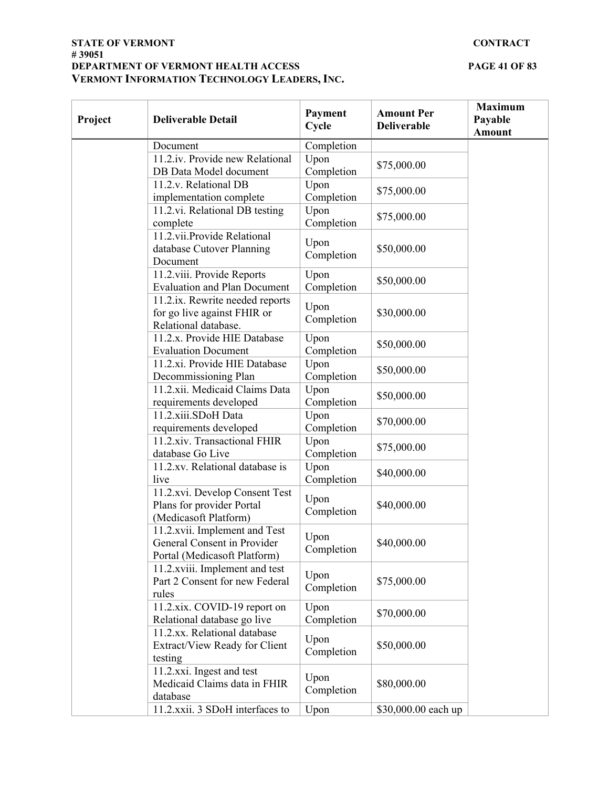#### **STATE OF VERMONT CONTRACT # 39051 DEPARTMENT OF VERMONT HEALTH ACCESS PAGE 41 OF 83 VERMONT INFORMATION TECHNOLOGY LEADERS, INC.**

| Project | <b>Deliverable Detail</b>                                                                    | Payment<br>Cycle   | <b>Amount Per</b><br><b>Deliverable</b> | <b>Maximum</b><br>Payable<br><b>Amount</b> |
|---------|----------------------------------------------------------------------------------------------|--------------------|-----------------------------------------|--------------------------------------------|
|         | Document                                                                                     | Completion         |                                         |                                            |
|         | 11.2.iv. Provide new Relational<br>DB Data Model document                                    | Upon<br>Completion | \$75,000.00                             |                                            |
|         | 11.2.v. Relational DB<br>implementation complete                                             | Upon<br>Completion | \$75,000.00                             |                                            |
|         | 11.2.vi. Relational DB testing<br>complete                                                   | Upon<br>Completion | \$75,000.00                             |                                            |
|         | 11.2.vii.Provide Relational<br>database Cutover Planning<br>Document                         | Upon<br>Completion | \$50,000.00                             |                                            |
|         | 11.2.viii. Provide Reports<br><b>Evaluation and Plan Document</b>                            | Upon<br>Completion | \$50,000.00                             |                                            |
|         | 11.2.ix. Rewrite needed reports<br>for go live against FHIR or<br>Relational database.       | Upon<br>Completion | \$30,000.00                             |                                            |
|         | 11.2.x. Provide HIE Database<br><b>Evaluation Document</b>                                   | Upon<br>Completion | \$50,000.00                             |                                            |
|         | 11.2.xi. Provide HIE Database<br>Decommissioning Plan                                        | Upon<br>Completion | \$50,000.00                             |                                            |
|         | 11.2.xii. Medicaid Claims Data<br>requirements developed                                     | Upon<br>Completion | \$50,000.00                             |                                            |
|         | 11.2.xiii.SDoH Data<br>requirements developed                                                | Upon<br>Completion | \$70,000.00                             |                                            |
|         | 11.2.xiv. Transactional FHIR<br>database Go Live                                             | Upon<br>Completion | \$75,000.00                             |                                            |
|         | 11.2.xv. Relational database is<br>live                                                      | Upon<br>Completion | \$40,000.00                             |                                            |
|         | 11.2.xvi. Develop Consent Test<br>Plans for provider Portal<br>(Medicasoft Platform)         | Upon<br>Completion | \$40,000.00                             |                                            |
|         | 11.2.xvii. Implement and Test<br>General Consent in Provider<br>Portal (Medicasoft Platform) | Upon<br>Completion | \$40,000.00                             |                                            |
|         | 11.2. xviii. Implement and test<br>Part 2 Consent for new Federal<br>rules                   | Upon<br>Completion | \$75,000.00                             |                                            |
|         | 11.2.xix. COVID-19 report on<br>Relational database go live                                  | Upon<br>Completion | \$70,000.00                             |                                            |
|         | 11.2.xx. Relational database<br>Extract/View Ready for Client<br>testing                     | Upon<br>Completion | \$50,000.00                             |                                            |
|         | 11.2.xxi. Ingest and test<br>Medicaid Claims data in FHIR<br>database                        | Upon<br>Completion | \$80,000.00                             |                                            |
|         | 11.2.xxii. 3 SDoH interfaces to                                                              | Upon               | \$30,000.00 each up                     |                                            |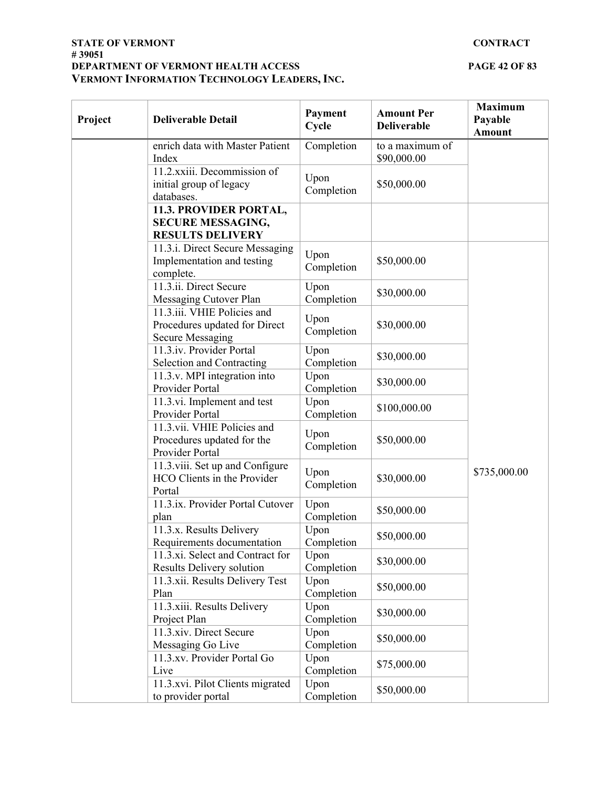#### **STATE OF VERMONT CONTRACT # 39051 DEPARTMENT OF VERMONT HEALTH ACCESS PAGE 42 OF 83 VERMONT INFORMATION TECHNOLOGY LEADERS, INC.**

| Project | <b>Deliverable Detail</b>                                                               | Payment<br>Cycle   | <b>Amount Per</b><br><b>Deliverable</b> | <b>Maximum</b><br>Payable<br><b>Amount</b> |
|---------|-----------------------------------------------------------------------------------------|--------------------|-----------------------------------------|--------------------------------------------|
|         | enrich data with Master Patient<br>Index                                                | Completion         | to a maximum of<br>\$90,000.00          |                                            |
|         | 11.2.xxiii. Decommission of<br>initial group of legacy<br>databases.                    | Upon<br>Completion | \$50,000.00                             |                                            |
|         | 11.3. PROVIDER PORTAL,<br><b>SECURE MESSAGING,</b><br><b>RESULTS DELIVERY</b>           |                    |                                         |                                            |
|         | 11.3.i. Direct Secure Messaging<br>Implementation and testing<br>complete.              | Upon<br>Completion | \$50,000.00                             |                                            |
|         | 11.3.ii. Direct Secure<br>Messaging Cutover Plan                                        | Upon<br>Completion | \$30,000.00                             |                                            |
|         | 11.3.iii. VHIE Policies and<br>Procedures updated for Direct<br><b>Secure Messaging</b> | Upon<br>Completion | \$30,000.00                             |                                            |
|         | 11.3.iv. Provider Portal<br>Selection and Contracting                                   | Upon<br>Completion | \$30,000.00                             |                                            |
|         | 11.3.v. MPI integration into<br>Provider Portal                                         | Upon<br>Completion | \$30,000.00                             |                                            |
|         | 11.3.vi. Implement and test<br>Provider Portal                                          | Upon<br>Completion | \$100,000.00                            |                                            |
|         | 11.3.vii. VHIE Policies and<br>Procedures updated for the<br>Provider Portal            | Upon<br>Completion | \$50,000.00                             |                                            |
|         | 11.3.viii. Set up and Configure<br>HCO Clients in the Provider<br>Portal                | Upon<br>Completion | \$30,000.00                             | \$735,000.00                               |
|         | 11.3.ix. Provider Portal Cutover<br>plan                                                | Upon<br>Completion | \$50,000.00                             |                                            |
|         | 11.3.x. Results Delivery<br>Requirements documentation                                  | Upon<br>Completion | \$50,000.00                             |                                            |
|         | 11.3.xi. Select and Contract for<br>Results Delivery solution                           | Upon<br>Completion | \$30,000.00                             |                                            |
|         | 11.3.xii. Results Delivery Test<br>Plan                                                 | Upon<br>Completion | \$50,000.00                             |                                            |
|         | 11.3.xiii. Results Delivery<br>Project Plan                                             | Upon<br>Completion | \$30,000.00                             |                                            |
|         | 11.3.xiv. Direct Secure<br>Messaging Go Live                                            | Upon<br>Completion | \$50,000.00                             |                                            |
|         | 11.3.xv. Provider Portal Go<br>Live                                                     | Upon<br>Completion | \$75,000.00                             |                                            |
|         | 11.3.xvi. Pilot Clients migrated<br>to provider portal                                  | Upon<br>Completion | \$50,000.00                             |                                            |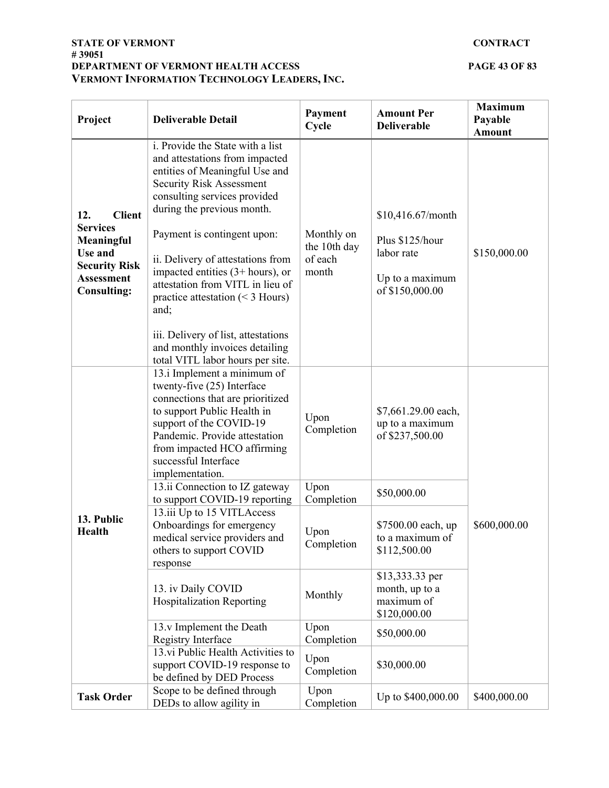#### **STATE OF VERMONT CONTRACT # 39051 DEPARTMENT OF VERMONT HEALTH ACCESS PAGE 43 OF 83 VERMONT INFORMATION TECHNOLOGY LEADERS, INC.**

| Project                                                                                                                             | <b>Deliverable Detail</b>                                                                                                                                                                                                                                                                                                                                                                                                                                                                                       | Payment<br>Cycle                               | <b>Amount Per</b><br><b>Deliverable</b>                                                  | <b>Maximum</b><br>Payable<br><b>Amount</b> |
|-------------------------------------------------------------------------------------------------------------------------------------|-----------------------------------------------------------------------------------------------------------------------------------------------------------------------------------------------------------------------------------------------------------------------------------------------------------------------------------------------------------------------------------------------------------------------------------------------------------------------------------------------------------------|------------------------------------------------|------------------------------------------------------------------------------------------|--------------------------------------------|
| <b>Client</b><br>12.<br><b>Services</b><br>Meaningful<br>Use and<br><b>Security Risk</b><br><b>Assessment</b><br><b>Consulting:</b> | i. Provide the State with a list<br>and attestations from impacted<br>entities of Meaningful Use and<br><b>Security Risk Assessment</b><br>consulting services provided<br>during the previous month.<br>Payment is contingent upon:<br>ii. Delivery of attestations from<br>impacted entities $(3+ hours)$ , or<br>attestation from VITL in lieu of<br>practice attestation $(< 3$ Hours)<br>and;<br>iii. Delivery of list, attestations<br>and monthly invoices detailing<br>total VITL labor hours per site. | Monthly on<br>the 10th day<br>of each<br>month | \$10,416.67/month<br>Plus \$125/hour<br>labor rate<br>Up to a maximum<br>of \$150,000.00 | \$150,000.00                               |
| 13. Public<br><b>Health</b>                                                                                                         | 13.i Implement a minimum of<br>twenty-five (25) Interface<br>connections that are prioritized<br>to support Public Health in<br>support of the COVID-19<br>Pandemic. Provide attestation<br>from impacted HCO affirming<br>successful Interface<br>implementation.                                                                                                                                                                                                                                              | Upon<br>Completion                             | \$7,661.29.00 each,<br>up to a maximum<br>of \$237,500.00                                |                                            |
|                                                                                                                                     | 13.ii Connection to IZ gateway<br>to support COVID-19 reporting                                                                                                                                                                                                                                                                                                                                                                                                                                                 | Upon<br>Completion                             | \$50,000.00                                                                              |                                            |
|                                                                                                                                     | 13.iii Up to 15 VITLAccess<br>Onboardings for emergency<br>medical service providers and<br>others to support COVID<br>response                                                                                                                                                                                                                                                                                                                                                                                 | Upon<br>Completion                             | \$7500.00 each, up<br>to a maximum of<br>\$112,500.00                                    | \$600,000.00                               |
|                                                                                                                                     | 13. iv Daily COVID<br><b>Hospitalization Reporting</b>                                                                                                                                                                                                                                                                                                                                                                                                                                                          | Monthly                                        | \$13,333.33 per<br>month, up to a<br>maximum of<br>\$120,000.00                          |                                            |
|                                                                                                                                     | 13.v Implement the Death<br><b>Registry Interface</b>                                                                                                                                                                                                                                                                                                                                                                                                                                                           | Upon<br>Completion                             | \$50,000.00                                                                              |                                            |
|                                                                                                                                     | 13.vi Public Health Activities to<br>support COVID-19 response to<br>be defined by DED Process                                                                                                                                                                                                                                                                                                                                                                                                                  | Upon<br>Completion                             | \$30,000.00                                                                              |                                            |
| <b>Task Order</b>                                                                                                                   | Scope to be defined through<br>DEDs to allow agility in                                                                                                                                                                                                                                                                                                                                                                                                                                                         | Upon<br>Completion                             | Up to \$400,000.00                                                                       | \$400,000.00                               |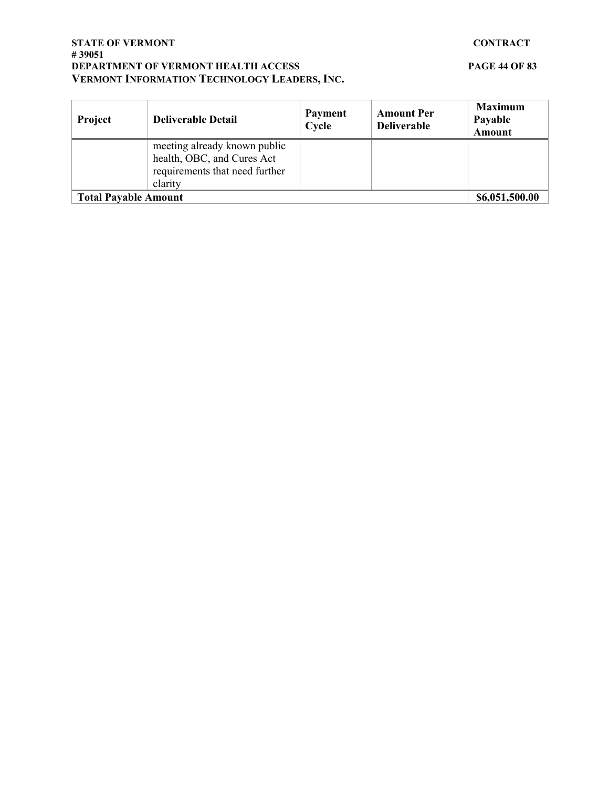#### **STATE OF VERMONT CONTRACT # 39051 DEPARTMENT OF VERMONT HEALTH ACCESS PAGE 44 OF 83 VERMONT INFORMATION TECHNOLOGY LEADERS, INC.**

| Project                     | <b>Deliverable Detail</b>                                                                               | Payment<br>Cycle | <b>Amount Per</b><br><b>Deliverable</b> | <b>Maximum</b><br>Payable<br><b>Amount</b> |
|-----------------------------|---------------------------------------------------------------------------------------------------------|------------------|-----------------------------------------|--------------------------------------------|
|                             | meeting already known public<br>health, OBC, and Cures Act<br>requirements that need further<br>clarity |                  |                                         |                                            |
| <b>Total Payable Amount</b> |                                                                                                         |                  |                                         | \$6,051,500.00                             |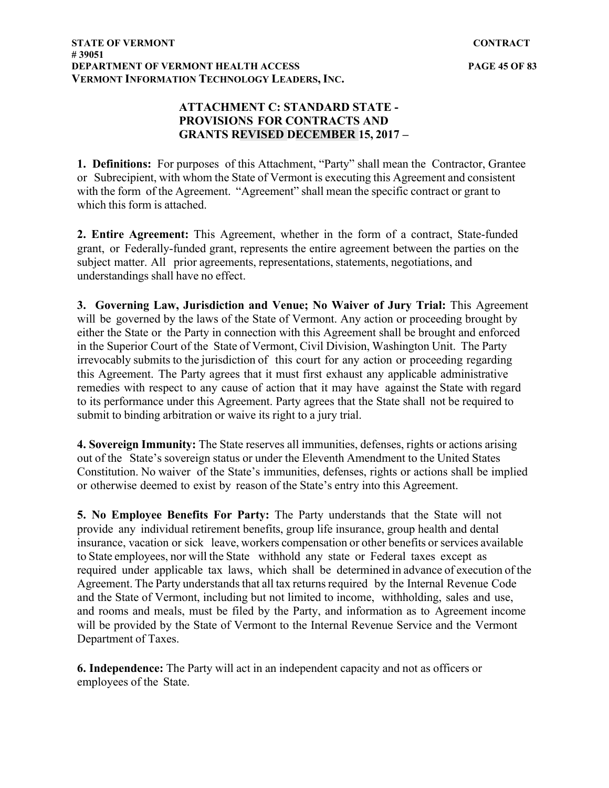## **ATTACHMENT C: STANDARD STATE - PROVISIONS FOR CONTRACTS AND GRANTS REVISED DECEMBER 15, 2017 –**

**1. Definitions:** For purposes of this Attachment, "Party" shall mean the Contractor, Grantee or Subrecipient, with whom the State of Vermont is executing this Agreement and consistent with the form of the Agreement. "Agreement" shall mean the specific contract or grant to which this form is attached.

**2. Entire Agreement:** This Agreement, whether in the form of a contract, State-funded grant, or Federally-funded grant, represents the entire agreement between the parties on the subject matter. All prior agreements, representations, statements, negotiations, and understandings shall have no effect.

**3. Governing Law, Jurisdiction and Venue; No Waiver of Jury Trial:** This Agreement will be governed by the laws of the State of Vermont. Any action or proceeding brought by either the State or the Party in connection with this Agreement shall be brought and enforced in the Superior Court of the State of Vermont, Civil Division, Washington Unit. The Party irrevocably submits to the jurisdiction of this court for any action or proceeding regarding this Agreement. The Party agrees that it must first exhaust any applicable administrative remedies with respect to any cause of action that it may have against the State with regard to its performance under this Agreement. Party agrees that the State shall not be required to submit to binding arbitration or waive its right to a jury trial.

**4. Sovereign Immunity:** The State reserves all immunities, defenses, rights or actions arising out of the State's sovereign status or under the Eleventh Amendment to the United States Constitution. No waiver of the State's immunities, defenses, rights or actions shall be implied or otherwise deemed to exist by reason of the State's entry into this Agreement.

**5. No Employee Benefits For Party:** The Party understands that the State will not provide any individual retirement benefits, group life insurance, group health and dental insurance, vacation or sick leave, workers compensation or other benefits or services available to State employees, nor will the State withhold any state or Federal taxes except as required under applicable tax laws, which shall be determined in advance of execution of the Agreement. The Party understands that all tax returns required by the Internal Revenue Code and the State of Vermont, including but not limited to income, withholding, sales and use, and rooms and meals, must be filed by the Party, and information as to Agreement income will be provided by the State of Vermont to the Internal Revenue Service and the Vermont Department of Taxes.

**6. Independence:** The Party will act in an independent capacity and not as officers or employees of the State.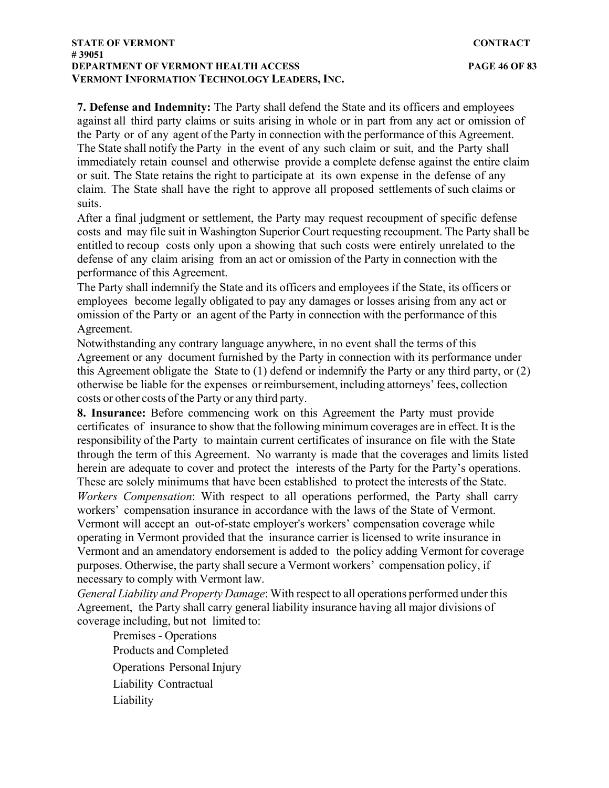**7. Defense and Indemnity:** The Party shall defend the State and its officers and employees against all third party claims or suits arising in whole or in part from any act or omission of the Party or of any agent of the Party in connection with the performance of this Agreement. The State shall notify the Party in the event of any such claim or suit, and the Party shall immediately retain counsel and otherwise provide a complete defense against the entire claim or suit. The State retains the right to participate at its own expense in the defense of any claim. The State shall have the right to approve all proposed settlements of such claims or suits.

After a final judgment or settlement, the Party may request recoupment of specific defense costs and may file suit in Washington Superior Court requesting recoupment. The Party shall be entitled to recoup costs only upon a showing that such costs were entirely unrelated to the defense of any claim arising from an act or omission of the Party in connection with the performance of this Agreement.

The Party shall indemnify the State and its officers and employees if the State, its officers or employees become legally obligated to pay any damages or losses arising from any act or omission of the Party or an agent of the Party in connection with the performance of this Agreement.

Notwithstanding any contrary language anywhere, in no event shall the terms of this Agreement or any document furnished by the Party in connection with its performance under this Agreement obligate the State to (1) defend or indemnify the Party or any third party, or (2) otherwise be liable for the expenses or reimbursement, including attorneys' fees, collection costs or other costs of the Party or any third party.

**8. Insurance:** Before commencing work on this Agreement the Party must provide certificates of insurance to show that the following minimum coverages are in effect. It is the responsibility of the Party to maintain current certificates of insurance on file with the State through the term of this Agreement. No warranty is made that the coverages and limits listed herein are adequate to cover and protect the interests of the Party for the Party's operations. These are solely minimums that have been established to protect the interests of the State. *Workers Compensation*: With respect to all operations performed, the Party shall carry workers' compensation insurance in accordance with the laws of the State of Vermont. Vermont will accept an out-of-state employer's workers' compensation coverage while operating in Vermont provided that the insurance carrier is licensed to write insurance in Vermont and an amendatory endorsement is added to the policy adding Vermont for coverage purposes. Otherwise, the party shall secure a Vermont workers' compensation policy, if necessary to comply with Vermont law.

*General Liability and Property Damage*: With respect to all operations performed under this Agreement, the Party shall carry general liability insurance having all major divisions of coverage including, but not limited to:

Premises - Operations Products and Completed Operations Personal Injury Liability Contractual Liability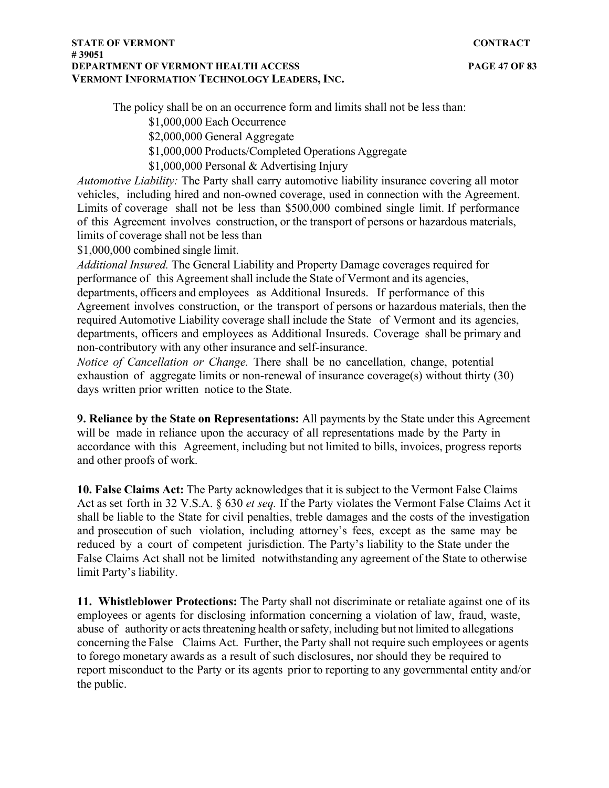The policy shall be on an occurrence form and limits shall not be less than:

\$1,000,000 Each Occurrence

\$2,000,000 General Aggregate

\$1,000,000 Products/Completed Operations Aggregate

\$1,000,000 Personal & Advertising Injury

*Automotive Liability:* The Party shall carry automotive liability insurance covering all motor vehicles, including hired and non-owned coverage, used in connection with the Agreement. Limits of coverage shall not be less than \$500,000 combined single limit. If performance of this Agreement involves construction, or the transport of persons or hazardous materials, limits of coverage shall not be less than

\$1,000,000 combined single limit.

*Additional Insured.* The General Liability and Property Damage coverages required for performance of this Agreement shall include the State of Vermont and its agencies, departments, officers and employees as Additional Insureds. If performance of this Agreement involves construction, or the transport of persons or hazardous materials, then the required Automotive Liability coverage shall include the State of Vermont and its agencies, departments, officers and employees as Additional Insureds. Coverage shall be primary and non-contributory with any other insurance and self-insurance.

*Notice of Cancellation or Change.* There shall be no cancellation, change, potential exhaustion of aggregate limits or non-renewal of insurance coverage(s) without thirty (30) days written prior written notice to the State.

**9. Reliance by the State on Representations:** All payments by the State under this Agreement will be made in reliance upon the accuracy of all representations made by the Party in accordance with this Agreement, including but not limited to bills, invoices, progress reports and other proofs of work.

**10. False Claims Act:** The Party acknowledges that it is subject to the Vermont False Claims Act as set forth in 32 V.S.A. § 630 *et seq.* If the Party violates the Vermont False Claims Act it shall be liable to the State for civil penalties, treble damages and the costs of the investigation and prosecution of such violation, including attorney's fees, except as the same may be reduced by a court of competent jurisdiction. The Party's liability to the State under the False Claims Act shall not be limited notwithstanding any agreement of the State to otherwise limit Party's liability.

**11. Whistleblower Protections:** The Party shall not discriminate or retaliate against one of its employees or agents for disclosing information concerning a violation of law, fraud, waste, abuse of authority or acts threatening health or safety, including but not limited to allegations concerning the False Claims Act. Further, the Party shall not require such employees or agents to forego monetary awards as a result of such disclosures, nor should they be required to report misconduct to the Party or its agents prior to reporting to any governmental entity and/or the public.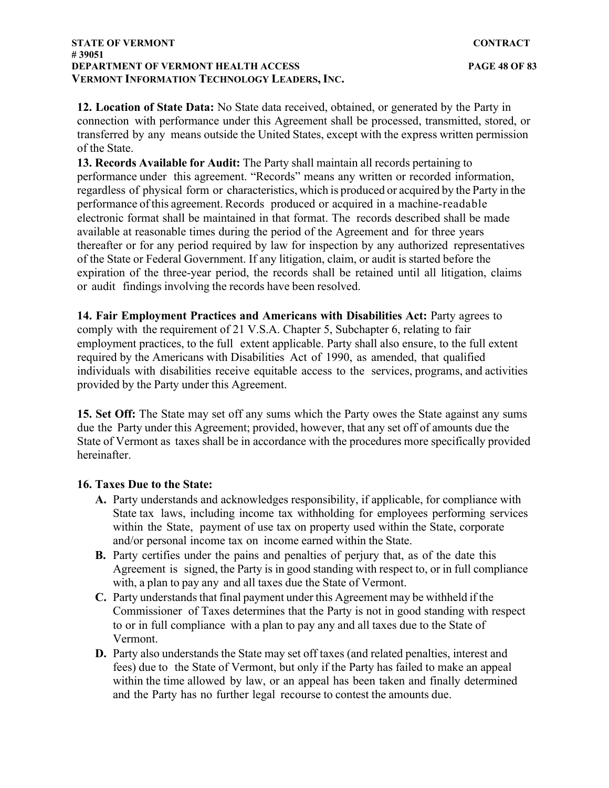**12. Location of State Data:** No State data received, obtained, or generated by the Party in connection with performance under this Agreement shall be processed, transmitted, stored, or transferred by any means outside the United States, except with the express written permission of the State.

**13. Records Available for Audit:** The Party shall maintain all records pertaining to performance under this agreement. "Records" means any written or recorded information, regardless of physical form or characteristics, which is produced or acquired by the Party in the performance of this agreement. Records produced or acquired in a machine-readable electronic format shall be maintained in that format. The records described shall be made available at reasonable times during the period of the Agreement and for three years thereafter or for any period required by law for inspection by any authorized representatives of the State or Federal Government. If any litigation, claim, or audit is started before the expiration of the three-year period, the records shall be retained until all litigation, claims or audit findings involving the records have been resolved.

**14. Fair Employment Practices and Americans with Disabilities Act:** Party agrees to comply with the requirement of 21 V.S.A. Chapter 5, Subchapter 6, relating to fair employment practices, to the full extent applicable. Party shall also ensure, to the full extent required by the Americans with Disabilities Act of 1990, as amended, that qualified individuals with disabilities receive equitable access to the services, programs, and activities provided by the Party under this Agreement.

**15. Set Off:** The State may set off any sums which the Party owes the State against any sums due the Party under this Agreement; provided, however, that any set off of amounts due the State of Vermont as taxes shall be in accordance with the procedures more specifically provided hereinafter.

### **16. Taxes Due to the State:**

- **A.** Party understands and acknowledges responsibility, if applicable, for compliance with State tax laws, including income tax withholding for employees performing services within the State, payment of use tax on property used within the State, corporate and/or personal income tax on income earned within the State.
- **B.** Party certifies under the pains and penalties of perjury that, as of the date this Agreement is signed, the Party is in good standing with respect to, or in full compliance with, a plan to pay any and all taxes due the State of Vermont.
- **C.** Party understands that final payment under this Agreement may be withheld if the Commissioner of Taxes determines that the Party is not in good standing with respect to or in full compliance with a plan to pay any and all taxes due to the State of Vermont.
- **D.** Party also understands the State may set off taxes (and related penalties, interest and fees) due to the State of Vermont, but only if the Party has failed to make an appeal within the time allowed by law, or an appeal has been taken and finally determined and the Party has no further legal recourse to contest the amounts due.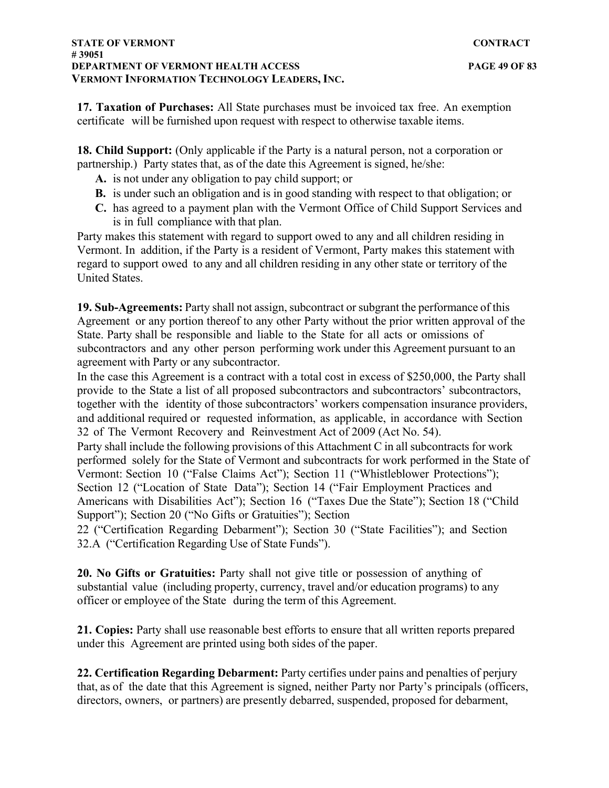**17. Taxation of Purchases:** All State purchases must be invoiced tax free. An exemption certificate will be furnished upon request with respect to otherwise taxable items.

**18. Child Support:** (Only applicable if the Party is a natural person, not a corporation or partnership.) Party states that, as of the date this Agreement is signed, he/she:

- **A.** is not under any obligation to pay child support; or
- **B.** is under such an obligation and is in good standing with respect to that obligation; or
- **C.** has agreed to a payment plan with the Vermont Office of Child Support Services and is in full compliance with that plan.

Party makes this statement with regard to support owed to any and all children residing in Vermont. In addition, if the Party is a resident of Vermont, Party makes this statement with regard to support owed to any and all children residing in any other state or territory of the United States.

**19. Sub-Agreements:** Party shall not assign, subcontract or subgrant the performance of this Agreement or any portion thereof to any other Party without the prior written approval of the State. Party shall be responsible and liable to the State for all acts or omissions of subcontractors and any other person performing work under this Agreement pursuant to an agreement with Party or any subcontractor.

In the case this Agreement is a contract with a total cost in excess of \$250,000, the Party shall provide to the State a list of all proposed subcontractors and subcontractors' subcontractors, together with the identity of those subcontractors' workers compensation insurance providers, and additional required or requested information, as applicable, in accordance with Section 32 of The Vermont Recovery and Reinvestment Act of 2009 (Act No. 54).

Party shall include the following provisions of this Attachment C in all subcontracts for work performed solely for the State of Vermont and subcontracts for work performed in the State of Vermont: Section 10 ("False Claims Act"); Section 11 ("Whistleblower Protections"); Section 12 ("Location of State Data"); Section 14 ("Fair Employment Practices and Americans with Disabilities Act"); Section 16 ("Taxes Due the State"); Section 18 ("Child Support"); Section 20 ("No Gifts or Gratuities"); Section

22 ("Certification Regarding Debarment"); Section 30 ("State Facilities"); and Section 32.A ("Certification Regarding Use of State Funds").

**20. No Gifts or Gratuities:** Party shall not give title or possession of anything of substantial value (including property, currency, travel and/or education programs) to any officer or employee of the State during the term of this Agreement.

**21. Copies:** Party shall use reasonable best efforts to ensure that all written reports prepared under this Agreement are printed using both sides of the paper.

**22. Certification Regarding Debarment:** Party certifies under pains and penalties of perjury that, as of the date that this Agreement is signed, neither Party nor Party's principals (officers, directors, owners, or partners) are presently debarred, suspended, proposed for debarment,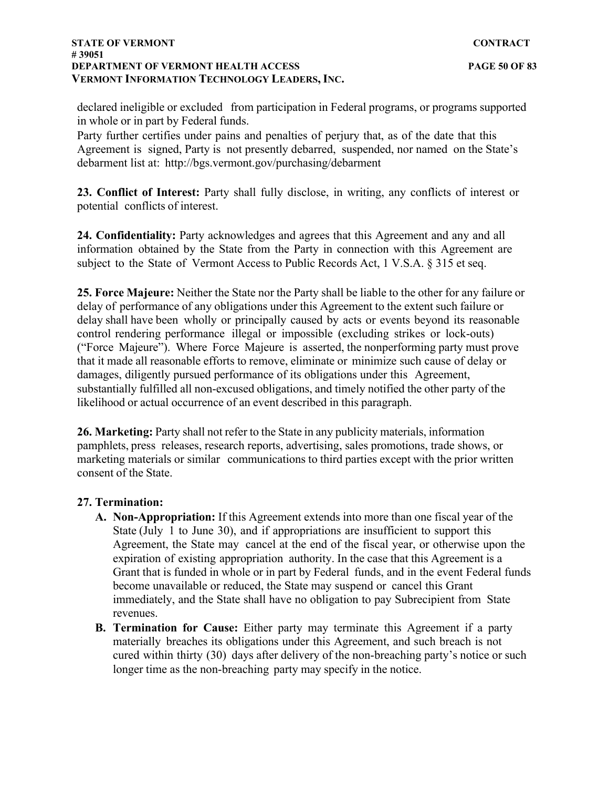declared ineligible or excluded from participation in Federal programs, or programs supported in whole or in part by Federal funds.

Party further certifies under pains and penalties of perjury that, as of the date that this Agreement is signed, Party is not presently debarred, suspended, nor named on the State's debarment list at: <http://bgs.vermont.gov/purchasing/debarment>

**23. Conflict of Interest:** Party shall fully disclose, in writing, any conflicts of interest or potential conflicts of interest.

**24. Confidentiality:** Party acknowledges and agrees that this Agreement and any and all information obtained by the State from the Party in connection with this Agreement are subject to the State of Vermont Access to Public Records Act, 1 V.S.A. § 315 et seq.

**25. Force Majeure:** Neither the State nor the Party shall be liable to the other for any failure or delay of performance of any obligations under this Agreement to the extent such failure or delay shall have been wholly or principally caused by acts or events beyond its reasonable control rendering performance illegal or impossible (excluding strikes or lock-outs) ("Force Majeure"). Where Force Majeure is asserted, the nonperforming party must prove that it made all reasonable efforts to remove, eliminate or minimize such cause of delay or damages, diligently pursued performance of its obligations under this Agreement, substantially fulfilled all non-excused obligations, and timely notified the other party of the likelihood or actual occurrence of an event described in this paragraph.

**26. Marketing:** Party shall not refer to the State in any publicity materials, information pamphlets, press releases, research reports, advertising, sales promotions, trade shows, or marketing materials or similar communications to third parties except with the prior written consent of the State.

### **27. Termination:**

- **A. Non-Appropriation:** If this Agreement extends into more than one fiscal year of the State (July 1 to June 30), and if appropriations are insufficient to support this Agreement, the State may cancel at the end of the fiscal year, or otherwise upon the expiration of existing appropriation authority. In the case that this Agreement is a Grant that is funded in whole or in part by Federal funds, and in the event Federal funds become unavailable or reduced, the State may suspend or cancel this Grant immediately, and the State shall have no obligation to pay Subrecipient from State revenues.
- **B. Termination for Cause:** Either party may terminate this Agreement if a party materially breaches its obligations under this Agreement, and such breach is not cured within thirty (30) days after delivery of the non-breaching party's notice or such longer time as the non-breaching party may specify in the notice.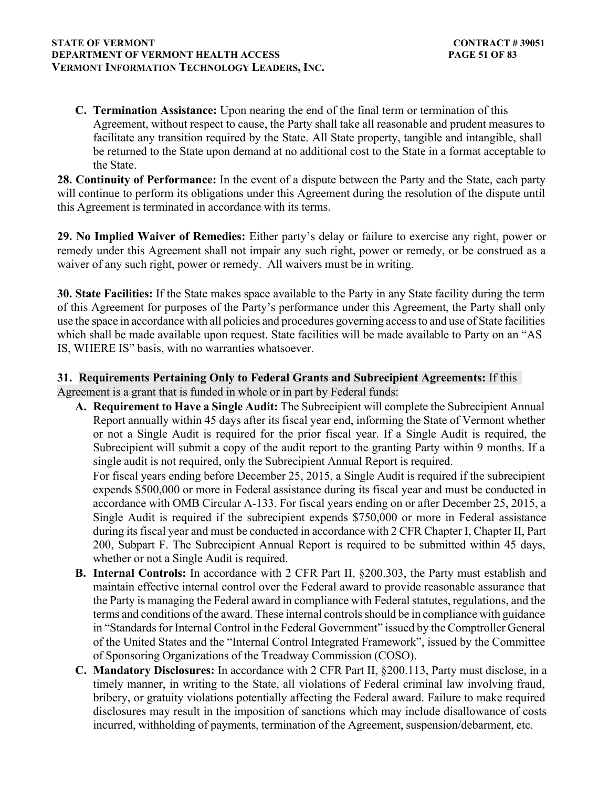#### **STATE OF VERMONT** CONTRACT # 39051 **DEPARTMENT OF VERMONT HEALTH ACCESS PAGE 51 OF 83 VERMONT INFORMATION TECHNOLOGY LEADERS, INC.**

**C. Termination Assistance:** Upon nearing the end of the final term or termination of this Agreement, without respect to cause, the Party shall take all reasonable and prudent measures to facilitate any transition required by the State. All State property, tangible and intangible, shall be returned to the State upon demand at no additional cost to the State in a format acceptable to the State.

**28. Continuity of Performance:** In the event of a dispute between the Party and the State, each party will continue to perform its obligations under this Agreement during the resolution of the dispute until this Agreement is terminated in accordance with its terms.

**29. No Implied Waiver of Remedies:** Either party's delay or failure to exercise any right, power or remedy under this Agreement shall not impair any such right, power or remedy, or be construed as a waiver of any such right, power or remedy. All waivers must be in writing.

**30. State Facilities:** If the State makes space available to the Party in any State facility during the term of this Agreement for purposes of the Party's performance under this Agreement, the Party shall only use the space in accordance with all policies and procedures governing access to and use of State facilities which shall be made available upon request. State facilities will be made available to Party on an "AS IS, WHERE IS" basis, with no warranties whatsoever.

## **31. Requirements Pertaining Only to Federal Grants and Subrecipient Agreements:** If this Agreement is a grant that is funded in whole or in part by Federal funds:

**A. Requirement to Have a Single Audit:** The Subrecipient will complete the Subrecipient Annual Report annually within 45 days after its fiscal year end, informing the State of Vermont whether or not a Single Audit is required for the prior fiscal year. If a Single Audit is required, the Subrecipient will submit a copy of the audit report to the granting Party within 9 months. If a single audit is not required, only the Subrecipient Annual Report is required.

For fiscal years ending before December 25, 2015, a Single Audit is required if the subrecipient expends \$500,000 or more in Federal assistance during its fiscal year and must be conducted in accordance with OMB Circular A-133. For fiscal years ending on or after December 25, 2015, a Single Audit is required if the subrecipient expends \$750,000 or more in Federal assistance during its fiscal year and must be conducted in accordance with 2 CFR Chapter I, Chapter II, Part 200, Subpart F. The Subrecipient Annual Report is required to be submitted within 45 days, whether or not a Single Audit is required.

- **B. Internal Controls:** In accordance with 2 CFR Part II, §200.303, the Party must establish and maintain effective internal control over the Federal award to provide reasonable assurance that the Party is managing the Federal award in compliance with Federal statutes, regulations, and the terms and conditions of the award. These internal controls should be in compliance with guidance in "Standards for Internal Control in the Federal Government" issued by the Comptroller General of the United States and the "Internal Control Integrated Framework", issued by the Committee of Sponsoring Organizations of the Treadway Commission (COSO).
- **C. Mandatory Disclosures:** In accordance with 2 CFR Part II, §200.113, Party must disclose, in a timely manner, in writing to the State, all violations of Federal criminal law involving fraud, bribery, or gratuity violations potentially affecting the Federal award. Failure to make required disclosures may result in the imposition of sanctions which may include disallowance of costs incurred, withholding of payments, termination of the Agreement, suspension/debarment, etc.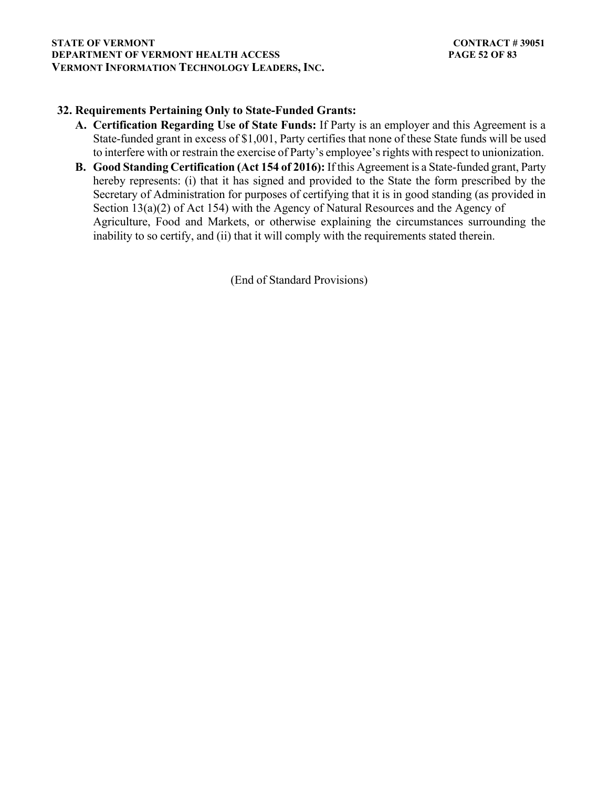## **32. Requirements Pertaining Only to State-Funded Grants:**

- **A. Certification Regarding Use of State Funds:** If Party is an employer and this Agreement is a State-funded grant in excess of \$1,001, Party certifies that none of these State funds will be used to interfere with or restrain the exercise of Party's employee's rights with respect to unionization.
- **B. Good Standing Certification (Act 154 of 2016):** If this Agreement is a State-funded grant, Party hereby represents: (i) that it has signed and provided to the State the form prescribed by the Secretary of Administration for purposes of certifying that it is in good standing (as provided in Section 13(a)(2) of Act 154) with the Agency of Natural Resources and the Agency of Agriculture, Food and Markets, or otherwise explaining the circumstances surrounding the inability to so certify, and (ii) that it will comply with the requirements stated therein.

(End of Standard Provisions)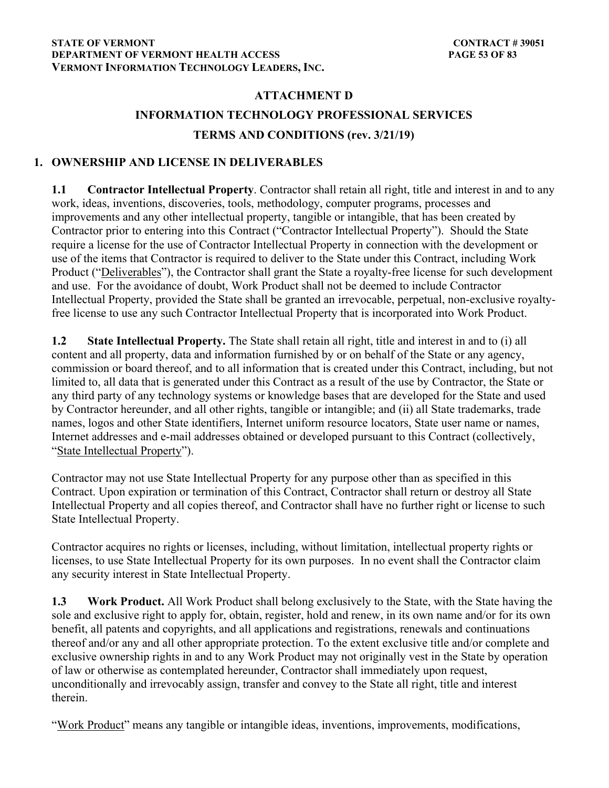# **ATTACHMENT D INFORMATION TECHNOLOGY PROFESSIONAL SERVICES TERMS AND CONDITIONS (rev. 3/21/19)**

## **1. OWNERSHIP AND LICENSE IN DELIVERABLES**

**1.1 Contractor Intellectual Property**. Contractor shall retain all right, title and interest in and to any work, ideas, inventions, discoveries, tools, methodology, computer programs, processes and improvements and any other intellectual property, tangible or intangible, that has been created by Contractor prior to entering into this Contract ("Contractor Intellectual Property"). Should the State require a license for the use of Contractor Intellectual Property in connection with the development or use of the items that Contractor is required to deliver to the State under this Contract, including Work Product ("Deliverables"), the Contractor shall grant the State a royalty-free license for such development and use. For the avoidance of doubt, Work Product shall not be deemed to include Contractor Intellectual Property, provided the State shall be granted an irrevocable, perpetual, non-exclusive royaltyfree license to use any such Contractor Intellectual Property that is incorporated into Work Product.

**1.2 State Intellectual Property.** The State shall retain all right, title and interest in and to (i) all content and all property, data and information furnished by or on behalf of the State or any agency, commission or board thereof, and to all information that is created under this Contract, including, but not limited to, all data that is generated under this Contract as a result of the use by Contractor, the State or any third party of any technology systems or knowledge bases that are developed for the State and used by Contractor hereunder, and all other rights, tangible or intangible; and (ii) all State trademarks, trade names, logos and other State identifiers, Internet uniform resource locators, State user name or names, Internet addresses and e-mail addresses obtained or developed pursuant to this Contract (collectively, "State Intellectual Property").

Contractor may not use State Intellectual Property for any purpose other than as specified in this Contract. Upon expiration or termination of this Contract, Contractor shall return or destroy all State Intellectual Property and all copies thereof, and Contractor shall have no further right or license to such State Intellectual Property.

Contractor acquires no rights or licenses, including, without limitation, intellectual property rights or licenses, to use State Intellectual Property for its own purposes. In no event shall the Contractor claim any security interest in State Intellectual Property.

**1.3 Work Product.** All Work Product shall belong exclusively to the State, with the State having the sole and exclusive right to apply for, obtain, register, hold and renew, in its own name and/or for its own benefit, all patents and copyrights, and all applications and registrations, renewals and continuations thereof and/or any and all other appropriate protection. To the extent exclusive title and/or complete and exclusive ownership rights in and to any Work Product may not originally vest in the State by operation of law or otherwise as contemplated hereunder, Contractor shall immediately upon request, unconditionally and irrevocably assign, transfer and convey to the State all right, title and interest therein.

"Work Product" means any tangible or intangible ideas, inventions, improvements, modifications,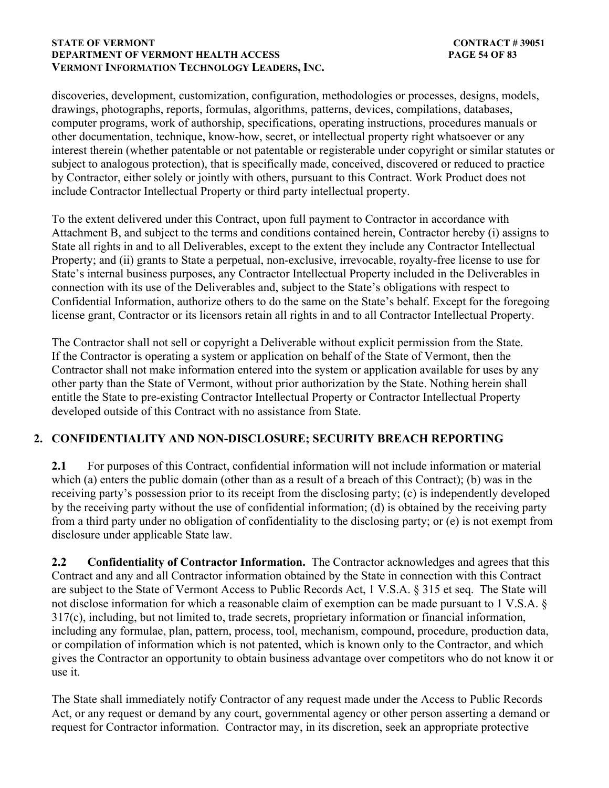### **STATE OF VERMONT** CONTRACT # 39051 **DEPARTMENT OF VERMONT HEALTH ACCESS PAGE 54 OF 83 VERMONT INFORMATION TECHNOLOGY LEADERS, INC.**

discoveries, development, customization, configuration, methodologies or processes, designs, models, drawings, photographs, reports, formulas, algorithms, patterns, devices, compilations, databases, computer programs, work of authorship, specifications, operating instructions, procedures manuals or other documentation, technique, know-how, secret, or intellectual property right whatsoever or any interest therein (whether patentable or not patentable or registerable under copyright or similar statutes or subject to analogous protection), that is specifically made, conceived, discovered or reduced to practice by Contractor, either solely or jointly with others, pursuant to this Contract. Work Product does not include Contractor Intellectual Property or third party intellectual property.

To the extent delivered under this Contract, upon full payment to Contractor in accordance with Attachment B, and subject to the terms and conditions contained herein, Contractor hereby (i) assigns to State all rights in and to all Deliverables, except to the extent they include any Contractor Intellectual Property; and (ii) grants to State a perpetual, non-exclusive, irrevocable, royalty-free license to use for State's internal business purposes, any Contractor Intellectual Property included in the Deliverables in connection with its use of the Deliverables and, subject to the State's obligations with respect to Confidential Information, authorize others to do the same on the State's behalf. Except for the foregoing license grant, Contractor or its licensors retain all rights in and to all Contractor Intellectual Property.

The Contractor shall not sell or copyright a Deliverable without explicit permission from the State. If the Contractor is operating a system or application on behalf of the State of Vermont, then the Contractor shall not make information entered into the system or application available for uses by any other party than the State of Vermont, without prior authorization by the State. Nothing herein shall entitle the State to pre-existing Contractor Intellectual Property or Contractor Intellectual Property developed outside of this Contract with no assistance from State.

## **2. CONFIDENTIALITY AND NON-DISCLOSURE; SECURITY BREACH REPORTING**

**2.1** For purposes of this Contract, confidential information will not include information or material which (a) enters the public domain (other than as a result of a breach of this Contract); (b) was in the receiving party's possession prior to its receipt from the disclosing party; (c) is independently developed by the receiving party without the use of confidential information; (d) is obtained by the receiving party from a third party under no obligation of confidentiality to the disclosing party; or (e) is not exempt from disclosure under applicable State law.

**2.2 Confidentiality of Contractor Information.** The Contractor acknowledges and agrees that this Contract and any and all Contractor information obtained by the State in connection with this Contract are subject to the State of Vermont Access to Public Records Act, 1 V.S.A. § 315 et seq. The State will not disclose information for which a reasonable claim of exemption can be made pursuant to 1 V.S.A. § 317(c), including, but not limited to, trade secrets, proprietary information or financial information, including any formulae, plan, pattern, process, tool, mechanism, compound, procedure, production data, or compilation of information which is not patented, which is known only to the Contractor, and which gives the Contractor an opportunity to obtain business advantage over competitors who do not know it or use it.

The State shall immediately notify Contractor of any request made under the Access to Public Records Act, or any request or demand by any court, governmental agency or other person asserting a demand or request for Contractor information. Contractor may, in its discretion, seek an appropriate protective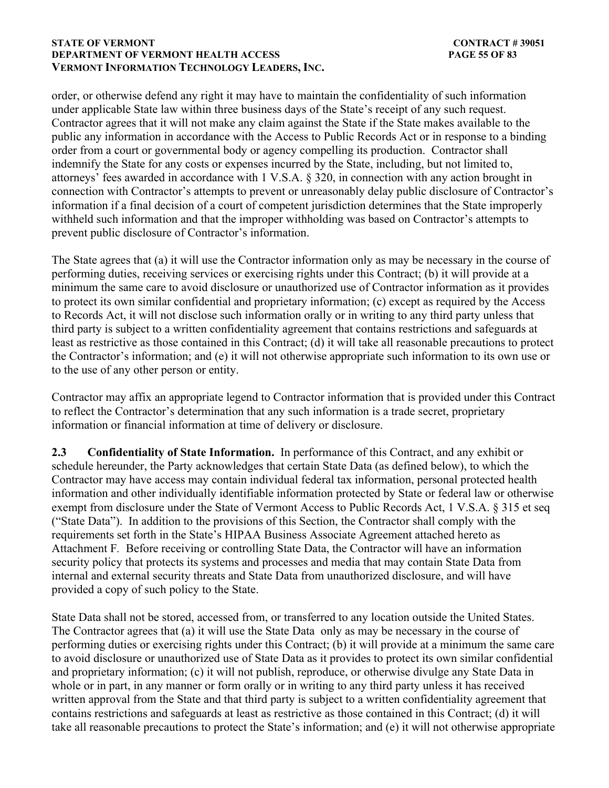#### **STATE OF VERMONT** CONTRACT # 39051 **DEPARTMENT OF VERMONT HEALTH ACCESS PAGE 55 OF 83 VERMONT INFORMATION TECHNOLOGY LEADERS, INC.**

order, or otherwise defend any right it may have to maintain the confidentiality of such information under applicable State law within three business days of the State's receipt of any such request. Contractor agrees that it will not make any claim against the State if the State makes available to the public any information in accordance with the Access to Public Records Act or in response to a binding order from a court or governmental body or agency compelling its production. Contractor shall indemnify the State for any costs or expenses incurred by the State, including, but not limited to, attorneys' fees awarded in accordance with 1 V.S.A. § 320, in connection with any action brought in connection with Contractor's attempts to prevent or unreasonably delay public disclosure of Contractor's information if a final decision of a court of competent jurisdiction determines that the State improperly withheld such information and that the improper withholding was based on Contractor's attempts to prevent public disclosure of Contractor's information.

The State agrees that (a) it will use the Contractor information only as may be necessary in the course of performing duties, receiving services or exercising rights under this Contract; (b) it will provide at a minimum the same care to avoid disclosure or unauthorized use of Contractor information as it provides to protect its own similar confidential and proprietary information; (c) except as required by the Access to Records Act, it will not disclose such information orally or in writing to any third party unless that third party is subject to a written confidentiality agreement that contains restrictions and safeguards at least as restrictive as those contained in this Contract; (d) it will take all reasonable precautions to protect the Contractor's information; and (e) it will not otherwise appropriate such information to its own use or to the use of any other person or entity.

Contractor may affix an appropriate legend to Contractor information that is provided under this Contract to reflect the Contractor's determination that any such information is a trade secret, proprietary information or financial information at time of delivery or disclosure.

**2.3 Confidentiality of State Information.** In performance of this Contract, and any exhibit or schedule hereunder, the Party acknowledges that certain State Data (as defined below), to which the Contractor may have access may contain individual federal tax information, personal protected health information and other individually identifiable information protected by State or federal law or otherwise exempt from disclosure under the State of Vermont Access to Public Records Act, 1 V.S.A. § 315 et seq ("State Data").In addition to the provisions of this Section, the Contractor shall comply with the requirements set forth in the State's HIPAA Business Associate Agreement attached hereto as Attachment F*.* Before receiving or controlling State Data, the Contractor will have an information security policy that protects its systems and processes and media that may contain State Data from internal and external security threats and State Data from unauthorized disclosure, and will have provided a copy of such policy to the State.

State Data shall not be stored, accessed from, or transferred to any location outside the United States. The Contractor agrees that (a) it will use the State Data only as may be necessary in the course of performing duties or exercising rights under this Contract; (b) it will provide at a minimum the same care to avoid disclosure or unauthorized use of State Data as it provides to protect its own similar confidential and proprietary information; (c) it will not publish, reproduce, or otherwise divulge any State Data in whole or in part, in any manner or form orally or in writing to any third party unless it has received written approval from the State and that third party is subject to a written confidentiality agreement that contains restrictions and safeguards at least as restrictive as those contained in this Contract; (d) it will take all reasonable precautions to protect the State's information; and (e) it will not otherwise appropriate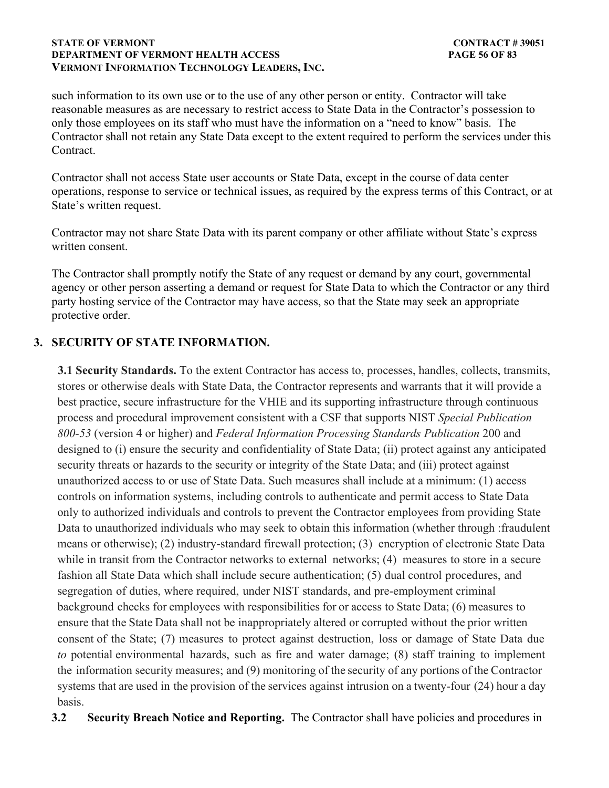#### **STATE OF VERMONT** CONTRACT # 39051 **DEPARTMENT OF VERMONT HEALTH ACCESS PAGE 56 OF 83 VERMONT INFORMATION TECHNOLOGY LEADERS, INC.**

such information to its own use or to the use of any other person or entity. Contractor will take reasonable measures as are necessary to restrict access to State Data in the Contractor's possession to only those employees on its staff who must have the information on a "need to know" basis. The Contractor shall not retain any State Data except to the extent required to perform the services under this Contract.

Contractor shall not access State user accounts or State Data, except in the course of data center operations, response to service or technical issues, as required by the express terms of this Contract, or at State's written request.

Contractor may not share State Data with its parent company or other affiliate without State's express written consent.

The Contractor shall promptly notify the State of any request or demand by any court, governmental agency or other person asserting a demand or request for State Data to which the Contractor or any third party hosting service of the Contractor may have access, so that the State may seek an appropriate protective order.

## **3. SECURITY OF STATE INFORMATION.**

**3.1 Security Standards.** To the extent Contractor has access to, processes, handles, collects, transmits, stores or otherwise deals with State Data, the Contractor represents and warrants that it will provide a best practice, secure infrastructure for the VHIE and its supporting infrastructure through continuous process and procedural improvement consistent with a CSF that supports NIST *Special Publication 800-53* (version 4 or higher) and *Federal Information Processing Standards Publication* 200 and designed to (i) ensure the security and confidentiality of State Data; (ii) protect against any anticipated security threats or hazards to the security or integrity of the State Data; and (iii) protect against unauthorized access to or use of State Data. Such measures shall include at a minimum: (1) access controls on information systems, including controls to authenticate and permit access to State Data only to authorized individuals and controls to prevent the Contractor employees from providing State Data to unauthorized individuals who may seek to obtain this information (whether through :fraudulent means or otherwise); (2) industry-standard firewall protection; (3) encryption of electronic State Data while in transit from the Contractor networks to external networks; (4) measures to store in a secure fashion all State Data which shall include secure authentication; (5) dual control procedures, and segregation of duties, where required, under NIST standards, and pre-employment criminal background checks for employees with responsibilities for or access to State Data; (6) measures to ensure that the State Data shall not be inappropriately altered or corrupted without the prior written consent of the State; (7) measures to protect against destruction, loss or damage of State Data due *to* potential environmental hazards, such as fire and water damage; (8) staff training to implement the information security measures; and (9) monitoring of the security of any portions of the Contractor systems that are used in the provision of the services against intrusion on a twenty-four (24) hour a day basis.

**3.2 Security Breach Notice and Reporting.** The Contractor shall have policies and procedures in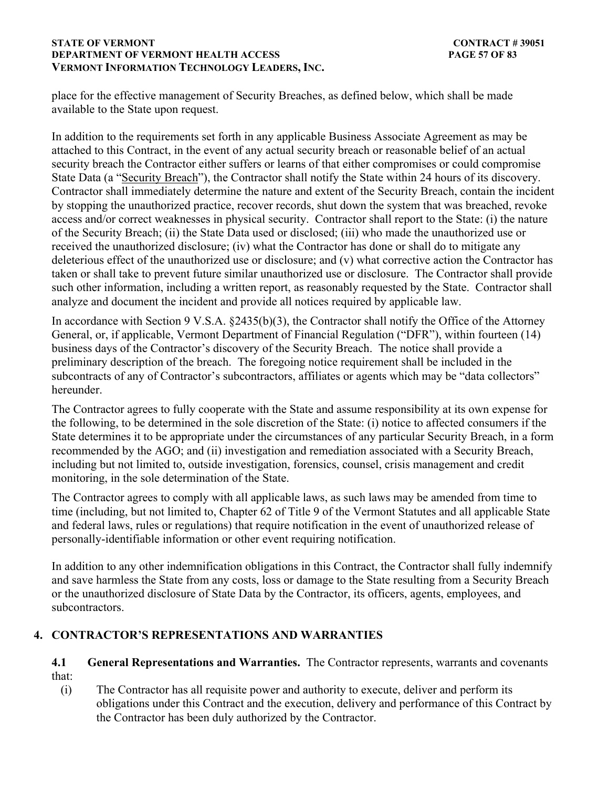### **STATE OF VERMONT** CONTRACT # 39051 **DEPARTMENT OF VERMONT HEALTH ACCESS PAGE 57 OF 83 VERMONT INFORMATION TECHNOLOGY LEADERS, INC.**

place for the effective management of Security Breaches, as defined below, which shall be made available to the State upon request.

In addition to the requirements set forth in any applicable Business Associate Agreement as may be attached to this Contract, in the event of any actual security breach or reasonable belief of an actual security breach the Contractor either suffers or learns of that either compromises or could compromise State Data (a "Security Breach"), the Contractor shall notify the State within 24 hours of its discovery. Contractor shall immediately determine the nature and extent of the Security Breach, contain the incident by stopping the unauthorized practice, recover records, shut down the system that was breached, revoke access and/or correct weaknesses in physical security. Contractor shall report to the State: (i) the nature of the Security Breach; (ii) the State Data used or disclosed; (iii) who made the unauthorized use or received the unauthorized disclosure; (iv) what the Contractor has done or shall do to mitigate any deleterious effect of the unauthorized use or disclosure; and (v) what corrective action the Contractor has taken or shall take to prevent future similar unauthorized use or disclosure. The Contractor shall provide such other information, including a written report, as reasonably requested by the State. Contractor shall analyze and document the incident and provide all notices required by applicable law.

In accordance with Section 9 V.S.A. §2435(b)(3), the Contractor shall notify the Office of the Attorney General, or, if applicable, Vermont Department of Financial Regulation ("DFR"), within fourteen (14) business days of the Contractor's discovery of the Security Breach. The notice shall provide a preliminary description of the breach. The foregoing notice requirement shall be included in the subcontracts of any of Contractor's subcontractors, affiliates or agents which may be "data collectors" hereunder.

The Contractor agrees to fully cooperate with the State and assume responsibility at its own expense for the following, to be determined in the sole discretion of the State: (i) notice to affected consumers if the State determines it to be appropriate under the circumstances of any particular Security Breach, in a form recommended by the AGO; and (ii) investigation and remediation associated with a Security Breach, including but not limited to, outside investigation, forensics, counsel, crisis management and credit monitoring, in the sole determination of the State.

The Contractor agrees to comply with all applicable laws, as such laws may be amended from time to time (including, but not limited to, Chapter 62 of Title 9 of the Vermont Statutes and all applicable State and federal laws, rules or regulations) that require notification in the event of unauthorized release of personally-identifiable information or other event requiring notification.

In addition to any other indemnification obligations in this Contract, the Contractor shall fully indemnify and save harmless the State from any costs, loss or damage to the State resulting from a Security Breach or the unauthorized disclosure of State Data by the Contractor, its officers, agents, employees, and subcontractors.

## **4. CONTRACTOR'S REPRESENTATIONS AND WARRANTIES**

## **4.1 General Representations and Warranties.** The Contractor represents, warrants and covenants that:

(i) The Contractor has all requisite power and authority to execute, deliver and perform its obligations under this Contract and the execution, delivery and performance of this Contract by the Contractor has been duly authorized by the Contractor.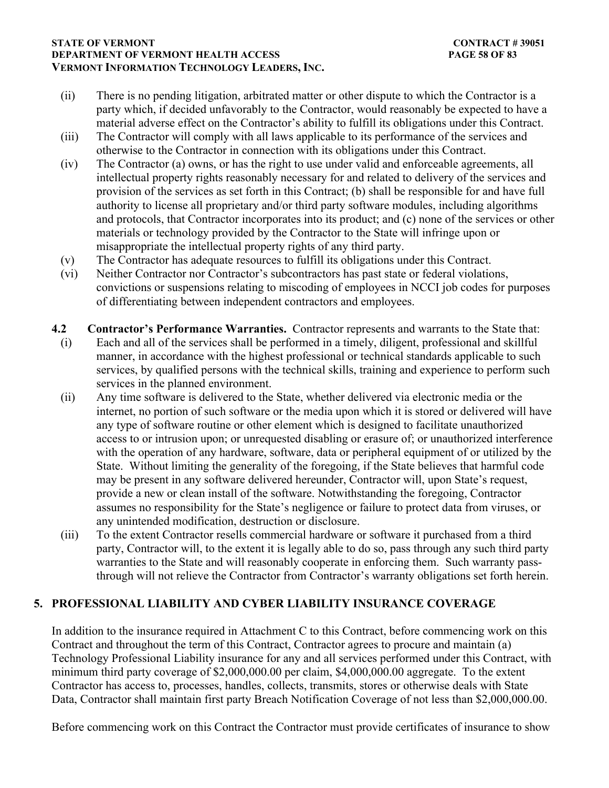### **STATE OF VERMONT** CONTRACT # 39051 **DEPARTMENT OF VERMONT HEALTH ACCESS PAGE 58 OF 83 VERMONT INFORMATION TECHNOLOGY LEADERS, INC.**

- (ii) There is no pending litigation, arbitrated matter or other dispute to which the Contractor is a party which, if decided unfavorably to the Contractor, would reasonably be expected to have a material adverse effect on the Contractor's ability to fulfill its obligations under this Contract.
- (iii) The Contractor will comply with all laws applicable to its performance of the services and otherwise to the Contractor in connection with its obligations under this Contract.
- (iv) The Contractor (a) owns, or has the right to use under valid and enforceable agreements, all intellectual property rights reasonably necessary for and related to delivery of the services and provision of the services as set forth in this Contract; (b) shall be responsible for and have full authority to license all proprietary and/or third party software modules, including algorithms and protocols, that Contractor incorporates into its product; and (c) none of the services or other materials or technology provided by the Contractor to the State will infringe upon or misappropriate the intellectual property rights of any third party.
- (v) The Contractor has adequate resources to fulfill its obligations under this Contract.
- (vi) Neither Contractor nor Contractor's subcontractors has past state or federal violations, convictions or suspensions relating to miscoding of employees in NCCI job codes for purposes of differentiating between independent contractors and employees.
- **4.2 Contractor's Performance Warranties.** Contractor represents and warrants to the State that: (i) Each and all of the services shall be performed in a timely, diligent, professional and skillful manner, in accordance with the highest professional or technical standards applicable to such services, by qualified persons with the technical skills, training and experience to perform such services in the planned environment.
	- (ii) Any time software is delivered to the State, whether delivered via electronic media or the internet, no portion of such software or the media upon which it is stored or delivered will have any type of software routine or other element which is designed to facilitate unauthorized access to or intrusion upon; or unrequested disabling or erasure of; or unauthorized interference with the operation of any hardware, software, data or peripheral equipment of or utilized by the State. Without limiting the generality of the foregoing, if the State believes that harmful code may be present in any software delivered hereunder, Contractor will, upon State's request, provide a new or clean install of the software. Notwithstanding the foregoing, Contractor assumes no responsibility for the State's negligence or failure to protect data from viruses, or any unintended modification, destruction or disclosure.
	- (iii) To the extent Contractor resells commercial hardware or software it purchased from a third party, Contractor will, to the extent it is legally able to do so, pass through any such third party warranties to the State and will reasonably cooperate in enforcing them. Such warranty passthrough will not relieve the Contractor from Contractor's warranty obligations set forth herein.

## **5. PROFESSIONAL LIABILITY AND CYBER LIABILITY INSURANCE COVERAGE**

In addition to the insurance required in Attachment C to this Contract, before commencing work on this Contract and throughout the term of this Contract, Contractor agrees to procure and maintain (a) Technology Professional Liability insurance for any and all services performed under this Contract, with minimum third party coverage of \$2,000,000.00 per claim, \$4,000,000.00 aggregate. To the extent Contractor has access to, processes, handles, collects, transmits, stores or otherwise deals with State Data, Contractor shall maintain first party Breach Notification Coverage of not less than \$2,000,000.00.

Before commencing work on this Contract the Contractor must provide certificates of insurance to show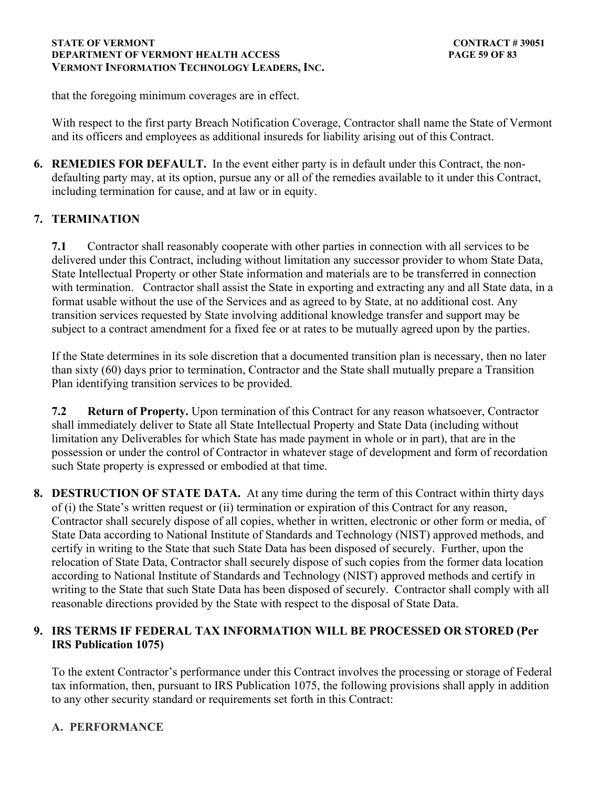that the foregoing minimum coverages are in effect.

With respect to the first party Breach Notification Coverage, Contractor shall name the State of Vermont and its officers and employees as additional insureds for liability arising out of this Contract.

**6. REMEDIES FOR DEFAULT.** In the event either party is in default under this Contract, the nondefaulting party may, at its option, pursue any or all of the remedies available to it under this Contract, including termination for cause, and at law or in equity.

## **7. TERMINATION**

**7.1** Contractor shall reasonably cooperate with other parties in connection with all services to be delivered under this Contract, including without limitation any successor provider to whom State Data, State Intellectual Property or other State information and materials are to be transferred in connection with termination. Contractor shall assist the State in exporting and extracting any and all State data, in a format usable without the use of the Services and as agreed to by State, at no additional cost. Any transition services requested by State involving additional knowledge transfer and support may be subject to a contract amendment for a fixed fee or at rates to be mutually agreed upon by the parties.

If the State determines in its sole discretion that a documented transition plan is necessary, then no later than sixty (60) days prior to termination, Contractor and the State shall mutually prepare a Transition Plan identifying transition services to be provided.

**7.2 Return of Property.** Upon termination of this Contract for any reason whatsoever, Contractor shall immediately deliver to State all State Intellectual Property and State Data (including without limitation any Deliverables for which State has made payment in whole or in part), that are in the possession or under the control of Contractor in whatever stage of development and form of recordation such State property is expressed or embodied at that time.

**8. DESTRUCTION OF STATE DATA.** At any time during the term of this Contract within thirty days of (i) the State's written request or (ii) termination or expiration of this Contract for any reason, Contractor shall securely dispose of all copies, whether in written, electronic or other form or media, of State Data according to National Institute of Standards and Technology (NIST) approved methods, and certify in writing to the State that such State Data has been disposed of securely. Further, upon the relocation of State Data, Contractor shall securely dispose of such copies from the former data location according to National Institute of Standards and Technology (NIST) approved methods and certify in writing to the State that such State Data has been disposed of securely. Contractor shall comply with all reasonable directions provided by the State with respect to the disposal of State Data.

## **9. IRS TERMS IF FEDERAL TAX INFORMATION WILL BE PROCESSED OR STORED (Per IRS Publication 1075)**

To the extent Contractor's performance under this Contract involves the processing or storage of Federal tax information, then, pursuant to IRS Publication 1075, the following provisions shall apply in addition to any other security standard or requirements set forth in this Contract:

## **A. PERFORMANCE**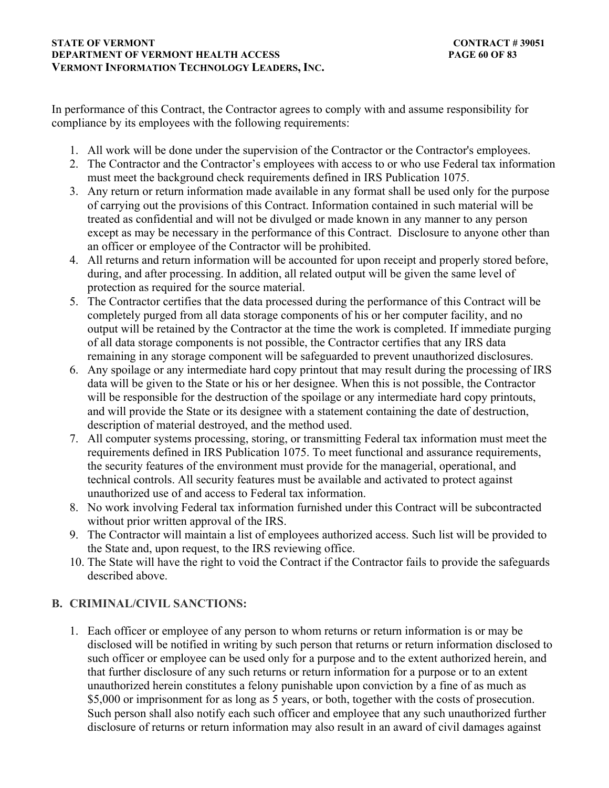In performance of this Contract, the Contractor agrees to comply with and assume responsibility for compliance by its employees with the following requirements:

- 1. All work will be done under the supervision of the Contractor or the Contractor's employees.
- 2. The Contractor and the Contractor's employees with access to or who use Federal tax information must meet the background check requirements defined in IRS Publication 1075.
- 3. Any return or return information made available in any format shall be used only for the purpose of carrying out the provisions of this Contract. Information contained in such material will be treated as confidential and will not be divulged or made known in any manner to any person except as may be necessary in the performance of this Contract. Disclosure to anyone other than an officer or employee of the Contractor will be prohibited.
- 4. All returns and return information will be accounted for upon receipt and properly stored before, during, and after processing. In addition, all related output will be given the same level of protection as required for the source material.
- 5. The Contractor certifies that the data processed during the performance of this Contract will be completely purged from all data storage components of his or her computer facility, and no output will be retained by the Contractor at the time the work is completed. If immediate purging of all data storage components is not possible, the Contractor certifies that any IRS data remaining in any storage component will be safeguarded to prevent unauthorized disclosures.
- 6. Any spoilage or any intermediate hard copy printout that may result during the processing of IRS data will be given to the State or his or her designee. When this is not possible, the Contractor will be responsible for the destruction of the spoilage or any intermediate hard copy printouts, and will provide the State or its designee with a statement containing the date of destruction, description of material destroyed, and the method used.
- 7. All computer systems processing, storing, or transmitting Federal tax information must meet the requirements defined in IRS Publication 1075. To meet functional and assurance requirements, the security features of the environment must provide for the managerial, operational, and technical controls. All security features must be available and activated to protect against unauthorized use of and access to Federal tax information.
- 8. No work involving Federal tax information furnished under this Contract will be subcontracted without prior written approval of the IRS.
- 9. The Contractor will maintain a list of employees authorized access. Such list will be provided to the State and, upon request, to the IRS reviewing office.
- 10. The State will have the right to void the Contract if the Contractor fails to provide the safeguards described above.

## **B. CRIMINAL/CIVIL SANCTIONS:**

1. Each officer or employee of any person to whom returns or return information is or may be disclosed will be notified in writing by such person that returns or return information disclosed to such officer or employee can be used only for a purpose and to the extent authorized herein, and that further disclosure of any such returns or return information for a purpose or to an extent unauthorized herein constitutes a felony punishable upon conviction by a fine of as much as \$5,000 or imprisonment for as long as 5 years, or both, together with the costs of prosecution. Such person shall also notify each such officer and employee that any such unauthorized further disclosure of returns or return information may also result in an award of civil damages against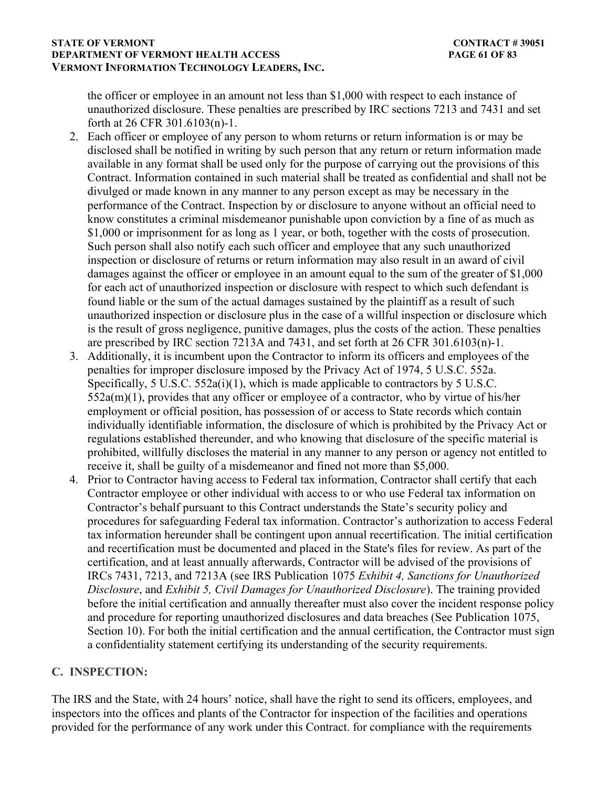### **STATE OF VERMONT** CONTRACT # 39051 **DEPARTMENT OF VERMONT HEALTH ACCESS PAGE 61 OF 83 VERMONT INFORMATION TECHNOLOGY LEADERS, INC.**

the officer or employee in an amount not less than \$1,000 with respect to each instance of unauthorized disclosure. These penalties are prescribed by IRC sections 7213 and 7431 and set forth at 26 CFR 301.6103(n)-1.

- 2. Each officer or employee of any person to whom returns or return information is or may be disclosed shall be notified in writing by such person that any return or return information made available in any format shall be used only for the purpose of carrying out the provisions of this Contract. Information contained in such material shall be treated as confidential and shall not be divulged or made known in any manner to any person except as may be necessary in the performance of the Contract. Inspection by or disclosure to anyone without an official need to know constitutes a criminal misdemeanor punishable upon conviction by a fine of as much as \$1,000 or imprisonment for as long as 1 year, or both, together with the costs of prosecution. Such person shall also notify each such officer and employee that any such unauthorized inspection or disclosure of returns or return information may also result in an award of civil damages against the officer or employee in an amount equal to the sum of the greater of \$1,000 for each act of unauthorized inspection or disclosure with respect to which such defendant is found liable or the sum of the actual damages sustained by the plaintiff as a result of such unauthorized inspection or disclosure plus in the case of a willful inspection or disclosure which is the result of gross negligence, punitive damages, plus the costs of the action. These penalties are prescribed by IRC section 7213A and 7431, and set forth at 26 CFR 301.6103(n)-1.
- 3. Additionally, it is incumbent upon the Contractor to inform its officers and employees of the penalties for improper disclosure imposed by the Privacy Act of 1974, 5 U.S.C. 552a. Specifically, 5 U.S.C. 552a(i)(1), which is made applicable to contractors by 5 U.S.C. 552a(m)(1), provides that any officer or employee of a contractor, who by virtue of his/her employment or official position, has possession of or access to State records which contain individually identifiable information, the disclosure of which is prohibited by the Privacy Act or regulations established thereunder, and who knowing that disclosure of the specific material is prohibited, willfully discloses the material in any manner to any person or agency not entitled to receive it, shall be guilty of a misdemeanor and fined not more than \$5,000.
- 4. Prior to Contractor having access to Federal tax information, Contractor shall certify that each Contractor employee or other individual with access to or who use Federal tax information on Contractor's behalf pursuant to this Contract understands the State's security policy and procedures for safeguarding Federal tax information. Contractor's authorization to access Federal tax information hereunder shall be contingent upon annual recertification. The initial certification and recertification must be documented and placed in the State's files for review. As part of the certification, and at least annually afterwards, Contractor will be advised of the provisions of IRCs 7431, 7213, and 7213A (see IRS Publication 1075 *Exhibit 4, Sanctions for Unauthorized Disclosure*, and *Exhibit 5, Civil Damages for Unauthorized Disclosure*). The training provided before the initial certification and annually thereafter must also cover the incident response policy and procedure for reporting unauthorized disclosures and data breaches (See Publication 1075, Section 10). For both the initial certification and the annual certification, the Contractor must sign a confidentiality statement certifying its understanding of the security requirements.

## **C. INSPECTION:**

The IRS and the State, with 24 hours' notice, shall have the right to send its officers, employees, and inspectors into the offices and plants of the Contractor for inspection of the facilities and operations provided for the performance of any work under this Contract. for compliance with the requirements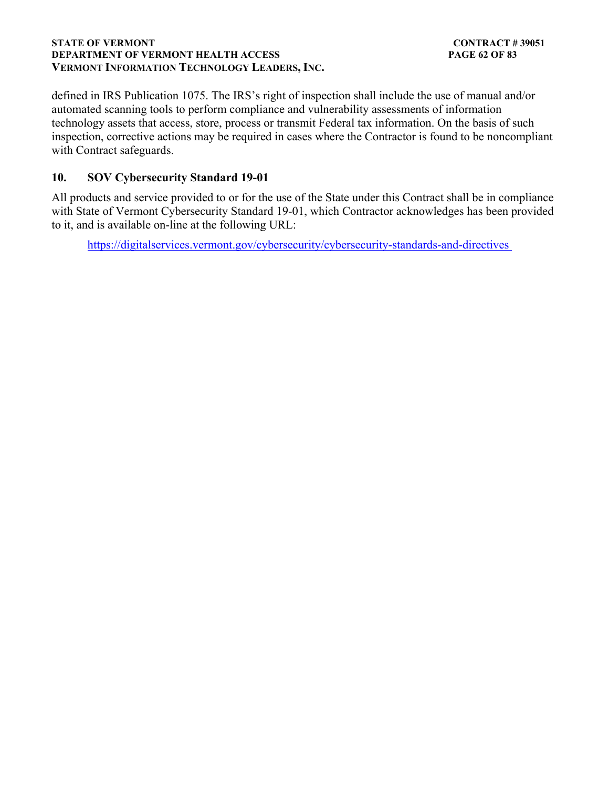### **STATE OF VERMONT** CONTRACT # 39051 **DEPARTMENT OF VERMONT HEALTH ACCESS PAGE 62 OF 83 VERMONT INFORMATION TECHNOLOGY LEADERS, INC.**

defined in IRS Publication 1075. The IRS's right of inspection shall include the use of manual and/or automated scanning tools to perform compliance and vulnerability assessments of information technology assets that access, store, process or transmit Federal tax information. On the basis of such inspection, corrective actions may be required in cases where the Contractor is found to be noncompliant with Contract safeguards.

## **10. SOV Cybersecurity Standard 19-01**

All products and service provided to or for the use of the State under this Contract shall be in compliance with State of Vermont Cybersecurity Standard 19-01, which Contractor acknowledges has been provided to it, and is available on-line at the following URL:

<https://digitalservices.vermont.gov/cybersecurity/cybersecurity-standards-and-directives>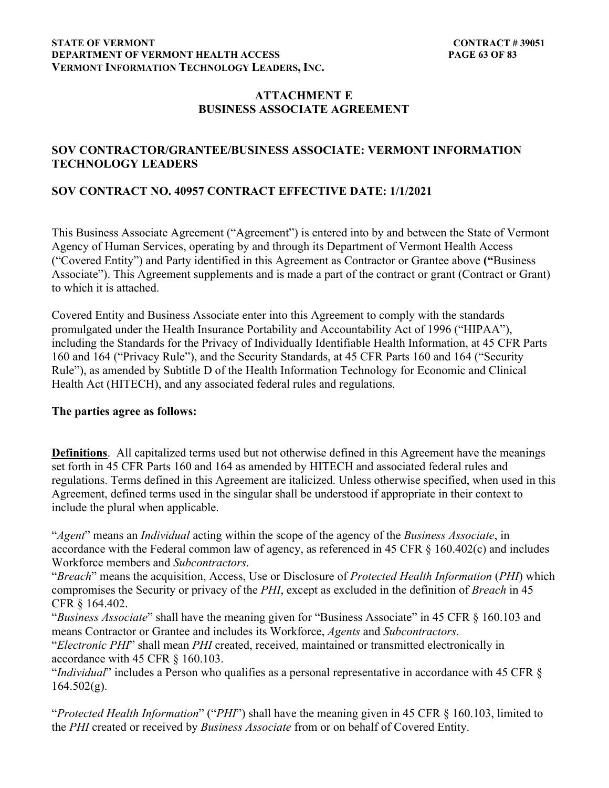#### **STATE OF VERMONT** CONTRACT # 39051 **DEPARTMENT OF VERMONT HEALTH ACCESS PAGE 63 OF 83 VERMONT INFORMATION TECHNOLOGY LEADERS, INC.**

## **ATTACHMENT E BUSINESS ASSOCIATE AGREEMENT**

## **SOV CONTRACTOR/GRANTEE/BUSINESS ASSOCIATE: VERMONT INFORMATION TECHNOLOGY LEADERS**

## **SOV CONTRACT NO. 40957 CONTRACT EFFECTIVE DATE: 1/1/2021**

This Business Associate Agreement ("Agreement") is entered into by and between the State of Vermont Agency of Human Services, operating by and through its Department of Vermont Health Access ("Covered Entity") and Party identified in this Agreement as Contractor or Grantee above **("**Business Associate"). This Agreement supplements and is made a part of the contract or grant (Contract or Grant) to which it is attached.

Covered Entity and Business Associate enter into this Agreement to comply with the standards promulgated under the Health Insurance Portability and Accountability Act of 1996 ("HIPAA"), including the Standards for the Privacy of Individually Identifiable Health Information, at 45 CFR Parts 160 and 164 ("Privacy Rule"), and the Security Standards, at 45 CFR Parts 160 and 164 ("Security Rule"), as amended by Subtitle D of the Health Information Technology for Economic and Clinical Health Act (HITECH), and any associated federal rules and regulations.

### **The parties agree as follows:**

**Definitions**. All capitalized terms used but not otherwise defined in this Agreement have the meanings set forth in 45 CFR Parts 160 and 164 as amended by HITECH and associated federal rules and regulations. Terms defined in this Agreement are italicized. Unless otherwise specified, when used in this Agreement, defined terms used in the singular shall be understood if appropriate in their context to include the plural when applicable.

"*Agent*" means an *Individual* acting within the scope of the agency of the *Business Associate*, in accordance with the Federal common law of agency, as referenced in 45 CFR § 160.402(c) and includes Workforce members and *Subcontractors*.

"*Breach*" means the acquisition, Access, Use or Disclosure of *Protected Health Information* (*PHI*) which compromises the Security or privacy of the *PHI*, except as excluded in the definition of *Breach* in 45 CFR § 164.402.

"*Business Associate*" shall have the meaning given for "Business Associate" in 45 CFR § 160.103 and means Contractor or Grantee and includes its Workforce, *Agents* and *Subcontractors*.

"*Electronic PHI*" shall mean *PHI* created, received, maintained or transmitted electronically in accordance with 45 CFR § 160.103.

"*Individual*" includes a Person who qualifies as a personal representative in accordance with 45 CFR §  $164.502(g)$ .

"*Protected Health Information*" ("*PHI*") shall have the meaning given in 45 CFR § 160.103, limited to the *PHI* created or received by *Business Associate* from or on behalf of Covered Entity.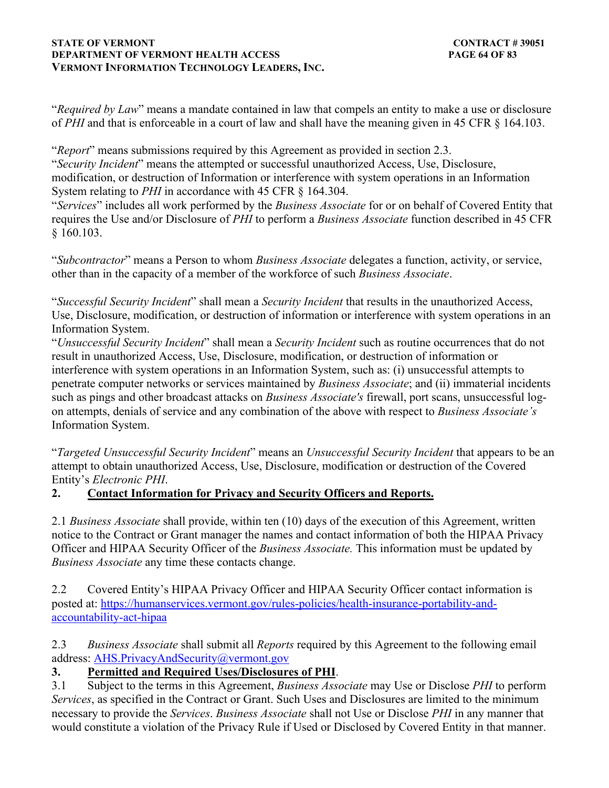### **STATE OF VERMONT** CONTRACT # 39051 **DEPARTMENT OF VERMONT HEALTH ACCESS PAGE 64 OF 83 VERMONT INFORMATION TECHNOLOGY LEADERS, INC.**

"*Required by Law*" means a mandate contained in law that compels an entity to make a use or disclosure of *PHI* and that is enforceable in a court of law and shall have the meaning given in 45 CFR § 164.103.

"*Report*" means submissions required by this Agreement as provided in section 2.3.

"*Security Incident*" means the attempted or successful unauthorized Access, Use, Disclosure, modification, or destruction of Information or interference with system operations in an Information System relating to *PHI* in accordance with 45 CFR § 164.304.

"*Services*" includes all work performed by the *Business Associate* for or on behalf of Covered Entity that requires the Use and/or Disclosure of *PHI* to perform a *Business Associate* function described in 45 CFR § 160.103.

"*Subcontractor*" means a Person to whom *Business Associate* delegates a function, activity, or service, other than in the capacity of a member of the workforce of such *Business Associate*.

"*Successful Security Incident*" shall mean a *Security Incident* that results in the unauthorized Access, Use, Disclosure, modification, or destruction of information or interference with system operations in an Information System.

"*Unsuccessful Security Incident*" shall mean a *Security Incident* such as routine occurrences that do not result in unauthorized Access, Use, Disclosure, modification, or destruction of information or interference with system operations in an Information System, such as: (i) unsuccessful attempts to penetrate computer networks or services maintained by *Business Associate*; and (ii) immaterial incidents such as pings and other broadcast attacks on *Business Associate's* firewall, port scans, unsuccessful logon attempts, denials of service and any combination of the above with respect to *Business Associate's* Information System.

"*Targeted Unsuccessful Security Incident*" means an *Unsuccessful Security Incident* that appears to be an attempt to obtain unauthorized Access, Use, Disclosure, modification or destruction of the Covered Entity's *Electronic PHI*.

## **2. Contact Information for Privacy and Security Officers and Reports.**

2.1 *Business Associate* shall provide, within ten (10) days of the execution of this Agreement, written notice to the Contract or Grant manager the names and contact information of both the HIPAA Privacy Officer and HIPAA Security Officer of the *Business Associate.* This information must be updated by *Business Associate* any time these contacts change.

2.2 Covered Entity's HIPAA Privacy Officer and HIPAA Security Officer contact information is posted at: [https://humanservices.vermont.gov/rules-policies/health-insurance-portability-and](https://humanservices.vermont.gov/rules-policies/health-insurance-portability-and-accountability-act-hipaa)[accountability-act-hipaa](https://humanservices.vermont.gov/rules-policies/health-insurance-portability-and-accountability-act-hipaa)

2.3 *Business Associate* shall submit all *Reports* required by this Agreement to the following email address: [AHS.PrivacyAndSecurity@vermont.gov](mailto)

## **3. Permitted and Required Uses/Disclosures of PHI**.

3.1 Subject to the terms in this Agreement, *Business Associate* may Use or Disclose *PHI* to perform *Services*, as specified in the Contract or Grant. Such Uses and Disclosures are limited to the minimum necessary to provide the *Services*. *Business Associate* shall not Use or Disclose *PHI* in any manner that would constitute a violation of the Privacy Rule if Used or Disclosed by Covered Entity in that manner.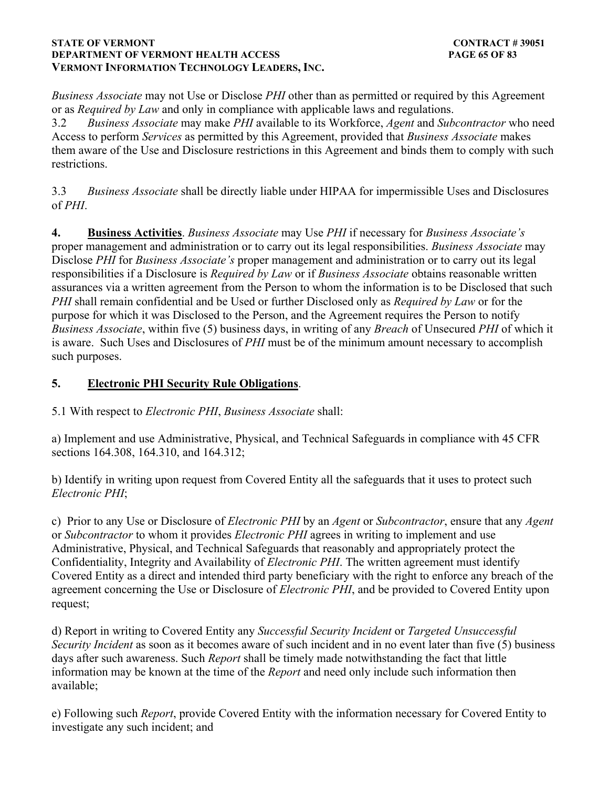### **STATE OF VERMONT** CONTRACT # 39051 **DEPARTMENT OF VERMONT HEALTH ACCESS PAGE 65 OF 83 VERMONT INFORMATION TECHNOLOGY LEADERS, INC.**

*Business Associate* may not Use or Disclose *PHI* other than as permitted or required by this Agreement or as *Required by Law* and only in compliance with applicable laws and regulations.

3.2 *Business Associate* may make *PHI* available to its Workforce, *Agent* and *Subcontractor* who need Access to perform *Services* as permitted by this Agreement, provided that *Business Associate* makes them aware of the Use and Disclosure restrictions in this Agreement and binds them to comply with such restrictions.

3.3 *Business Associate* shall be directly liable under HIPAA for impermissible Uses and Disclosures of *PHI*.

**4. Business Activities**. *Business Associate* may Use *PHI* if necessary for *Business Associate's* proper management and administration or to carry out its legal responsibilities. *Business Associate* may Disclose *PHI* for *Business Associate's* proper management and administration or to carry out its legal responsibilities if a Disclosure is *Required by Law* or if *Business Associate* obtains reasonable written assurances via a written agreement from the Person to whom the information is to be Disclosed that such *PHI* shall remain confidential and be Used or further Disclosed only as *Required by Law* or for the purpose for which it was Disclosed to the Person, and the Agreement requires the Person to notify *Business Associate*, within five (5) business days, in writing of any *Breach* of Unsecured *PHI* of which it is aware. Such Uses and Disclosures of *PHI* must be of the minimum amount necessary to accomplish such purposes.

## **5. Electronic PHI Security Rule Obligations**.

5.1 With respect to *Electronic PHI*, *Business Associate* shall:

a) Implement and use Administrative, Physical, and Technical Safeguards in compliance with 45 CFR sections 164.308, 164.310, and 164.312;

b) Identify in writing upon request from Covered Entity all the safeguards that it uses to protect such *Electronic PHI*;

c) Prior to any Use or Disclosure of *Electronic PHI* by an *Agent* or *Subcontractor*, ensure that any *Agent* or *Subcontractor* to whom it provides *Electronic PHI* agrees in writing to implement and use Administrative, Physical, and Technical Safeguards that reasonably and appropriately protect the Confidentiality, Integrity and Availability of *Electronic PHI*. The written agreement must identify Covered Entity as a direct and intended third party beneficiary with the right to enforce any breach of the agreement concerning the Use or Disclosure of *Electronic PHI*, and be provided to Covered Entity upon request;

d) Report in writing to Covered Entity any *Successful Security Incident* or *Targeted Unsuccessful Security Incident* as soon as it becomes aware of such incident and in no event later than five (5) business days after such awareness. Such *Report* shall be timely made notwithstanding the fact that little information may be known at the time of the *Report* and need only include such information then available;

e) Following such *Report*, provide Covered Entity with the information necessary for Covered Entity to investigate any such incident; and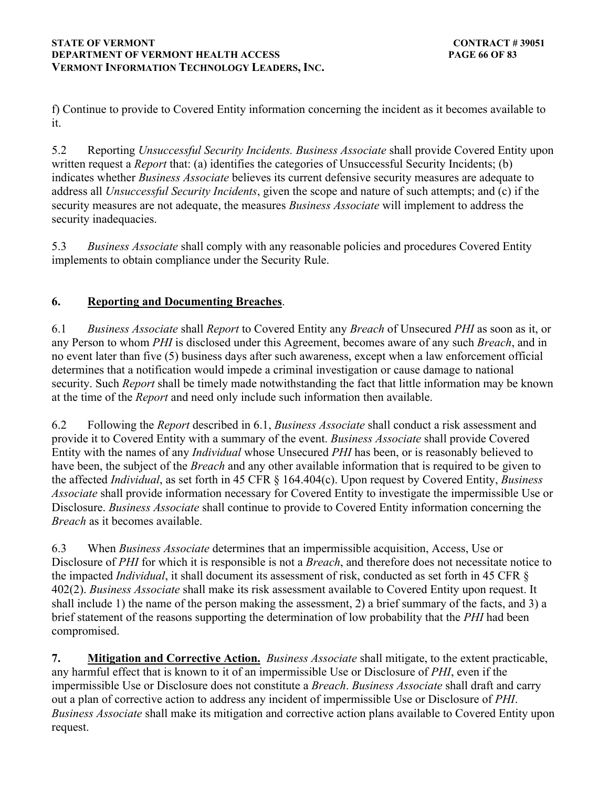f) Continue to provide to Covered Entity information concerning the incident as it becomes available to it.

5.2 Reporting *Unsuccessful Security Incidents. Business Associate* shall provide Covered Entity upon written request a *Report* that: (a) identifies the categories of Unsuccessful Security Incidents; (b) indicates whether *Business Associate* believes its current defensive security measures are adequate to address all *Unsuccessful Security Incidents*, given the scope and nature of such attempts; and (c) if the security measures are not adequate, the measures *Business Associate* will implement to address the security inadequacies.

5.3 *Business Associate* shall comply with any reasonable policies and procedures Covered Entity implements to obtain compliance under the Security Rule.

## **6. Reporting and Documenting Breaches**.

6.1 *Business Associate* shall *Report* to Covered Entity any *Breach* of Unsecured *PHI* as soon as it, or any Person to whom *PHI* is disclosed under this Agreement, becomes aware of any such *Breach*, and in no event later than five (5) business days after such awareness, except when a law enforcement official determines that a notification would impede a criminal investigation or cause damage to national security. Such *Report* shall be timely made notwithstanding the fact that little information may be known at the time of the *Report* and need only include such information then available.

6.2 Following the *Report* described in 6.1, *Business Associate* shall conduct a risk assessment and provide it to Covered Entity with a summary of the event. *Business Associate* shall provide Covered Entity with the names of any *Individual* whose Unsecured *PHI* has been, or is reasonably believed to have been, the subject of the *Breach* and any other available information that is required to be given to the affected *Individual*, as set forth in 45 CFR § 164.404(c). Upon request by Covered Entity, *Business Associate* shall provide information necessary for Covered Entity to investigate the impermissible Use or Disclosure. *Business Associate* shall continue to provide to Covered Entity information concerning the *Breach* as it becomes available.

6.3 When *Business Associate* determines that an impermissible acquisition, Access, Use or Disclosure of *PHI* for which it is responsible is not a *Breach*, and therefore does not necessitate notice to the impacted *Individual*, it shall document its assessment of risk, conducted as set forth in 45 CFR § 402(2). *Business Associate* shall make its risk assessment available to Covered Entity upon request. It shall include 1) the name of the person making the assessment, 2) a brief summary of the facts, and 3) a brief statement of the reasons supporting the determination of low probability that the *PHI* had been compromised.

**7. Mitigation and Corrective Action.** *Business Associate* shall mitigate, to the extent practicable, any harmful effect that is known to it of an impermissible Use or Disclosure of *PHI*, even if the impermissible Use or Disclosure does not constitute a *Breach*. *Business Associate* shall draft and carry out a plan of corrective action to address any incident of impermissible Use or Disclosure of *PHI*. *Business Associate* shall make its mitigation and corrective action plans available to Covered Entity upon request.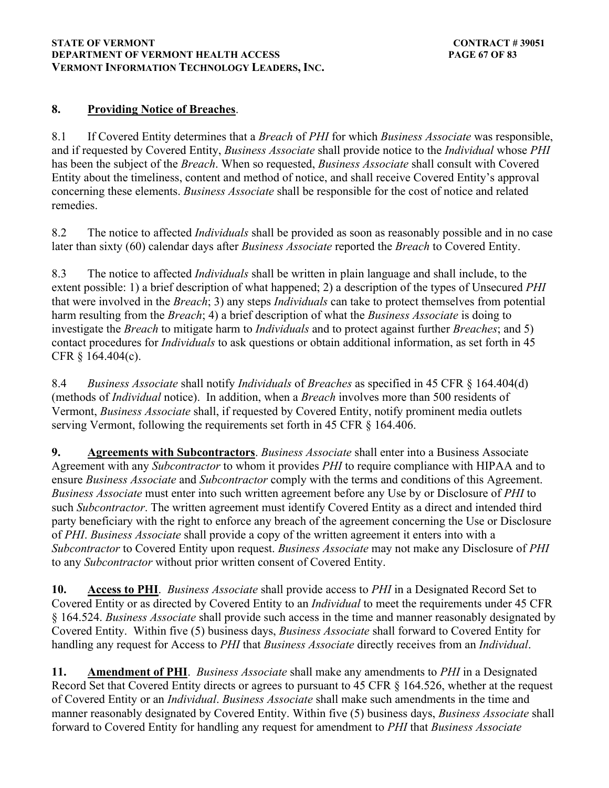### **STATE OF VERMONT** CONTRACT # 39051 **DEPARTMENT OF VERMONT HEALTH ACCESS PAGE 67 OF 83 VERMONT INFORMATION TECHNOLOGY LEADERS, INC.**

## **8. Providing Notice of Breaches**.

8.1 If Covered Entity determines that a *Breach* of *PHI* for which *Business Associate* was responsible, and if requested by Covered Entity, *Business Associate* shall provide notice to the *Individual* whose *PHI* has been the subject of the *Breach*. When so requested, *Business Associate* shall consult with Covered Entity about the timeliness, content and method of notice, and shall receive Covered Entity's approval concerning these elements. *Business Associate* shall be responsible for the cost of notice and related remedies.

8.2 The notice to affected *Individuals* shall be provided as soon as reasonably possible and in no case later than sixty (60) calendar days after *Business Associate* reported the *Breach* to Covered Entity.

8.3 The notice to affected *Individuals* shall be written in plain language and shall include, to the extent possible: 1) a brief description of what happened; 2) a description of the types of Unsecured *PHI* that were involved in the *Breach*; 3) any steps *Individuals* can take to protect themselves from potential harm resulting from the *Breach*; 4) a brief description of what the *Business Associate* is doing to investigate the *Breach* to mitigate harm to *Individuals* and to protect against further *Breaches*; and 5) contact procedures for *Individuals* to ask questions or obtain additional information, as set forth in 45 CFR § 164.404(c).

8.4 *Business Associate* shall notify *Individuals* of *Breaches* as specified in 45 CFR § 164.404(d) (methods of *Individual* notice). In addition, when a *Breach* involves more than 500 residents of Vermont, *Business Associate* shall, if requested by Covered Entity, notify prominent media outlets serving Vermont, following the requirements set forth in 45 CFR § 164.406.

**9. Agreements with Subcontractors**. *Business Associate* shall enter into a Business Associate Agreement with any *Subcontractor* to whom it provides *PHI* to require compliance with HIPAA and to ensure *Business Associate* and *Subcontractor* comply with the terms and conditions of this Agreement. *Business Associate* must enter into such written agreement before any Use by or Disclosure of *PHI* to such *Subcontractor*. The written agreement must identify Covered Entity as a direct and intended third party beneficiary with the right to enforce any breach of the agreement concerning the Use or Disclosure of *PHI*. *Business Associate* shall provide a copy of the written agreement it enters into with a *Subcontractor* to Covered Entity upon request. *Business Associate* may not make any Disclosure of *PHI* to any *Subcontractor* without prior written consent of Covered Entity.

**10. Access to PHI**. *Business Associate* shall provide access to *PHI* in a Designated Record Set to Covered Entity or as directed by Covered Entity to an *Individual* to meet the requirements under 45 CFR § 164.524. *Business Associate* shall provide such access in the time and manner reasonably designated by Covered Entity. Within five (5) business days, *Business Associate* shall forward to Covered Entity for handling any request for Access to *PHI* that *Business Associate* directly receives from an *Individual*.

**11. Amendment of PHI**. *Business Associate* shall make any amendments to *PHI* in a Designated Record Set that Covered Entity directs or agrees to pursuant to 45 CFR § 164.526, whether at the request of Covered Entity or an *Individual*. *Business Associate* shall make such amendments in the time and manner reasonably designated by Covered Entity. Within five (5) business days, *Business Associate* shall forward to Covered Entity for handling any request for amendment to *PHI* that *Business Associate*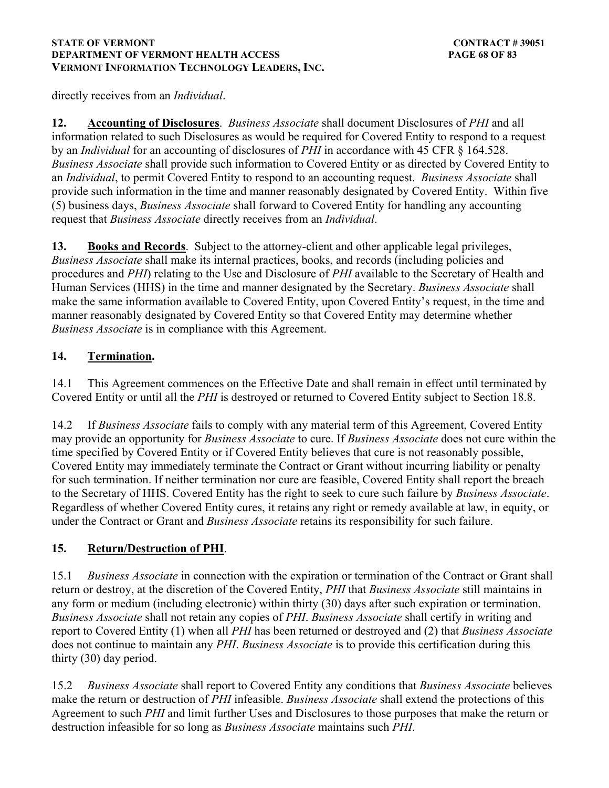### **STATE OF VERMONT** CONTRACT # 39051 **DEPARTMENT OF VERMONT HEALTH ACCESS PAGE 68 OF 83 VERMONT INFORMATION TECHNOLOGY LEADERS, INC.**

directly receives from an *Individual*.

**12. Accounting of Disclosures**. *Business Associate* shall document Disclosures of *PHI* and all information related to such Disclosures as would be required for Covered Entity to respond to a request by an *Individual* for an accounting of disclosures of *PHI* in accordance with 45 CFR § 164.528. *Business Associate* shall provide such information to Covered Entity or as directed by Covered Entity to an *Individual*, to permit Covered Entity to respond to an accounting request. *Business Associate* shall provide such information in the time and manner reasonably designated by Covered Entity. Within five (5) business days, *Business Associate* shall forward to Covered Entity for handling any accounting request that *Business Associate* directly receives from an *Individual*.

**13. Books and Records**. Subject to the attorney-client and other applicable legal privileges, *Business Associate* shall make its internal practices, books, and records (including policies and procedures and *PHI*) relating to the Use and Disclosure of *PHI* available to the Secretary of Health and Human Services (HHS) in the time and manner designated by the Secretary. *Business Associate* shall make the same information available to Covered Entity, upon Covered Entity's request, in the time and manner reasonably designated by Covered Entity so that Covered Entity may determine whether *Business Associate* is in compliance with this Agreement.

## **14. Termination.**

14.1 This Agreement commences on the Effective Date and shall remain in effect until terminated by Covered Entity or until all the *PHI* is destroyed or returned to Covered Entity subject to Section 18.8.

14.2 If *Business Associate* fails to comply with any material term of this Agreement, Covered Entity may provide an opportunity for *Business Associate* to cure. If *Business Associate* does not cure within the time specified by Covered Entity or if Covered Entity believes that cure is not reasonably possible, Covered Entity may immediately terminate the Contract or Grant without incurring liability or penalty for such termination. If neither termination nor cure are feasible, Covered Entity shall report the breach to the Secretary of HHS. Covered Entity has the right to seek to cure such failure by *Business Associate*. Regardless of whether Covered Entity cures, it retains any right or remedy available at law, in equity, or under the Contract or Grant and *Business Associate* retains its responsibility for such failure.

## **15. Return/Destruction of PHI**.

15.1 *Business Associate* in connection with the expiration or termination of the Contract or Grant shall return or destroy, at the discretion of the Covered Entity, *PHI* that *Business Associate* still maintains in any form or medium (including electronic) within thirty (30) days after such expiration or termination. *Business Associate* shall not retain any copies of *PHI*. *Business Associate* shall certify in writing and report to Covered Entity (1) when all *PHI* has been returned or destroyed and (2) that *Business Associate* does not continue to maintain any *PHI*. *Business Associate* is to provide this certification during this thirty (30) day period.

15.2 *Business Associate* shall report to Covered Entity any conditions that *Business Associate* believes make the return or destruction of *PHI* infeasible. *Business Associate* shall extend the protections of this Agreement to such *PHI* and limit further Uses and Disclosures to those purposes that make the return or destruction infeasible for so long as *Business Associate* maintains such *PHI*.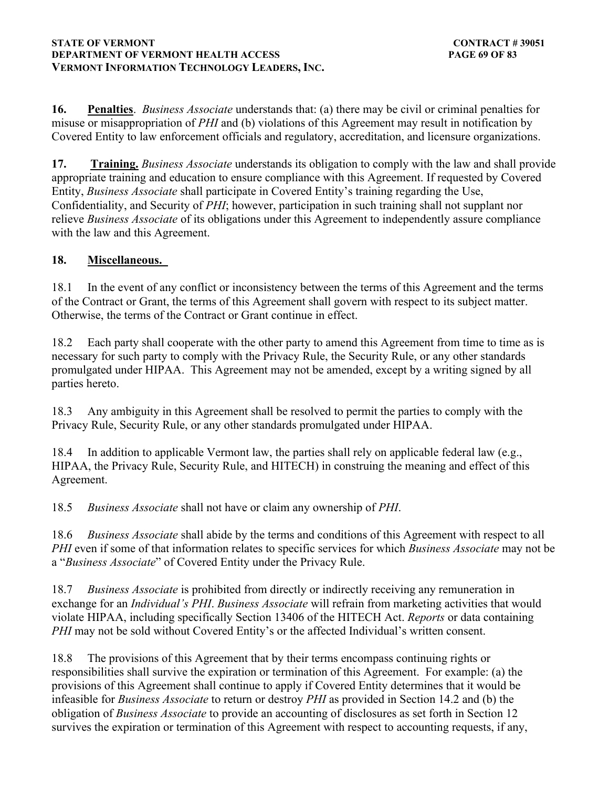#### **STATE OF VERMONT** CONTRACT # 39051 **DEPARTMENT OF VERMONT HEALTH ACCESS PAGE 69 OF 83 VERMONT INFORMATION TECHNOLOGY LEADERS, INC.**

**16. Penalties**. *Business Associate* understands that: (a) there may be civil or criminal penalties for misuse or misappropriation of *PHI* and (b) violations of this Agreement may result in notification by Covered Entity to law enforcement officials and regulatory, accreditation, and licensure organizations.

**17. Training.** *Business Associate* understands its obligation to comply with the law and shall provide appropriate training and education to ensure compliance with this Agreement. If requested by Covered Entity, *Business Associate* shall participate in Covered Entity's training regarding the Use, Confidentiality, and Security of *PHI*; however, participation in such training shall not supplant nor relieve *Business Associate* of its obligations under this Agreement to independently assure compliance with the law and this Agreement.

## **18. Miscellaneous.**

18.1 In the event of any conflict or inconsistency between the terms of this Agreement and the terms of the Contract or Grant, the terms of this Agreement shall govern with respect to its subject matter. Otherwise, the terms of the Contract or Grant continue in effect.

18.2 Each party shall cooperate with the other party to amend this Agreement from time to time as is necessary for such party to comply with the Privacy Rule, the Security Rule, or any other standards promulgated under HIPAA. This Agreement may not be amended, except by a writing signed by all parties hereto.

18.3 Any ambiguity in this Agreement shall be resolved to permit the parties to comply with the Privacy Rule, Security Rule, or any other standards promulgated under HIPAA.

18.4 In addition to applicable Vermont law, the parties shall rely on applicable federal law (e.g., HIPAA, the Privacy Rule, Security Rule, and HITECH) in construing the meaning and effect of this Agreement.

18.5 *Business Associate* shall not have or claim any ownership of *PHI*.

18.6 *Business Associate* shall abide by the terms and conditions of this Agreement with respect to all *PHI* even if some of that information relates to specific services for which *Business Associate* may not be a "*Business Associate*" of Covered Entity under the Privacy Rule.

18.7 *Business Associate* is prohibited from directly or indirectly receiving any remuneration in exchange for an *Individual's PHI*. *Business Associate* will refrain from marketing activities that would violate HIPAA, including specifically Section 13406 of the HITECH Act. *Reports* or data containing *PHI* may not be sold without Covered Entity's or the affected Individual's written consent.

18.8 The provisions of this Agreement that by their terms encompass continuing rights or responsibilities shall survive the expiration or termination of this Agreement. For example: (a) the provisions of this Agreement shall continue to apply if Covered Entity determines that it would be infeasible for *Business Associate* to return or destroy *PHI* as provided in Section 14.2 and (b) the obligation of *Business Associate* to provide an accounting of disclosures as set forth in Section 12 survives the expiration or termination of this Agreement with respect to accounting requests, if any,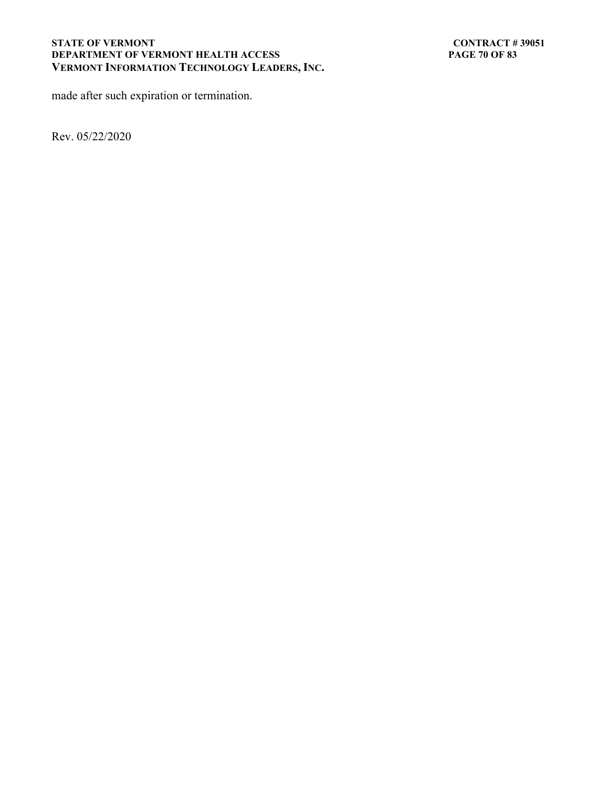#### STATE OF VERMONT<br>DEPARTMENT OF VERMONT HEALTH ACCESS PAGE 70 OF 83 **DEPARTMENT OF VERMONT HEALTH ACCESS VERMONT INFORMATION TECHNOLOGY LEADERS, INC.**

made after such expiration or termination.

Rev. 05/22/2020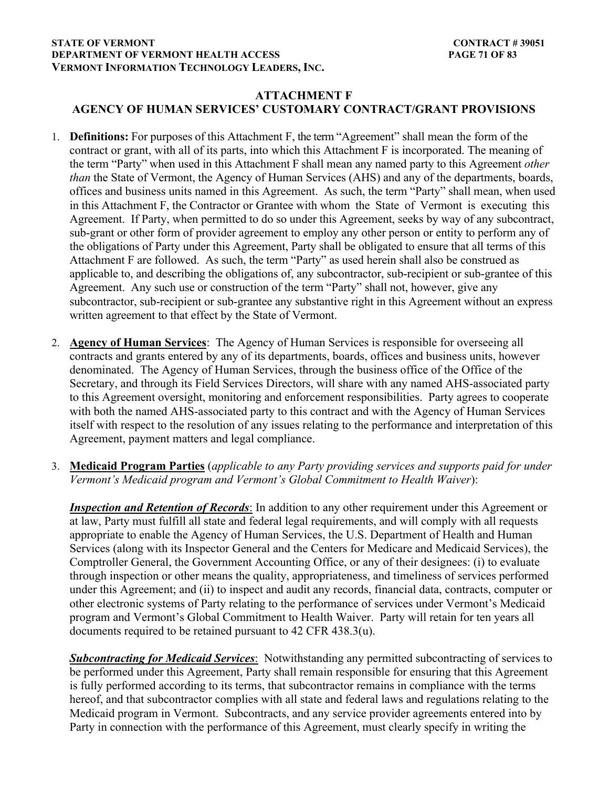### **STATE OF VERMONT** CONTRACT # 39051 **DEPARTMENT OF VERMONT HEALTH ACCESS PAGE 71 OF 83 VERMONT INFORMATION TECHNOLOGY LEADERS, INC.**

## **ATTACHMENT F AGENCY OF HUMAN SERVICES' CUSTOMARY CONTRACT/GRANT PROVISIONS**

- 1. **Definitions:** For purposes of this Attachment F, the term "Agreement" shall mean the form of the contract or grant, with all of its parts, into which this Attachment F is incorporated. The meaning of the term "Party" when used in this Attachment F shall mean any named party to this Agreement *other than* the State of Vermont, the Agency of Human Services (AHS) and any of the departments, boards, offices and business units named in this Agreement. As such, the term "Party" shall mean, when used in this Attachment F, the Contractor or Grantee with whom the State of Vermont is executing this Agreement. If Party, when permitted to do so under this Agreement, seeks by way of any subcontract, sub-grant or other form of provider agreement to employ any other person or entity to perform any of the obligations of Party under this Agreement, Party shall be obligated to ensure that all terms of this Attachment F are followed. As such, the term "Party" as used herein shall also be construed as applicable to, and describing the obligations of, any subcontractor, sub-recipient or sub-grantee of this Agreement. Any such use or construction of the term "Party" shall not, however, give any subcontractor, sub-recipient or sub-grantee any substantive right in this Agreement without an express written agreement to that effect by the State of Vermont.
- 2. **Agency of Human Services**: The Agency of Human Services is responsible for overseeing all contracts and grants entered by any of its departments, boards, offices and business units, however denominated. The Agency of Human Services, through the business office of the Office of the Secretary, and through its Field Services Directors, will share with any named AHS-associated party to this Agreement oversight, monitoring and enforcement responsibilities. Party agrees to cooperate with both the named AHS-associated party to this contract and with the Agency of Human Services itself with respect to the resolution of any issues relating to the performance and interpretation of this Agreement, payment matters and legal compliance.

## 3. **Medicaid Program Parties** (*applicable to any Party providing services and supports paid for under Vermont's Medicaid program and Vermont's Global Commitment to Health Waiver*):

*Inspection and Retention of Records*: In addition to any other requirement under this Agreement or at law, Party must fulfill all state and federal legal requirements, and will comply with all requests appropriate to enable the Agency of Human Services, the U.S. Department of Health and Human Services (along with its Inspector General and the Centers for Medicare and Medicaid Services), the Comptroller General, the Government Accounting Office, or any of their designees: (i) to evaluate through inspection or other means the quality, appropriateness, and timeliness of services performed under this Agreement; and (ii) to inspect and audit any records, financial data, contracts, computer or other electronic systems of Party relating to the performance of services under Vermont's Medicaid program and Vermont's Global Commitment to Health Waiver. Party will retain for ten years all documents required to be retained pursuant to 42 CFR 438.3(u).

*Subcontracting for Medicaid Services*: Notwithstanding any permitted subcontracting of services to be performed under this Agreement, Party shall remain responsible for ensuring that this Agreement is fully performed according to its terms, that subcontractor remains in compliance with the terms hereof, and that subcontractor complies with all state and federal laws and regulations relating to the Medicaid program in Vermont. Subcontracts, and any service provider agreements entered into by Party in connection with the performance of this Agreement, must clearly specify in writing the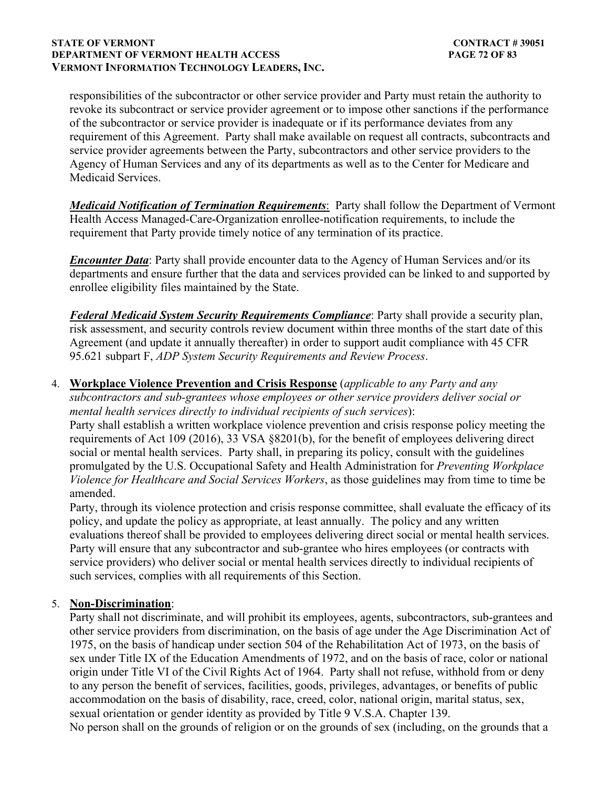#### **STATE OF VERMONT** CONTRACT # 39051 **DEPARTMENT OF VERMONT HEALTH ACCESS PAGE 72 OF 83 VERMONT INFORMATION TECHNOLOGY LEADERS, INC.**

responsibilities of the subcontractor or other service provider and Party must retain the authority to revoke its subcontract or service provider agreement or to impose other sanctions if the performance of the subcontractor or service provider is inadequate or if its performance deviates from any requirement of this Agreement. Party shall make available on request all contracts, subcontracts and service provider agreements between the Party, subcontractors and other service providers to the Agency of Human Services and any of its departments as well as to the Center for Medicare and Medicaid Services.

*Medicaid Notification of Termination Requirements*: Party shall follow the Department of Vermont Health Access Managed-Care-Organization enrollee-notification requirements, to include the requirement that Party provide timely notice of any termination of its practice.

*Encounter Data*: Party shall provide encounter data to the Agency of Human Services and/or its departments and ensure further that the data and services provided can be linked to and supported by enrollee eligibility files maintained by the State.

*Federal Medicaid System Security Requirements Compliance*: Party shall provide a security plan, risk assessment, and security controls review document within three months of the start date of this Agreement (and update it annually thereafter) in order to support audit compliance with 45 CFR 95.621 subpart F, *ADP System Security Requirements and Review Process*.

## 4. **Workplace Violence Prevention and Crisis Response** (*applicable to any Party and any*

*subcontractors and sub-grantees whose employees or other service providers deliver social or mental health services directly to individual recipients of such services*):

Party shall establish a written workplace violence prevention and crisis response policy meeting the requirements of Act 109 (2016), 33 VSA §8201(b), for the benefit of employees delivering direct social or mental health services. Party shall, in preparing its policy, consult with the guidelines promulgated by the U.S. Occupational Safety and Health Administration for *Preventing Workplace Violence for Healthcare and Social Services Workers*, as those guidelines may from time to time be amended.

Party, through its violence protection and crisis response committee, shall evaluate the efficacy of its policy, and update the policy as appropriate, at least annually. The policy and any written evaluations thereof shall be provided to employees delivering direct social or mental health services. Party will ensure that any subcontractor and sub-grantee who hires employees (or contracts with service providers) who deliver social or mental health services directly to individual recipients of such services, complies with all requirements of this Section.

### 5. **Non-Discrimination**:

Party shall not discriminate, and will prohibit its employees, agents, subcontractors, sub-grantees and other service providers from discrimination, on the basis of age under the Age Discrimination Act of 1975, on the basis of handicap under section 504 of the Rehabilitation Act of 1973, on the basis of sex under Title IX of the Education Amendments of 1972, and on the basis of race, color or national origin under Title VI of the Civil Rights Act of 1964. Party shall not refuse, withhold from or deny to any person the benefit of services, facilities, goods, privileges, advantages, or benefits of public accommodation on the basis of disability, race, creed, color, national origin, marital status, sex, sexual orientation or gender identity as provided by Title 9 V.S.A. Chapter 139.

No person shall on the grounds of religion or on the grounds of sex (including, on the grounds that a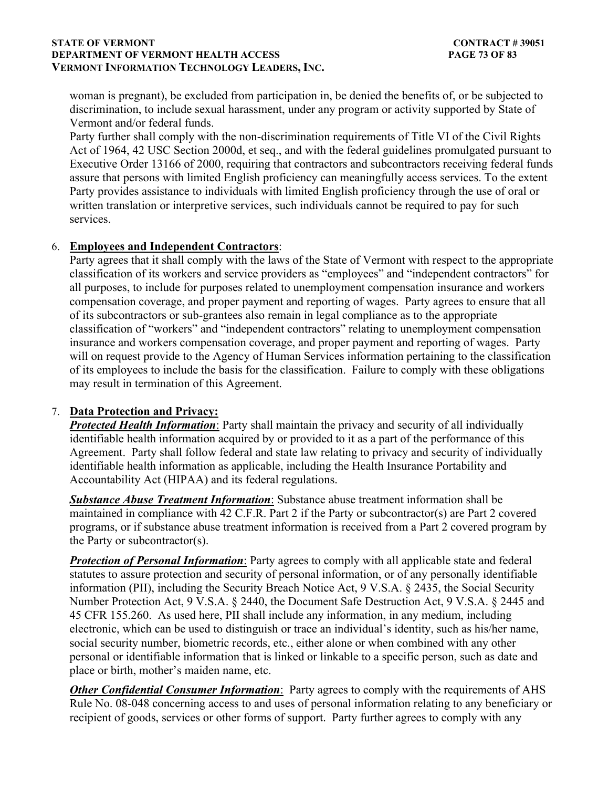### **STATE OF VERMONT** CONTRACT # 39051 **DEPARTMENT OF VERMONT HEALTH ACCESS PAGE 73 OF 83 VERMONT INFORMATION TECHNOLOGY LEADERS, INC.**

woman is pregnant), be excluded from participation in, be denied the benefits of, or be subjected to discrimination, to include sexual harassment, under any program or activity supported by State of Vermont and/or federal funds.

Party further shall comply with the non-discrimination requirements of Title VI of the Civil Rights Act of 1964, 42 USC Section 2000d, et seq., and with the federal guidelines promulgated pursuant to Executive Order 13166 of 2000, requiring that contractors and subcontractors receiving federal funds assure that persons with limited English proficiency can meaningfully access services. To the extent Party provides assistance to individuals with limited English proficiency through the use of oral or written translation or interpretive services, such individuals cannot be required to pay for such services.

### 6. **Employees and Independent Contractors**:

Party agrees that it shall comply with the laws of the State of Vermont with respect to the appropriate classification of its workers and service providers as "employees" and "independent contractors" for all purposes, to include for purposes related to unemployment compensation insurance and workers compensation coverage, and proper payment and reporting of wages. Party agrees to ensure that all of its subcontractors or sub-grantees also remain in legal compliance as to the appropriate classification of "workers" and "independent contractors" relating to unemployment compensation insurance and workers compensation coverage, and proper payment and reporting of wages. Party will on request provide to the Agency of Human Services information pertaining to the classification of its employees to include the basis for the classification. Failure to comply with these obligations may result in termination of this Agreement.

### 7. **Data Protection and Privacy:**

*Protected Health Information*: Party shall maintain the privacy and security of all individually identifiable health information acquired by or provided to it as a part of the performance of this Agreement. Party shall follow federal and state law relating to privacy and security of individually identifiable health information as applicable, including the Health Insurance Portability and Accountability Act (HIPAA) and its federal regulations.

*Substance Abuse Treatment Information*: Substance abuse treatment information shall be maintained in compliance with 42 C.F.R. Part 2 if the Party or subcontractor(s) are Part 2 covered programs, or if substance abuse treatment information is received from a Part 2 covered program by the Party or subcontractor(s).

**Protection of Personal Information**: Party agrees to comply with all applicable state and federal statutes to assure protection and security of personal information, or of any personally identifiable information (PII), including the Security Breach Notice Act, 9 V.S.A. § 2435, the Social Security Number Protection Act, 9 V.S.A. § 2440, the Document Safe Destruction Act, 9 V.S.A. § 2445 and 45 CFR 155.260. As used here, PII shall include any information, in any medium, including electronic, which can be used to distinguish or trace an individual's identity, such as his/her name, social security number, biometric records, etc., either alone or when combined with any other personal or identifiable information that is linked or linkable to a specific person, such as date and place or birth, mother's maiden name, etc.

*Other Confidential Consumer Information*: Party agrees to comply with the requirements of AHS Rule No. 08-048 concerning access to and uses of personal information relating to any beneficiary or recipient of goods, services or other forms of support. Party further agrees to comply with any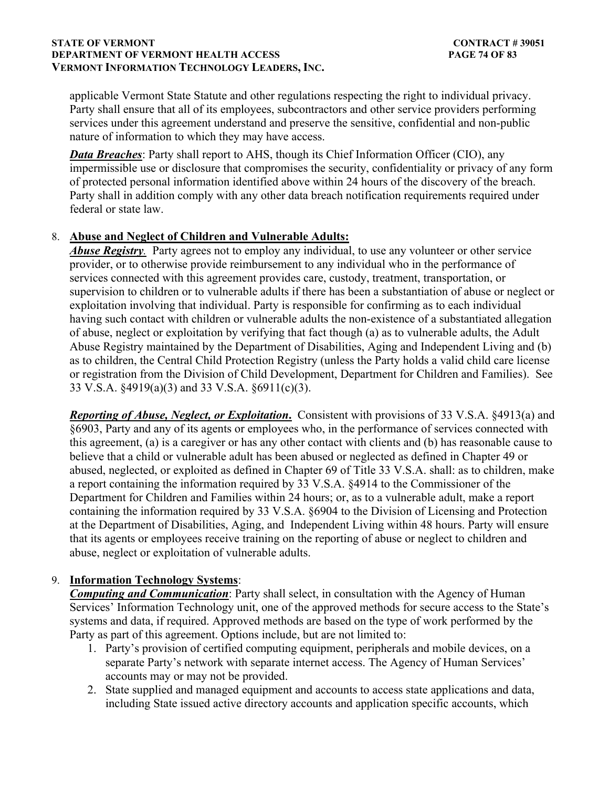### **STATE OF VERMONT** CONTRACT # 39051 **DEPARTMENT OF VERMONT HEALTH ACCESS PAGE 74 OF 83 VERMONT INFORMATION TECHNOLOGY LEADERS, INC.**

applicable Vermont State Statute and other regulations respecting the right to individual privacy. Party shall ensure that all of its employees, subcontractors and other service providers performing services under this agreement understand and preserve the sensitive, confidential and non-public nature of information to which they may have access.

*Data Breaches*: Party shall report to AHS, though its Chief Information Officer (CIO), any impermissible use or disclosure that compromises the security, confidentiality or privacy of any form of protected personal information identified above within 24 hours of the discovery of the breach. Party shall in addition comply with any other data breach notification requirements required under federal or state law.

### 8. **Abuse and Neglect of Children and Vulnerable Adults:**

*Abuse Registry.* Party agrees not to employ any individual, to use any volunteer or other service provider, or to otherwise provide reimbursement to any individual who in the performance of services connected with this agreement provides care, custody, treatment, transportation, or supervision to children or to vulnerable adults if there has been a substantiation of abuse or neglect or exploitation involving that individual. Party is responsible for confirming as to each individual having such contact with children or vulnerable adults the non-existence of a substantiated allegation of abuse, neglect or exploitation by verifying that fact though (a) as to vulnerable adults, the Adult Abuse Registry maintained by the Department of Disabilities, Aging and Independent Living and (b) as to children, the Central Child Protection Registry (unless the Party holds a valid child care license or registration from the Division of Child Development, Department for Children and Families). See 33 V.S.A. §4919(a)(3) and 33 V.S.A. §6911(c)(3).

*Reporting of Abuse, Neglect, or Exploitation***.** Consistent with provisions of 33 V.S.A. §4913(a) and §6903, Party and any of its agents or employees who, in the performance of services connected with this agreement, (a) is a caregiver or has any other contact with clients and (b) has reasonable cause to believe that a child or vulnerable adult has been abused or neglected as defined in Chapter 49 or abused, neglected, or exploited as defined in Chapter 69 of Title 33 V.S.A. shall: as to children, make a report containing the information required by 33 V.S.A. §4914 to the Commissioner of the Department for Children and Families within 24 hours; or, as to a vulnerable adult, make a report containing the information required by 33 V.S.A. §6904 to the Division of Licensing and Protection at the Department of Disabilities, Aging, and Independent Living within 48 hours. Party will ensure that its agents or employees receive training on the reporting of abuse or neglect to children and abuse, neglect or exploitation of vulnerable adults.

## 9. **Information Technology Systems**:

*Computing and Communication*: Party shall select, in consultation with the Agency of Human Services' Information Technology unit, one of the approved methods for secure access to the State's systems and data, if required. Approved methods are based on the type of work performed by the Party as part of this agreement. Options include, but are not limited to:

- 1. Party's provision of certified computing equipment, peripherals and mobile devices, on a separate Party's network with separate internet access. The Agency of Human Services' accounts may or may not be provided.
- 2. State supplied and managed equipment and accounts to access state applications and data, including State issued active directory accounts and application specific accounts, which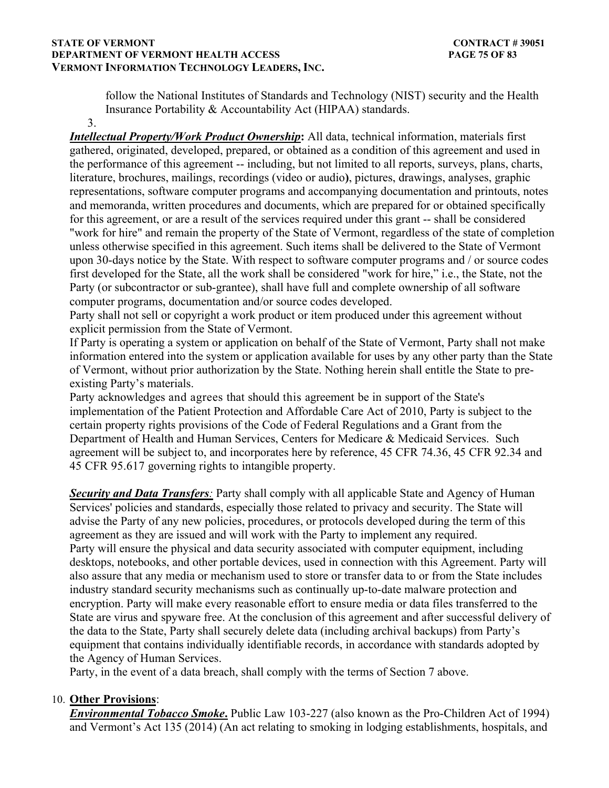### **STATE OF VERMONT** CONTRACT # 39051 **DEPARTMENT OF VERMONT HEALTH ACCESS PAGE 75 OF 83 VERMONT INFORMATION TECHNOLOGY LEADERS, INC.**

follow the National Institutes of Standards and Technology (NIST) security and the Health Insurance Portability & Accountability Act (HIPAA) standards.

3.

*Intellectual Property/Work Product Ownership***:** All data, technical information, materials first gathered, originated, developed, prepared, or obtained as a condition of this agreement and used in the performance of this agreement -- including, but not limited to all reports, surveys, plans, charts, literature, brochures, mailings, recordings (video or audio**)**, pictures, drawings, analyses, graphic representations, software computer programs and accompanying documentation and printouts, notes and memoranda, written procedures and documents, which are prepared for or obtained specifically for this agreement, or are a result of the services required under this grant -- shall be considered "work for hire" and remain the property of the State of Vermont, regardless of the state of completion unless otherwise specified in this agreement. Such items shall be delivered to the State of Vermont upon 30-days notice by the State. With respect to software computer programs and / or source codes first developed for the State, all the work shall be considered "work for hire," i.e., the State, not the Party (or subcontractor or sub-grantee), shall have full and complete ownership of all software computer programs, documentation and/or source codes developed.

Party shall not sell or copyright a work product or item produced under this agreement without explicit permission from the State of Vermont.

If Party is operating a system or application on behalf of the State of Vermont, Party shall not make information entered into the system or application available for uses by any other party than the State of Vermont, without prior authorization by the State. Nothing herein shall entitle the State to preexisting Party's materials.

Party acknowledges and agrees that should this agreement be in support of the State's implementation of the Patient Protection and Affordable Care Act of 2010, Party is subject to the certain property rights provisions of the Code of Federal Regulations and a Grant from the Department of Health and Human Services, Centers for Medicare & Medicaid Services. Such agreement will be subject to, and incorporates here by reference, 45 CFR 74.36, 45 CFR 92.34 and 45 CFR 95.617 governing rights to intangible property.

**Security and Data Transfers**: Party shall comply with all applicable State and Agency of Human Services' policies and standards, especially those related to privacy and security. The State will advise the Party of any new policies, procedures, or protocols developed during the term of this agreement as they are issued and will work with the Party to implement any required. Party will ensure the physical and data security associated with computer equipment, including desktops, notebooks, and other portable devices, used in connection with this Agreement. Party will also assure that any media or mechanism used to store or transfer data to or from the State includes industry standard security mechanisms such as continually up-to-date malware protection and encryption. Party will make every reasonable effort to ensure media or data files transferred to the State are virus and spyware free. At the conclusion of this agreement and after successful delivery of the data to the State, Party shall securely delete data (including archival backups) from Party's equipment that contains individually identifiable records, in accordance with standards adopted by the Agency of Human Services.

Party, in the event of a data breach, shall comply with the terms of Section 7 above.

## 10. **Other Provisions**:

*Environmental Tobacco Smoke***.** Public Law 103-227 (also known as the Pro-Children Act of 1994) and Vermont's Act 135 (2014) (An act relating to smoking in lodging establishments, hospitals, and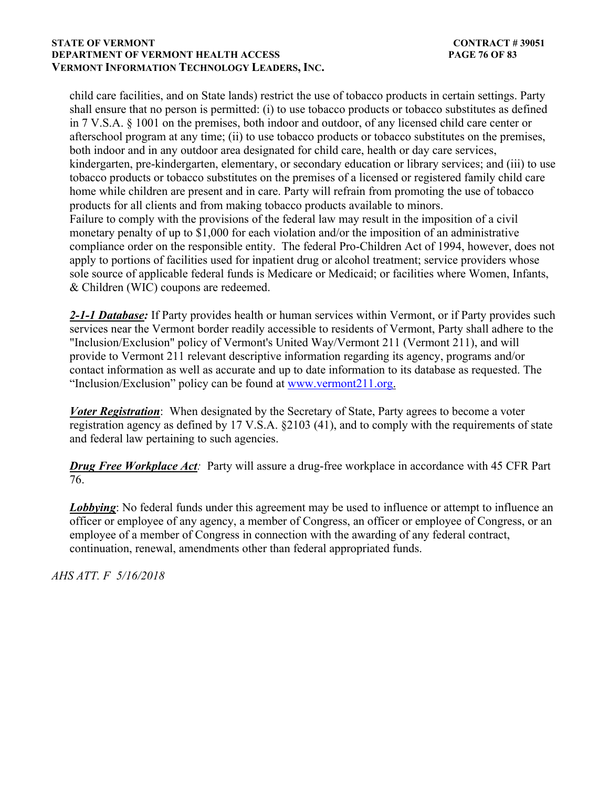### **STATE OF VERMONT** CONTRACT # 39051 **DEPARTMENT OF VERMONT HEALTH ACCESS PAGE 76 OF 83 VERMONT INFORMATION TECHNOLOGY LEADERS, INC.**

child care facilities, and on State lands) restrict the use of tobacco products in certain settings. Party shall ensure that no person is permitted: (i) to use tobacco products or tobacco substitutes as defined in 7 V.S.A. § 1001 on the premises, both indoor and outdoor, of any licensed child care center or afterschool program at any time; (ii) to use tobacco products or tobacco substitutes on the premises, both indoor and in any outdoor area designated for child care, health or day care services, kindergarten, pre-kindergarten, elementary, or secondary education or library services; and (iii) to use tobacco products or tobacco substitutes on the premises of a licensed or registered family child care home while children are present and in care. Party will refrain from promoting the use of tobacco products for all clients and from making tobacco products available to minors. Failure to comply with the provisions of the federal law may result in the imposition of a civil monetary penalty of up to \$1,000 for each violation and/or the imposition of an administrative compliance order on the responsible entity. The federal Pro-Children Act of 1994, however, does not apply to portions of facilities used for inpatient drug or alcohol treatment; service providers whose sole source of applicable federal funds is Medicare or Medicaid; or facilities where Women, Infants, & Children (WIC) coupons are redeemed.

*2-1-1 Database:* If Party provides health or human services within Vermont, or if Party provides such services near the Vermont border readily accessible to residents of Vermont, Party shall adhere to the "Inclusion/Exclusion" policy of Vermont's United Way/Vermont 211 (Vermont 211), and will provide to Vermont 211 relevant descriptive information regarding its agency, programs and/or contact information as well as accurate and up to date information to its database as requested. The "Inclusion/Exclusion" policy can be found at [www.vermont211.org](http://www.vermont211.org).

*Voter Registration*: When designated by the Secretary of State, Party agrees to become a voter registration agency as defined by 17 V.S.A. §2103 (41), and to comply with the requirements of state and federal law pertaining to such agencies.

*Drug Free Workplace Act:* Party will assure a drug-free workplace in accordance with 45 CFR Part 76.

*Lobbying*: No federal funds under this agreement may be used to influence or attempt to influence an officer or employee of any agency, a member of Congress, an officer or employee of Congress, or an employee of a member of Congress in connection with the awarding of any federal contract, continuation, renewal, amendments other than federal appropriated funds.

*AHS ATT. F 5/16/2018*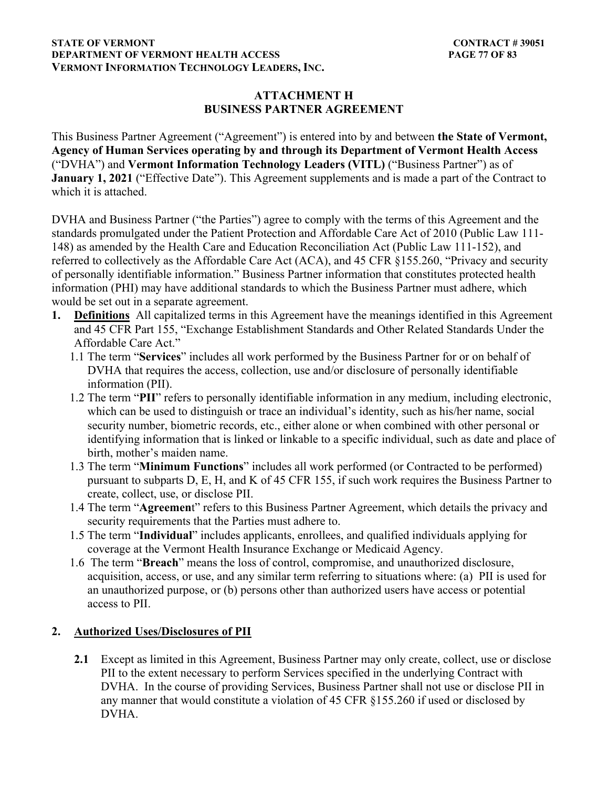### **STATE OF VERMONT** CONTRACT # 39051 **DEPARTMENT OF VERMONT HEALTH ACCESS PAGE 77 OF 83 VERMONT INFORMATION TECHNOLOGY LEADERS, INC.**

### **ATTACHMENT H BUSINESS PARTNER AGREEMENT**

This Business Partner Agreement ("Agreement") is entered into by and between **the State of Vermont, Agency of Human Services operating by and through its Department of Vermont Health Access**  ("DVHA") and **Vermont Information Technology Leaders (VITL)** ("Business Partner") as of **January 1, 2021** ("Effective Date"). This Agreement supplements and is made a part of the Contract to which it is attached.

DVHA and Business Partner ("the Parties") agree to comply with the terms of this Agreement and the standards promulgated under the Patient Protection and Affordable Care Act of 2010 (Public Law 111- 148) as amended by the Health Care and Education Reconciliation Act (Public Law 111-152), and referred to collectively as the Affordable Care Act (ACA), and 45 CFR §155.260, "Privacy and security of personally identifiable information." Business Partner information that constitutes protected health information (PHI) may have additional standards to which the Business Partner must adhere, which would be set out in a separate agreement.

- **1. Definitions** All capitalized terms in this Agreement have the meanings identified in this Agreement and 45 CFR Part 155, "Exchange Establishment Standards and Other Related Standards Under the Affordable Care Act."
	- 1.1 The term "**Services**" includes all work performed by the Business Partner for or on behalf of DVHA that requires the access, collection, use and/or disclosure of personally identifiable information (PII).
	- 1.2 The term "**PII**" refers to personally identifiable information in any medium, including electronic, which can be used to distinguish or trace an individual's identity, such as his/her name, social security number, biometric records, etc., either alone or when combined with other personal or identifying information that is linked or linkable to a specific individual, such as date and place of birth, mother's maiden name.
	- 1.3 The term "**Minimum Functions**" includes all work performed (or Contracted to be performed) pursuant to subparts D, E, H, and K of 45 CFR 155, if such work requires the Business Partner to create, collect, use, or disclose PII.
	- 1.4 The term "**Agreemen**t" refers to this Business Partner Agreement, which details the privacy and security requirements that the Parties must adhere to.
	- 1.5 The term "**Individual**" includes applicants, enrollees, and qualified individuals applying for coverage at the Vermont Health Insurance Exchange or Medicaid Agency.
	- 1.6 The term "**Breach**" means the loss of control, compromise, and unauthorized disclosure, acquisition, access, or use, and any similar term referring to situations where: (a) PII is used for an unauthorized purpose, or (b) persons other than authorized users have access or potential access to PII.

## **2. Authorized Uses/Disclosures of PII**

**2.1** Except as limited in this Agreement, Business Partner may only create, collect, use or disclose PII to the extent necessary to perform Services specified in the underlying Contract with DVHA. In the course of providing Services, Business Partner shall not use or disclose PII in any manner that would constitute a violation of 45 CFR §155.260 if used or disclosed by DVHA.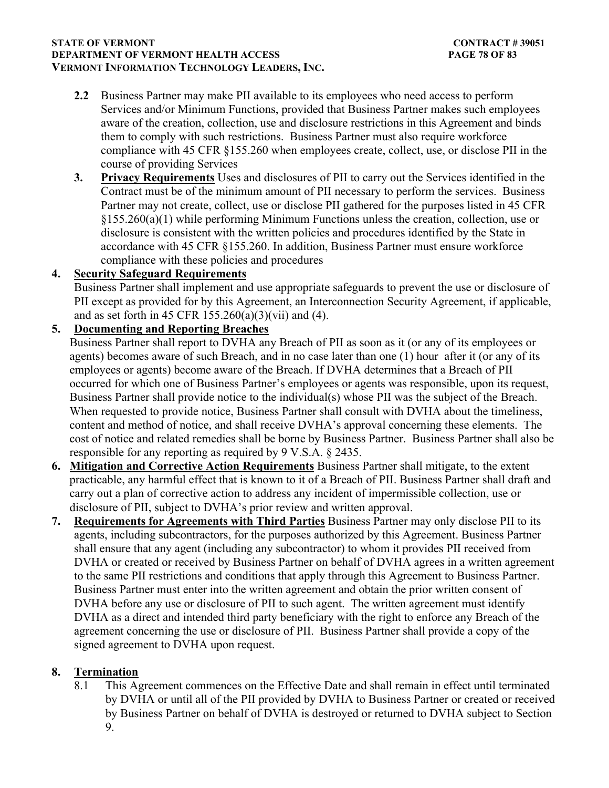### **STATE OF VERMONT** CONTRACT # 39051 **DEPARTMENT OF VERMONT HEALTH ACCESS PAGE 78 OF 83 VERMONT INFORMATION TECHNOLOGY LEADERS, INC.**

- **2.2** Business Partner may make PII available to its employees who need access to perform Services and/or Minimum Functions, provided that Business Partner makes such employees aware of the creation, collection, use and disclosure restrictions in this Agreement and binds them to comply with such restrictions. Business Partner must also require workforce compliance with 45 CFR §155.260 when employees create, collect, use, or disclose PII in the course of providing Services
- **3. Privacy Requirements** Uses and disclosures of PII to carry out the Services identified in the Contract must be of the minimum amount of PII necessary to perform the services. Business Partner may not create, collect, use or disclose PII gathered for the purposes listed in 45 CFR §155.260(a)(1) while performing Minimum Functions unless the creation, collection, use or disclosure is consistent with the written policies and procedures identified by the State in accordance with 45 CFR §155.260. In addition, Business Partner must ensure workforce compliance with these policies and procedures

## **4. Security Safeguard Requirements**

Business Partner shall implement and use appropriate safeguards to prevent the use or disclosure of PII except as provided for by this Agreement, an Interconnection Security Agreement, if applicable, and as set forth in 45 CFR  $155.260(a)(3)(vii)$  and (4).

## **5. Documenting and Reporting Breaches**

Business Partner shall report to DVHA any Breach of PII as soon as it (or any of its employees or agents) becomes aware of such Breach, and in no case later than one (1) hour after it (or any of its employees or agents) become aware of the Breach. If DVHA determines that a Breach of PII occurred for which one of Business Partner's employees or agents was responsible, upon its request, Business Partner shall provide notice to the individual(s) whose PII was the subject of the Breach. When requested to provide notice, Business Partner shall consult with DVHA about the timeliness, content and method of notice, and shall receive DVHA's approval concerning these elements. The cost of notice and related remedies shall be borne by Business Partner. Business Partner shall also be responsible for any reporting as required by 9 V.S.A. § 2435.

- **6. Mitigation and Corrective Action Requirements** Business Partner shall mitigate, to the extent practicable, any harmful effect that is known to it of a Breach of PII. Business Partner shall draft and carry out a plan of corrective action to address any incident of impermissible collection, use or disclosure of PII, subject to DVHA's prior review and written approval.
- **7. Requirements for Agreements with Third Parties** Business Partner may only disclose PII to its agents, including subcontractors, for the purposes authorized by this Agreement. Business Partner shall ensure that any agent (including any subcontractor) to whom it provides PII received from DVHA or created or received by Business Partner on behalf of DVHA agrees in a written agreement to the same PII restrictions and conditions that apply through this Agreement to Business Partner. Business Partner must enter into the written agreement and obtain the prior written consent of DVHA before any use or disclosure of PII to such agent. The written agreement must identify DVHA as a direct and intended third party beneficiary with the right to enforce any Breach of the agreement concerning the use or disclosure of PII. Business Partner shall provide a copy of the signed agreement to DVHA upon request.

## **8. Termination**

8.1 This Agreement commences on the Effective Date and shall remain in effect until terminated by DVHA or until all of the PII provided by DVHA to Business Partner or created or received by Business Partner on behalf of DVHA is destroyed or returned to DVHA subject to Section 9.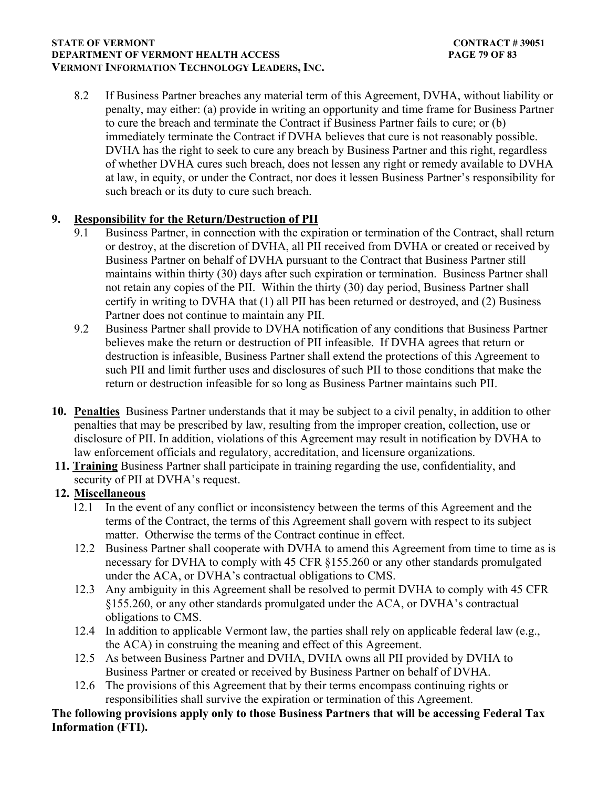### **STATE OF VERMONT** CONTRACT # 39051 **DEPARTMENT OF VERMONT HEALTH ACCESS PAGE 79 OF 83 VERMONT INFORMATION TECHNOLOGY LEADERS, INC.**

8.2 If Business Partner breaches any material term of this Agreement, DVHA, without liability or penalty, may either: (a) provide in writing an opportunity and time frame for Business Partner to cure the breach and terminate the Contract if Business Partner fails to cure; or (b) immediately terminate the Contract if DVHA believes that cure is not reasonably possible. DVHA has the right to seek to cure any breach by Business Partner and this right, regardless of whether DVHA cures such breach, does not lessen any right or remedy available to DVHA at law, in equity, or under the Contract, nor does it lessen Business Partner's responsibility for such breach or its duty to cure such breach.

## **9. Responsibility for the Return/Destruction of PII**

- 9.1 Business Partner, in connection with the expiration or termination of the Contract, shall return or destroy, at the discretion of DVHA, all PII received from DVHA or created or received by Business Partner on behalf of DVHA pursuant to the Contract that Business Partner still maintains within thirty (30) days after such expiration or termination. Business Partner shall not retain any copies of the PII. Within the thirty (30) day period, Business Partner shall certify in writing to DVHA that (1) all PII has been returned or destroyed, and (2) Business Partner does not continue to maintain any PII.
- 9.2 Business Partner shall provide to DVHA notification of any conditions that Business Partner believes make the return or destruction of PII infeasible. If DVHA agrees that return or destruction is infeasible, Business Partner shall extend the protections of this Agreement to such PII and limit further uses and disclosures of such PII to those conditions that make the return or destruction infeasible for so long as Business Partner maintains such PII.
- **10. Penalties** Business Partner understands that it may be subject to a civil penalty, in addition to other penalties that may be prescribed by law, resulting from the improper creation, collection, use or disclosure of PII. In addition, violations of this Agreement may result in notification by DVHA to law enforcement officials and regulatory, accreditation, and licensure organizations.
- **11. Training** Business Partner shall participate in training regarding the use, confidentiality, and security of PII at DVHA's request.

### **12. Miscellaneous**

- 12.1 In the event of any conflict or inconsistency between the terms of this Agreement and the terms of the Contract, the terms of this Agreement shall govern with respect to its subject matter. Otherwise the terms of the Contract continue in effect.
- 12.2 Business Partner shall cooperate with DVHA to amend this Agreement from time to time as is necessary for DVHA to comply with 45 CFR §155.260 or any other standards promulgated under the ACA, or DVHA's contractual obligations to CMS.
- 12.3 Any ambiguity in this Agreement shall be resolved to permit DVHA to comply with 45 CFR §155.260, or any other standards promulgated under the ACA, or DVHA's contractual obligations to CMS.
- 12.4 In addition to applicable Vermont law, the parties shall rely on applicable federal law (e.g., the ACA) in construing the meaning and effect of this Agreement.
- 12.5 As between Business Partner and DVHA, DVHA owns all PII provided by DVHA to Business Partner or created or received by Business Partner on behalf of DVHA.
- 12.6 The provisions of this Agreement that by their terms encompass continuing rights or responsibilities shall survive the expiration or termination of this Agreement.

**The following provisions apply only to those Business Partners that will be accessing Federal Tax Information (FTI).**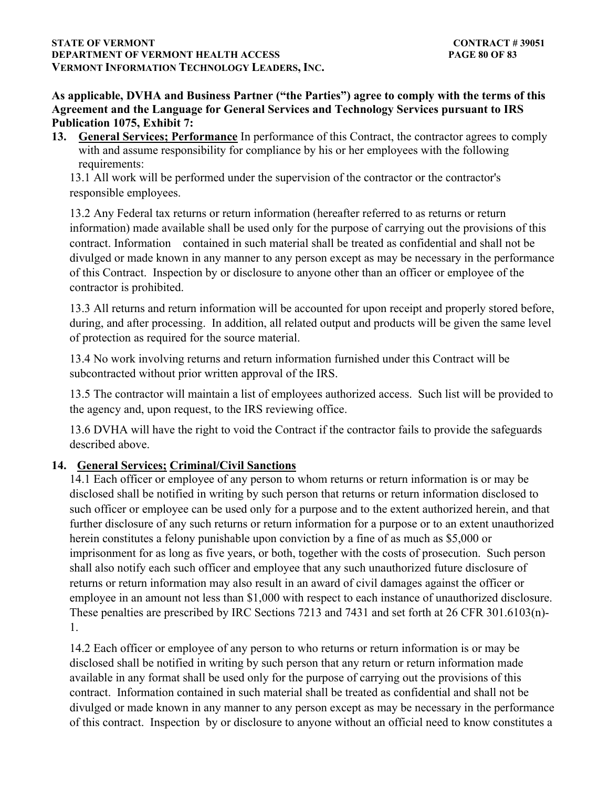### **STATE OF VERMONT** CONTRACT # 39051 **DEPARTMENT OF VERMONT HEALTH ACCESS PAGE 80 OF 83 VERMONT INFORMATION TECHNOLOGY LEADERS, INC.**

**As applicable, DVHA and Business Partner ("the Parties") agree to comply with the terms of this Agreement and the Language for General Services and Technology Services pursuant to IRS Publication 1075, Exhibit 7:**

**13. General Services; Performance** In performance of this Contract, the contractor agrees to comply with and assume responsibility for compliance by his or her employees with the following requirements:

13.1 All work will be performed under the supervision of the contractor or the contractor's responsible employees.

13.2 Any Federal tax returns or return information (hereafter referred to as returns or return information) made available shall be used only for the purpose of carrying out the provisions of this contract. Information contained in such material shall be treated as confidential and shall not be divulged or made known in any manner to any person except as may be necessary in the performance of this Contract. Inspection by or disclosure to anyone other than an officer or employee of the contractor is prohibited.

13.3 All returns and return information will be accounted for upon receipt and properly stored before, during, and after processing. In addition, all related output and products will be given the same level of protection as required for the source material.

13.4 No work involving returns and return information furnished under this Contract will be subcontracted without prior written approval of the IRS.

13.5 The contractor will maintain a list of employees authorized access. Such list will be provided to the agency and, upon request, to the IRS reviewing office.

13.6 DVHA will have the right to void the Contract if the contractor fails to provide the safeguards described above.

# **14. General Services; Criminal/Civil Sanctions**

14.1 Each officer or employee of any person to whom returns or return information is or may be disclosed shall be notified in writing by such person that returns or return information disclosed to such officer or employee can be used only for a purpose and to the extent authorized herein, and that further disclosure of any such returns or return information for a purpose or to an extent unauthorized herein constitutes a felony punishable upon conviction by a fine of as much as \$5,000 or imprisonment for as long as five years, or both, together with the costs of prosecution. Such person shall also notify each such officer and employee that any such unauthorized future disclosure of returns or return information may also result in an award of civil damages against the officer or employee in an amount not less than \$1,000 with respect to each instance of unauthorized disclosure. These penalties are prescribed by IRC Sections 7213 and 7431 and set forth at 26 CFR 301.6103(n)- 1.

14.2 Each officer or employee of any person to who returns or return information is or may be disclosed shall be notified in writing by such person that any return or return information made available in any format shall be used only for the purpose of carrying out the provisions of this contract. Information contained in such material shall be treated as confidential and shall not be divulged or made known in any manner to any person except as may be necessary in the performance of this contract. Inspection by or disclosure to anyone without an official need to know constitutes a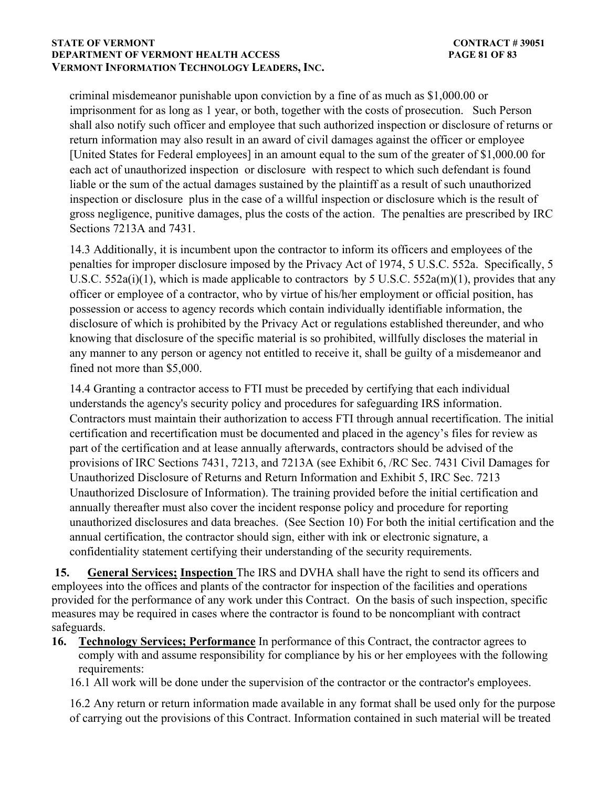#### **STATE OF VERMONT** CONTRACT # 39051 **DEPARTMENT OF VERMONT HEALTH ACCESS PAGE 81 OF 83 VERMONT INFORMATION TECHNOLOGY LEADERS, INC.**

criminal misdemeanor punishable upon conviction by a fine of as much as \$1,000.00 or imprisonment for as long as 1 year, or both, together with the costs of prosecution. Such Person shall also notify such officer and employee that such authorized inspection or disclosure of returns or return information may also result in an award of civil damages against the officer or employee [United States for Federal employees] in an amount equal to the sum of the greater of \$1,000.00 for each act of unauthorized inspection or disclosure with respect to which such defendant is found liable or the sum of the actual damages sustained by the plaintiff as a result of such unauthorized inspection or disclosure plus in the case of a willful inspection or disclosure which is the result of gross negligence, punitive damages, plus the costs of the action. The penalties are prescribed by IRC Sections 7213A and 7431.

14.3 Additionally, it is incumbent upon the contractor to inform its officers and employees of the penalties for improper disclosure imposed by the Privacy Act of 1974, 5 U.S.C. 552a. Specifically, 5 U.S.C. 552a(i)(1), which is made applicable to contractors by 5 U.S.C. 552a(m)(1), provides that any officer or employee of a contractor, who by virtue of his/her employment or official position, has possession or access to agency records which contain individually identifiable information, the disclosure of which is prohibited by the Privacy Act or regulations established thereunder, and who knowing that disclosure of the specific material is so prohibited, willfully discloses the material in any manner to any person or agency not entitled to receive it, shall be guilty of a misdemeanor and fined not more than \$5,000.

14.4 Granting a contractor access to FTI must be preceded by certifying that each individual understands the agency's security policy and procedures for safeguarding IRS information. Contractors must maintain their authorization to access FTI through annual recertification. The initial certification and recertification must be documented and placed in the agency's files for review as part of the certification and at lease annually afterwards, contractors should be advised of the provisions of IRC Sections 7431, 7213, and 7213A (see Exhibit 6, /RC Sec. 7431 Civil Damages for Unauthorized Disclosure of Returns and Return Information and Exhibit 5, IRC Sec. 7213 Unauthorized Disclosure of Information). The training provided before the initial certification and annually thereafter must also cover the incident response policy and procedure for reporting unauthorized disclosures and data breaches. (See Section 10) For both the initial certification and the annual certification, the contractor should sign, either with ink or electronic signature, a confidentiality statement certifying their understanding of the security requirements.

**15. General Services; Inspection** The IRS and DVHA shall have the right to send its officers and employees into the offices and plants of the contractor for inspection of the facilities and operations provided for the performance of any work under this Contract. On the basis of such inspection, specific measures may be required in cases where the contractor is found to be noncompliant with contract safeguards.

**16. Technology Services; Performance** In performance of this Contract, the contractor agrees to comply with and assume responsibility for compliance by his or her employees with the following requirements:

16.1 All work will be done under the supervision of the contractor or the contractor's employees.

16.2 Any return or return information made available in any format shall be used only for the purpose of carrying out the provisions of this Contract. Information contained in such material will be treated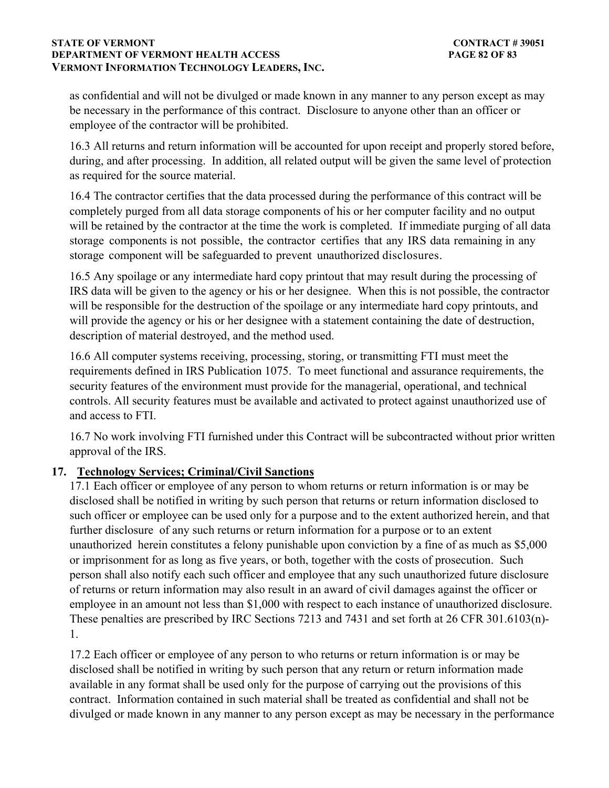### **STATE OF VERMONT** CONTRACT # 39051 **DEPARTMENT OF VERMONT HEALTH ACCESS PAGE 82 OF 83 VERMONT INFORMATION TECHNOLOGY LEADERS, INC.**

as confidential and will not be divulged or made known in any manner to any person except as may be necessary in the performance of this contract. Disclosure to anyone other than an officer or employee of the contractor will be prohibited.

16.3 All returns and return information will be accounted for upon receipt and properly stored before, during, and after processing. In addition, all related output will be given the same level of protection as required for the source material.

16.4 The contractor certifies that the data processed during the performance of this contract will be completely purged from all data storage components of his or her computer facility and no output will be retained by the contractor at the time the work is completed. If immediate purging of all data storage components is not possible, the contractor certifies that any IRS data remaining in any storage component will be safeguarded to prevent unauthorized disclosures.

16.5 Any spoilage or any intermediate hard copy printout that may result during the processing of IRS data will be given to the agency or his or her designee. When this is not possible, the contractor will be responsible for the destruction of the spoilage or any intermediate hard copy printouts, and will provide the agency or his or her designee with a statement containing the date of destruction, description of material destroyed, and the method used.

16.6 All computer systems receiving, processing, storing, or transmitting FTI must meet the requirements defined in IRS Publication 1075. To meet functional and assurance requirements, the security features of the environment must provide for the managerial, operational, and technical controls. All security features must be available and activated to protect against unauthorized use of and access to FTI.

16.7 No work involving FTI furnished under this Contract will be subcontracted without prior written approval of the IRS.

## **17. Technology Services; Criminal/Civil Sanctions**

17.1 Each officer or employee of any person to whom returns or return information is or may be disclosed shall be notified in writing by such person that returns or return information disclosed to such officer or employee can be used only for a purpose and to the extent authorized herein, and that further disclosure of any such returns or return information for a purpose or to an extent unauthorized herein constitutes a felony punishable upon conviction by a fine of as much as \$5,000 or imprisonment for as long as five years, or both, together with the costs of prosecution. Such person shall also notify each such officer and employee that any such unauthorized future disclosure of returns or return information may also result in an award of civil damages against the officer or employee in an amount not less than \$1,000 with respect to each instance of unauthorized disclosure. These penalties are prescribed by IRC Sections 7213 and 7431 and set forth at 26 CFR 301.6103(n)- 1.

17.2 Each officer or employee of any person to who returns or return information is or may be disclosed shall be notified in writing by such person that any return or return information made available in any format shall be used only for the purpose of carrying out the provisions of this contract. Information contained in such material shall be treated as confidential and shall not be divulged or made known in any manner to any person except as may be necessary in the performance